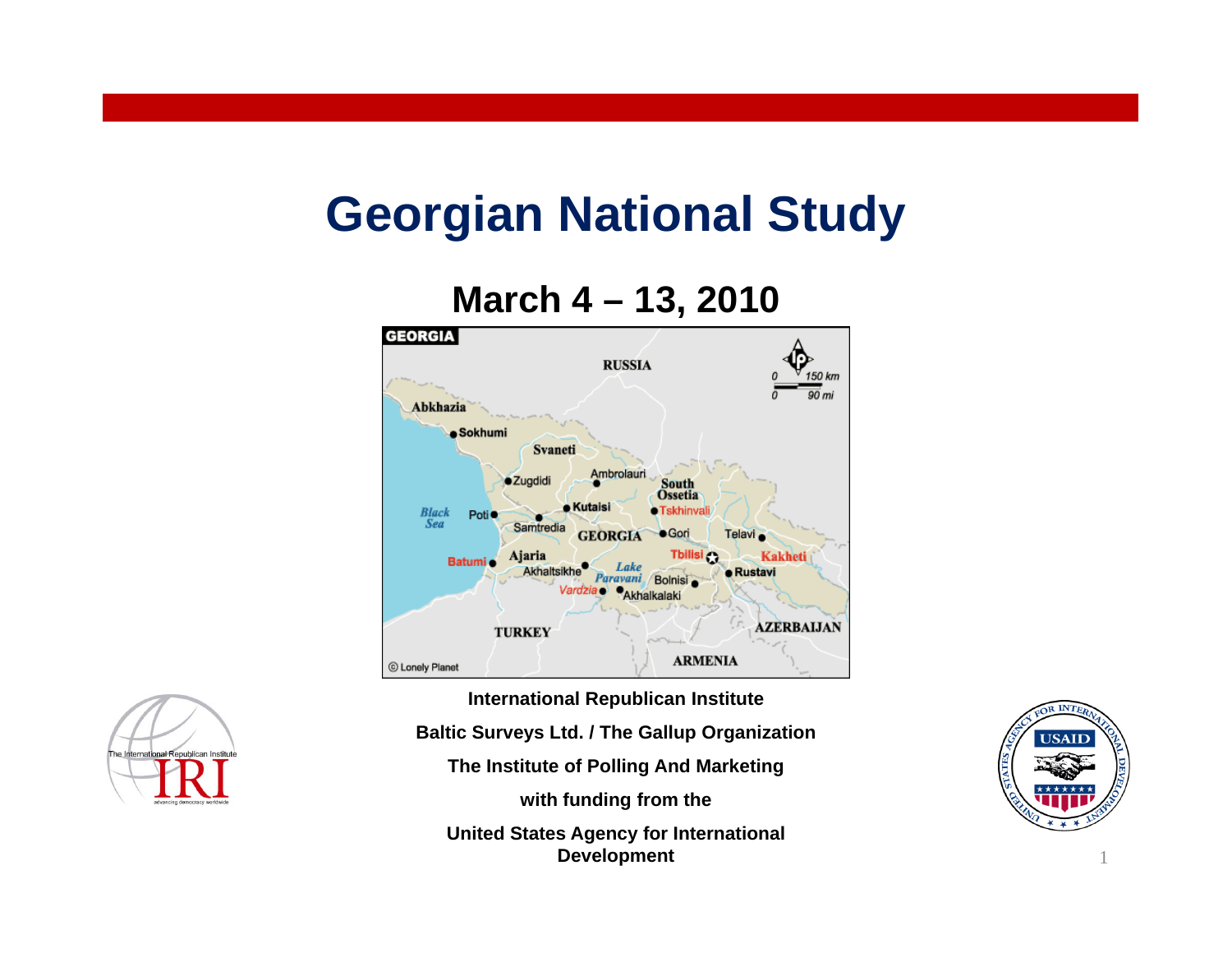### **Georgian National Study**

#### **March 4 – 13, 2010**



**International Republican Institute Baltic Surveys Ltd. / The Gallup Organization The Institute of Polling And Marketing with funding from the United States Agency for International Development**



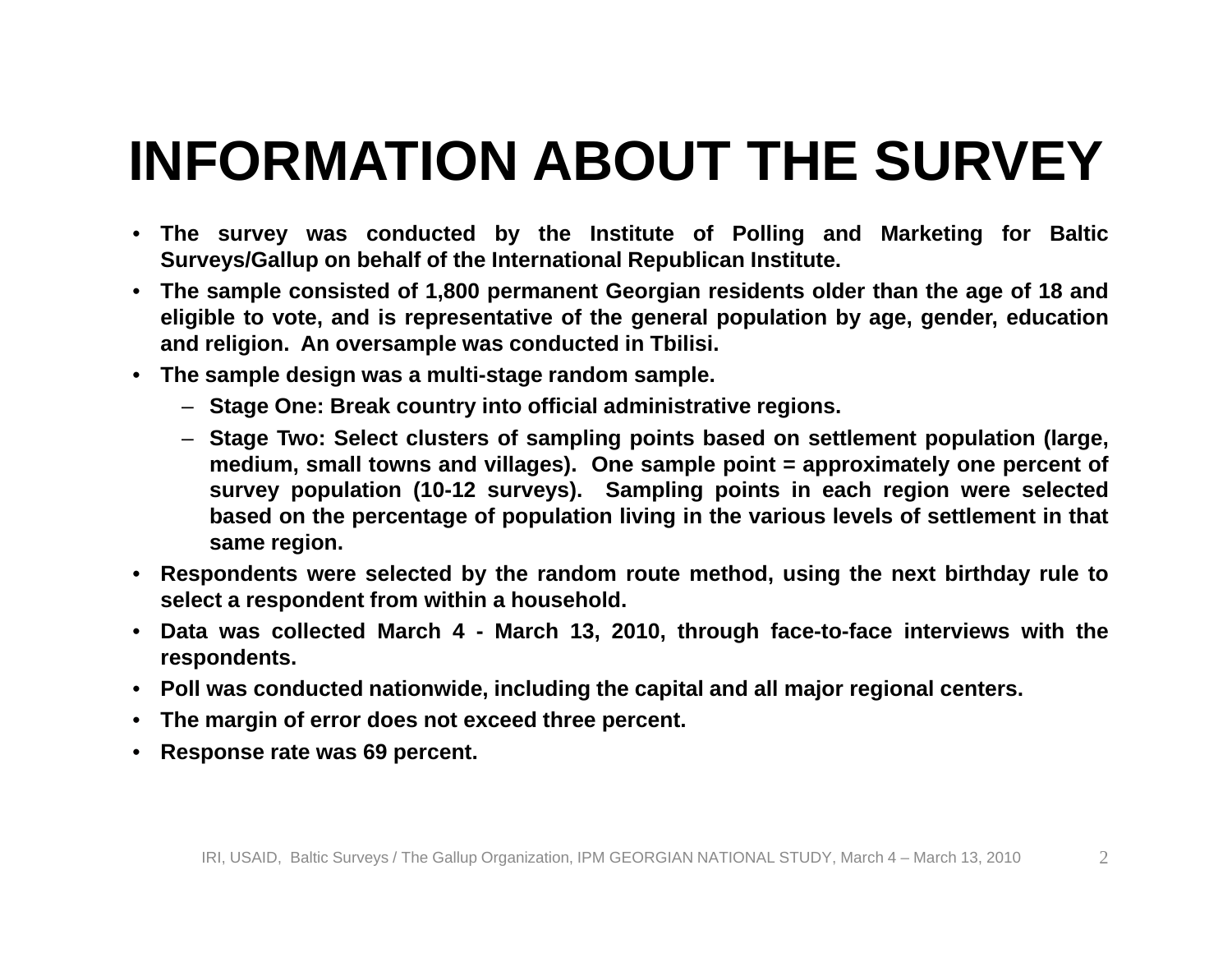### **INFORMATION ABOUT THE SURVEY**

- The survey was conducted by the Institute of Polling and Marketing for Baltic **Surveys/Gallup on behalf of the International Republican Institute.**
- The sample consisted of 1,800 permanent Georgian residents older than the age of 18 and eligible to vote, and is representative of the general population by age, gender, education **and religion. An oversample was conducted in Tbilisi.**
- **The sample design was <sup>a</sup> multi-stage random sample.**
	- **Stage One: Break country into official administrative regions.**
	- Stage Two: Select clusters of sampling points based on settlement population (large, medium, small towns and villages). One sample point = approximately one percent of survey population (10-12 surveys). Sampling points in each region were selected based on the percentage of population living in the various levels of settlement in that **same region.**
- Respondents were selected by the random route method, using the next birthday rule to **select <sup>a</sup> respondent from within <sup>a</sup> household.**
- Data was collected March 4 March 13, 2010, through face-to-face interviews with the **respondents.**
- Poll was conducted nationwide, including the capital and all major regional centers.
- **The margin of error does not exceed three percent.**
- •**Response rate was 69 percent.**

 $\mathcal{D}_{\mathcal{L}}$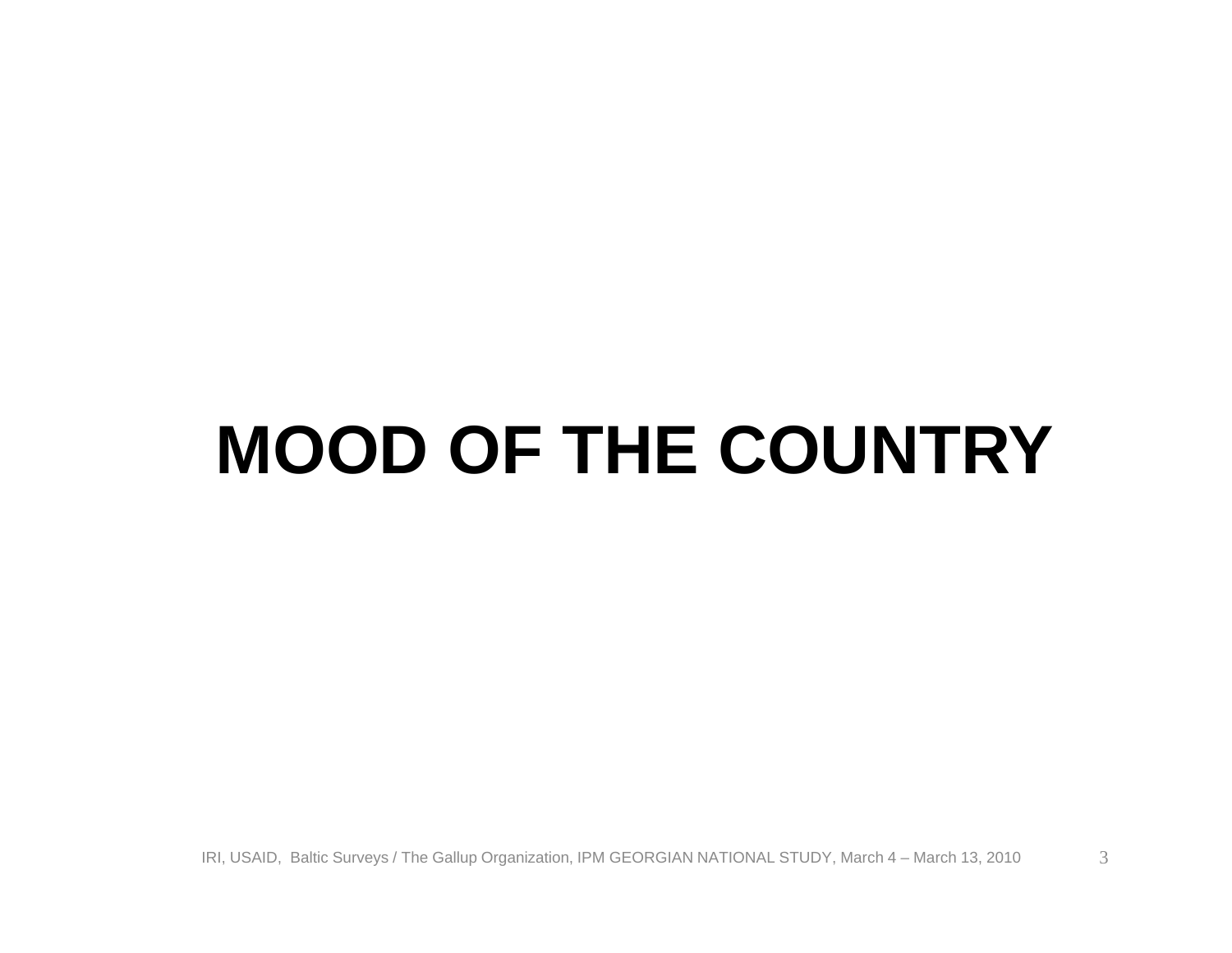### **MOOD OF THE COUNTRY**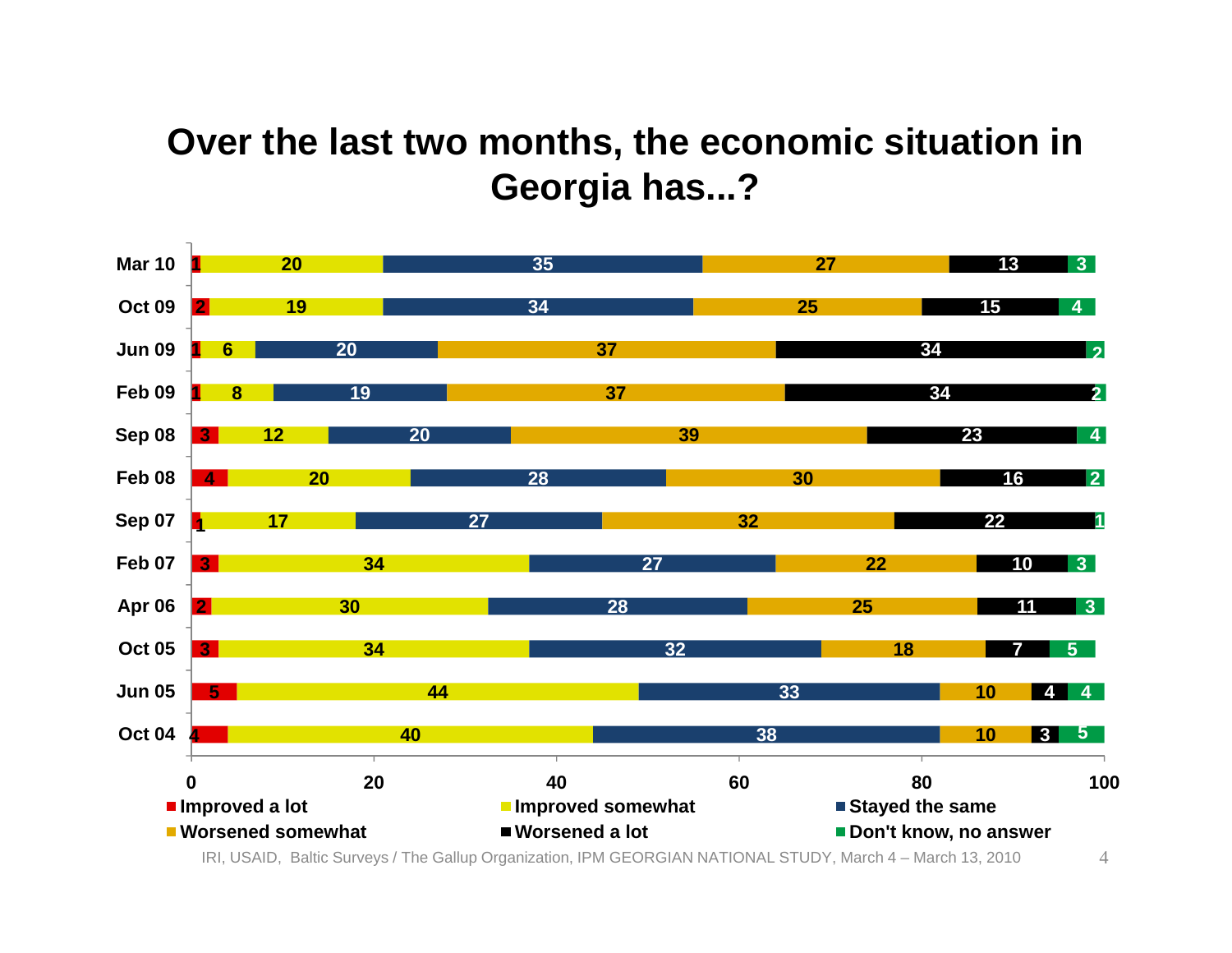#### **Over the last two months, the economic situation in Georgia has...?**

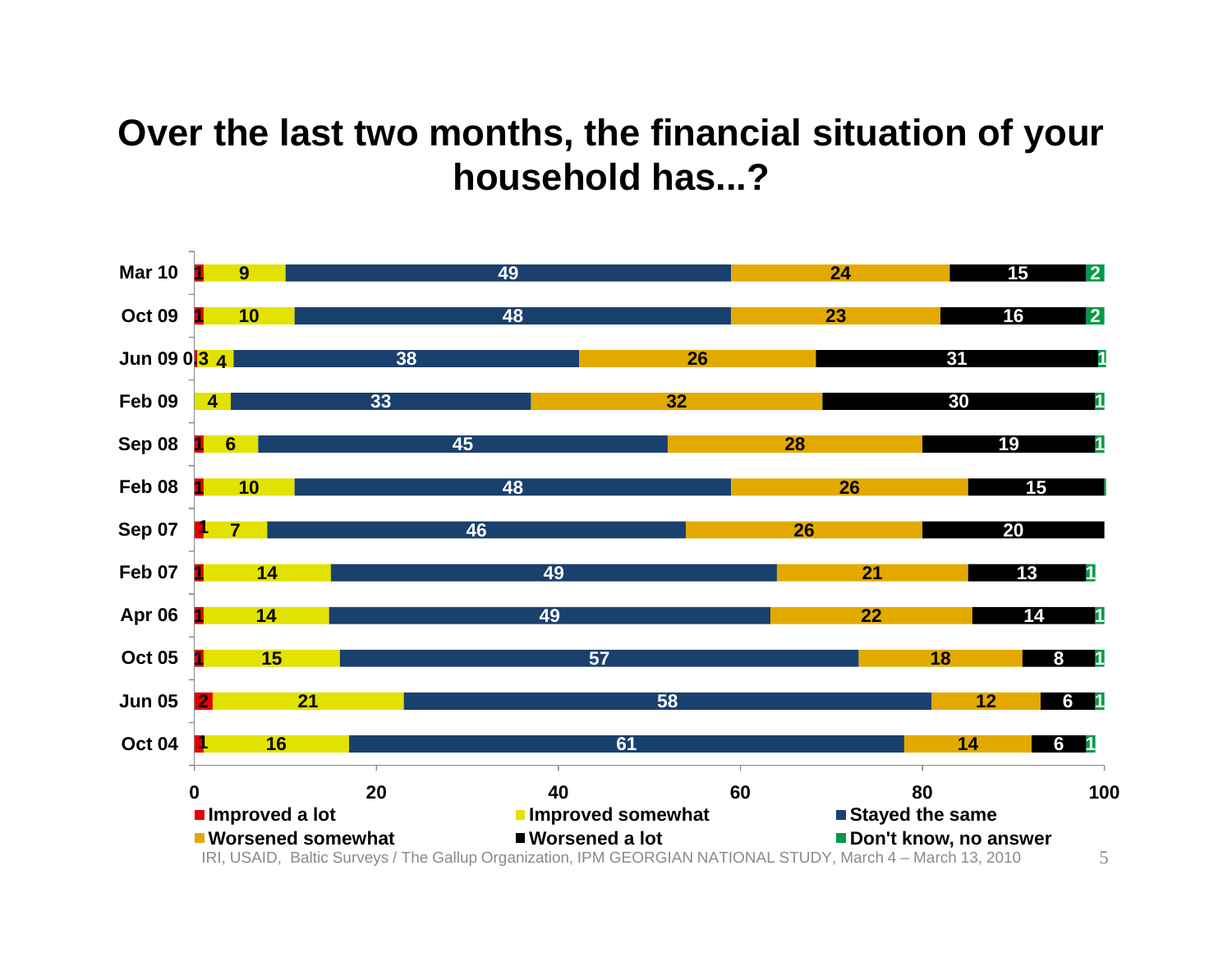#### **Over the last two months, the financial situation of your household has...?**

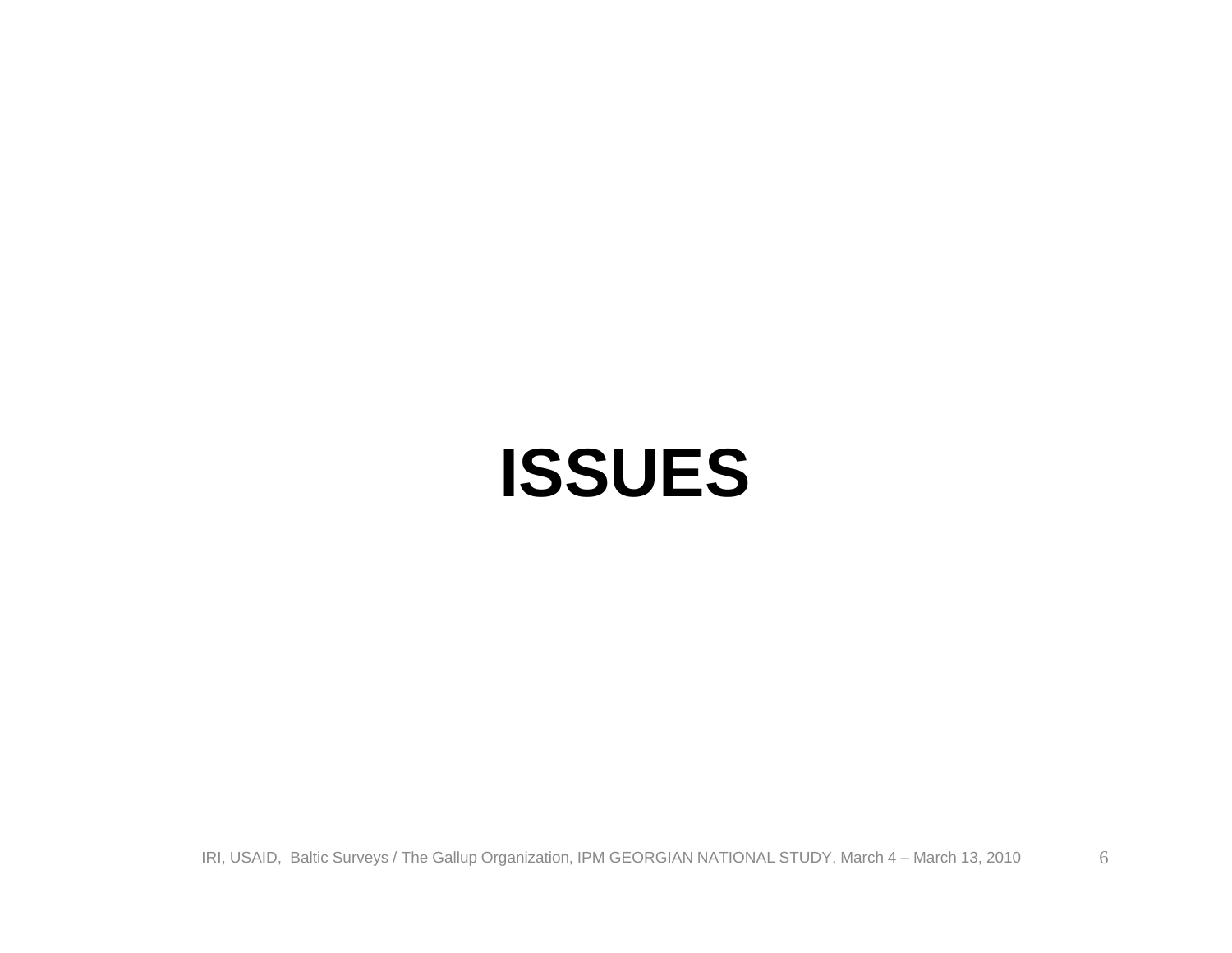### **ISSUES**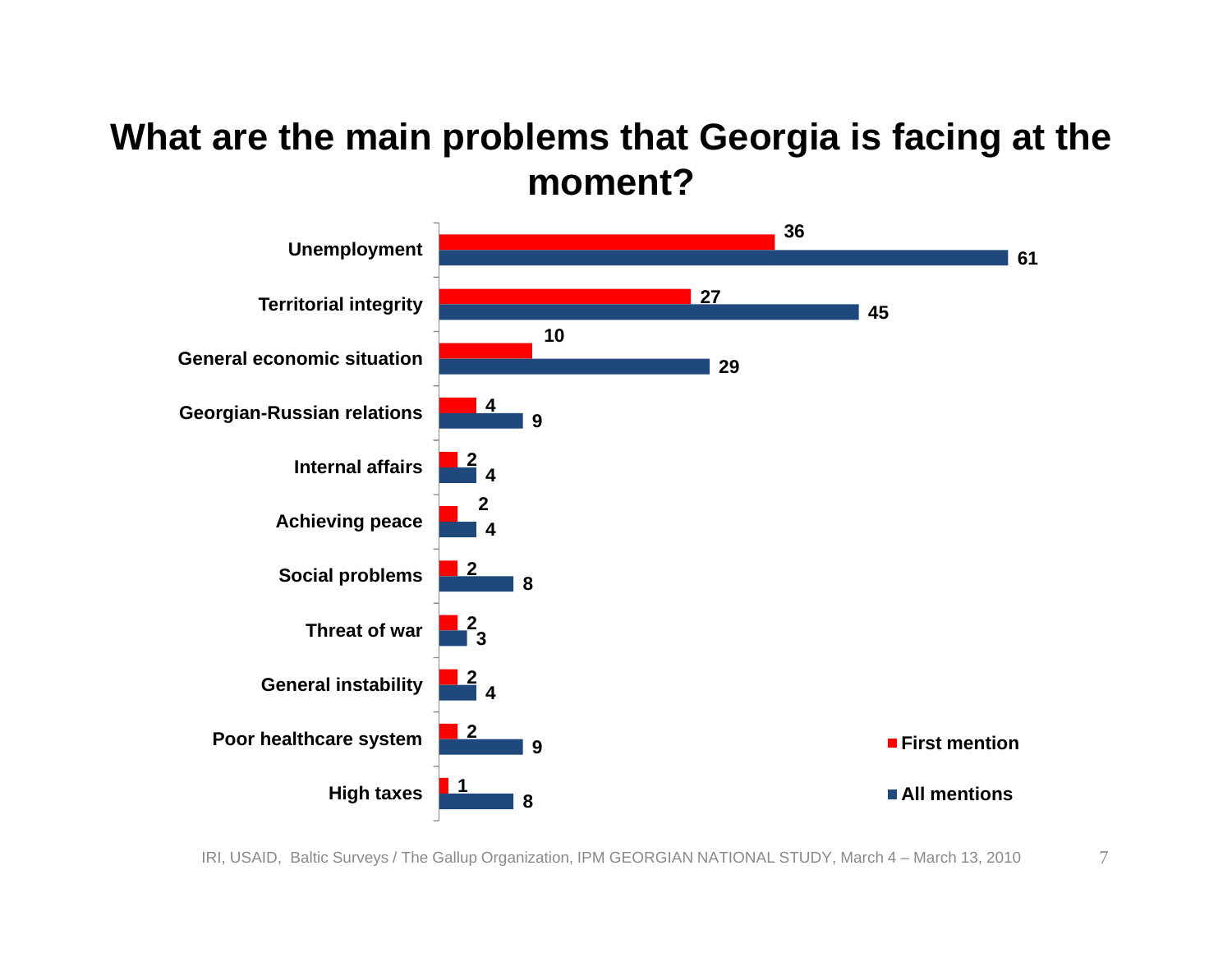#### **What are the main problems that Georgia is facing at the moment?**

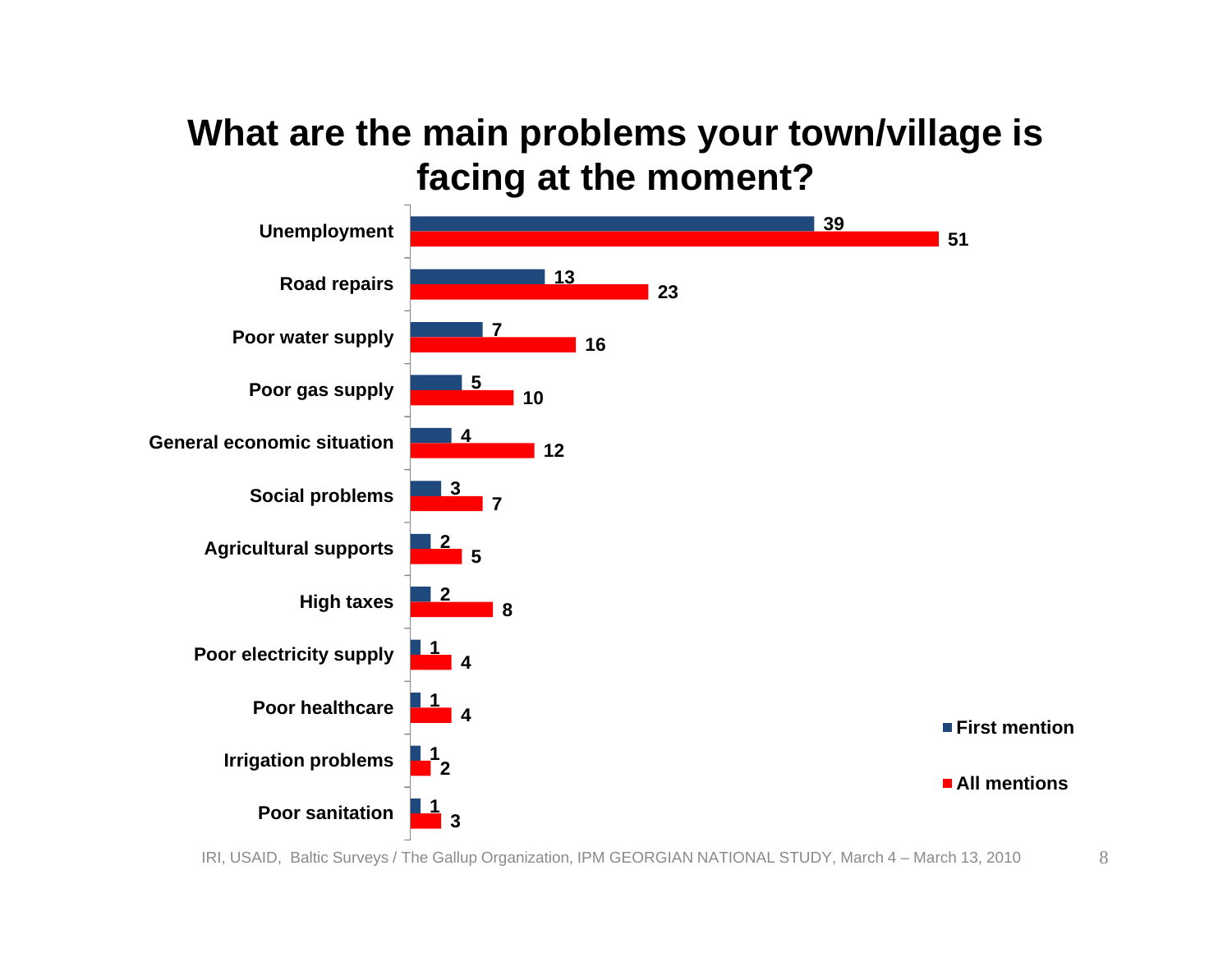#### **What are the main problems your town/village is facing at the moment?**

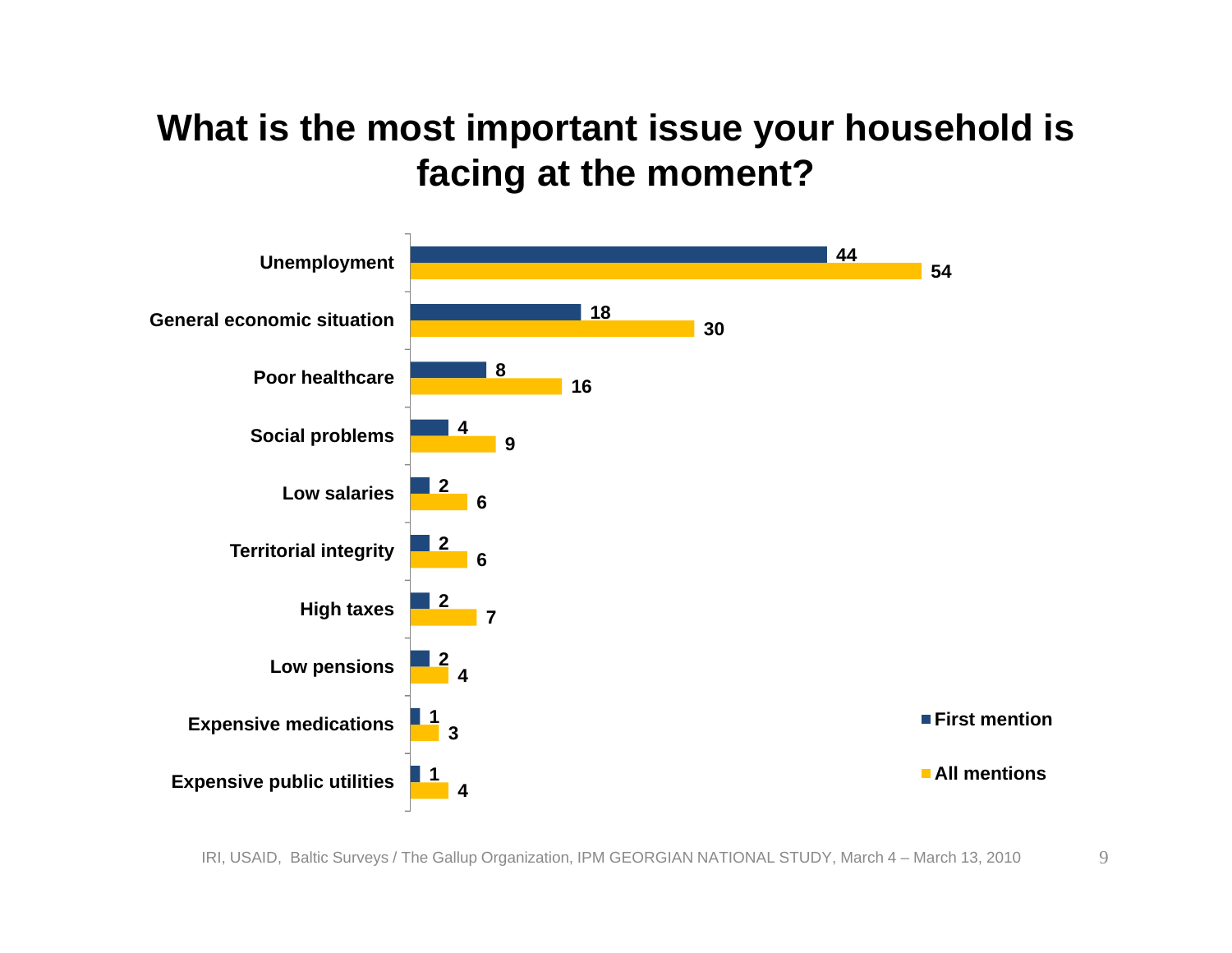#### **What is the most important issue your household is facing at the moment?**

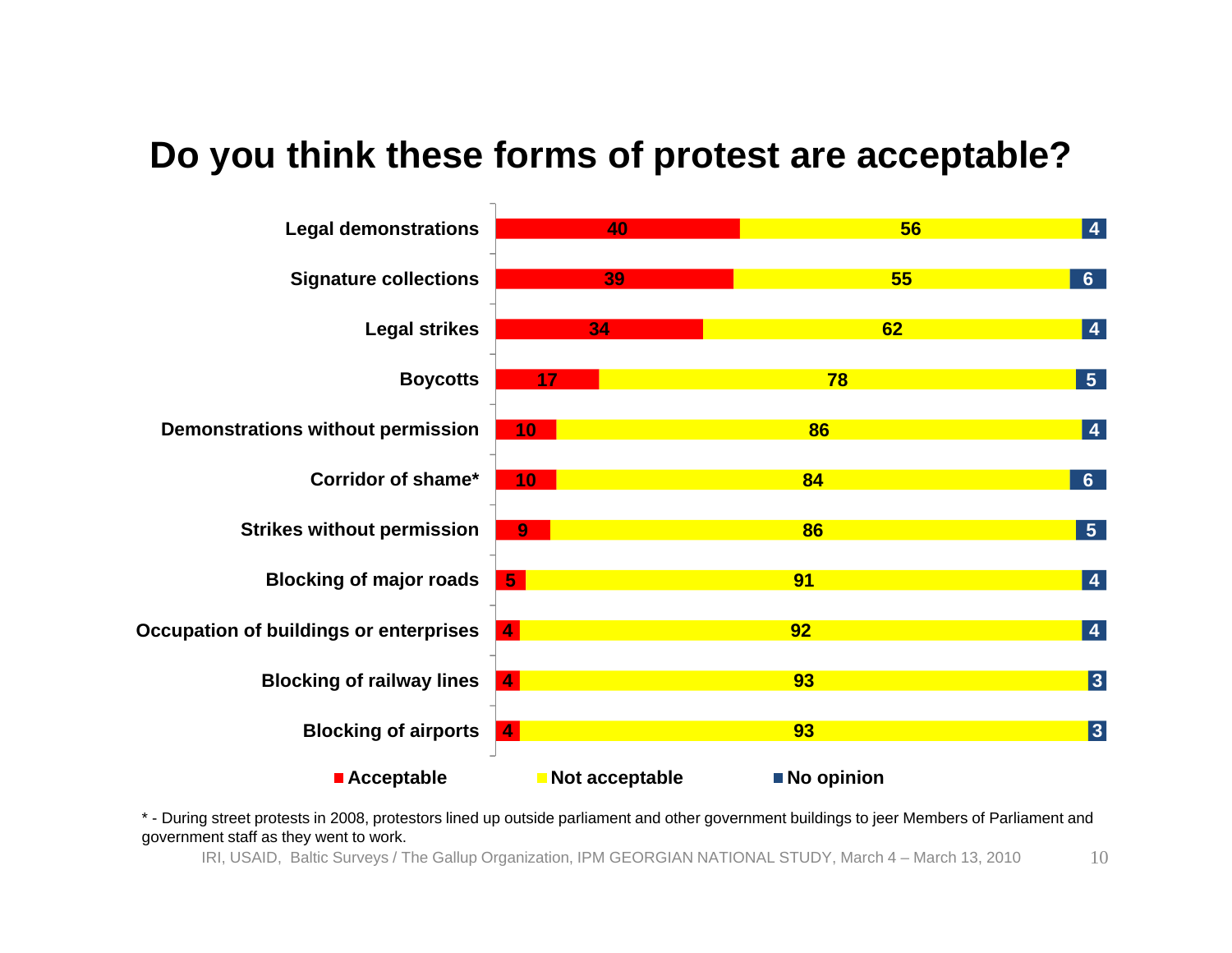#### **Do you think these forms of protest are acceptable?**



\* - During street protests in 2008, protestors lined up outside parliament and other government buildings to jeer Members of Parliament and government staff as they went to work.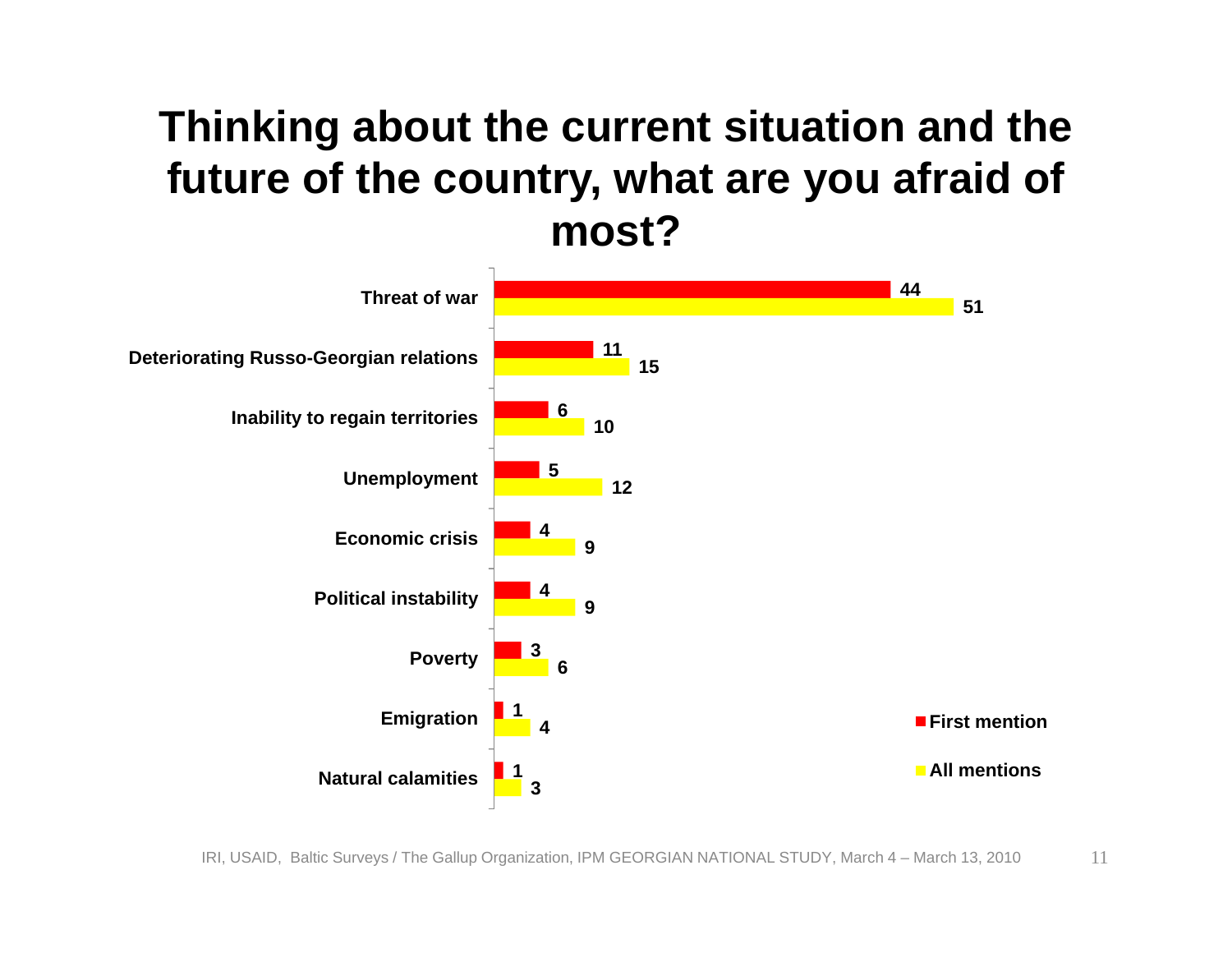### **Thinking about the current situation and the future of the country, what are you afraid of most?**

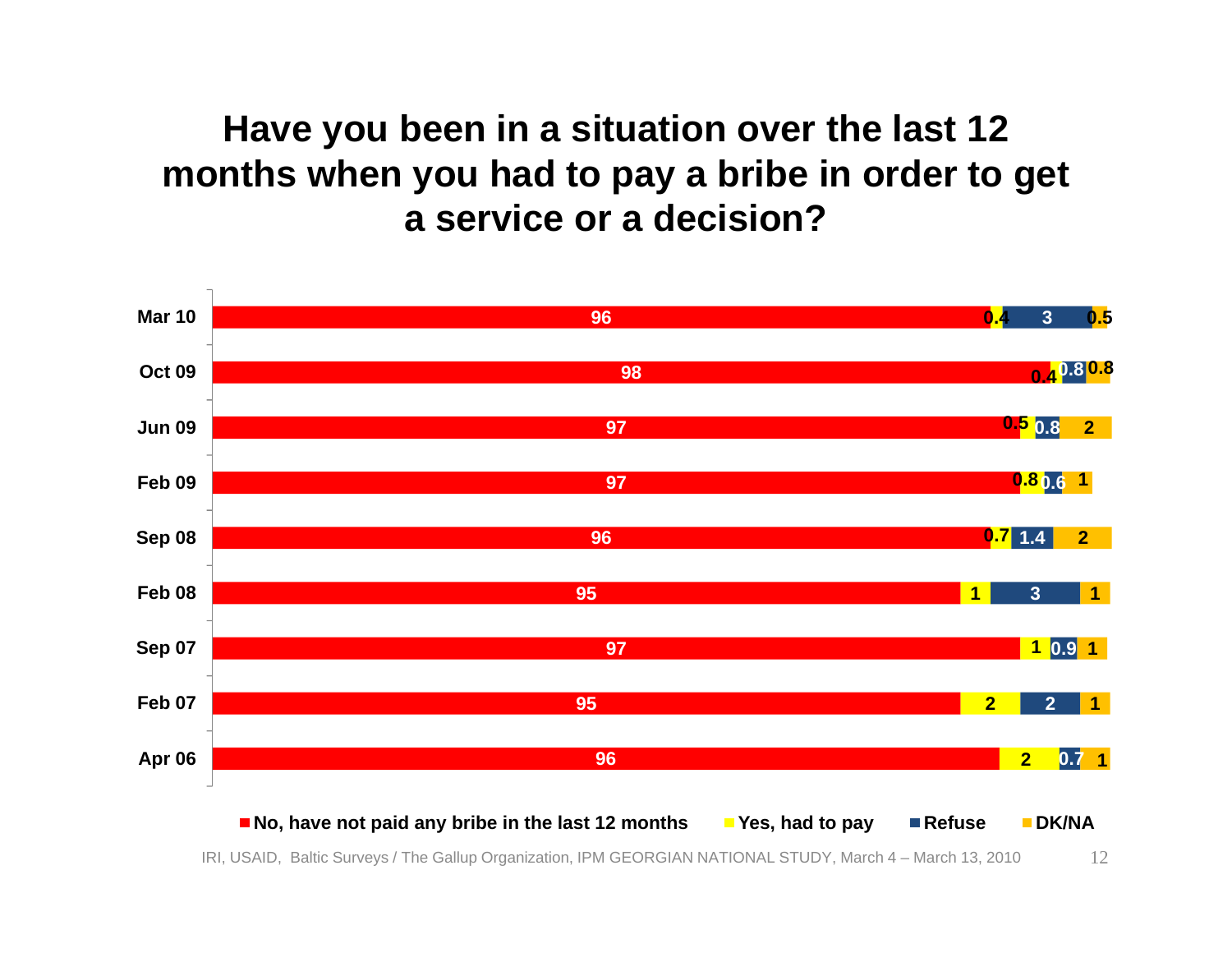#### **Have you been in a situation over the last 12 months when you had to pay a bribe in order to get a service or a decision?**

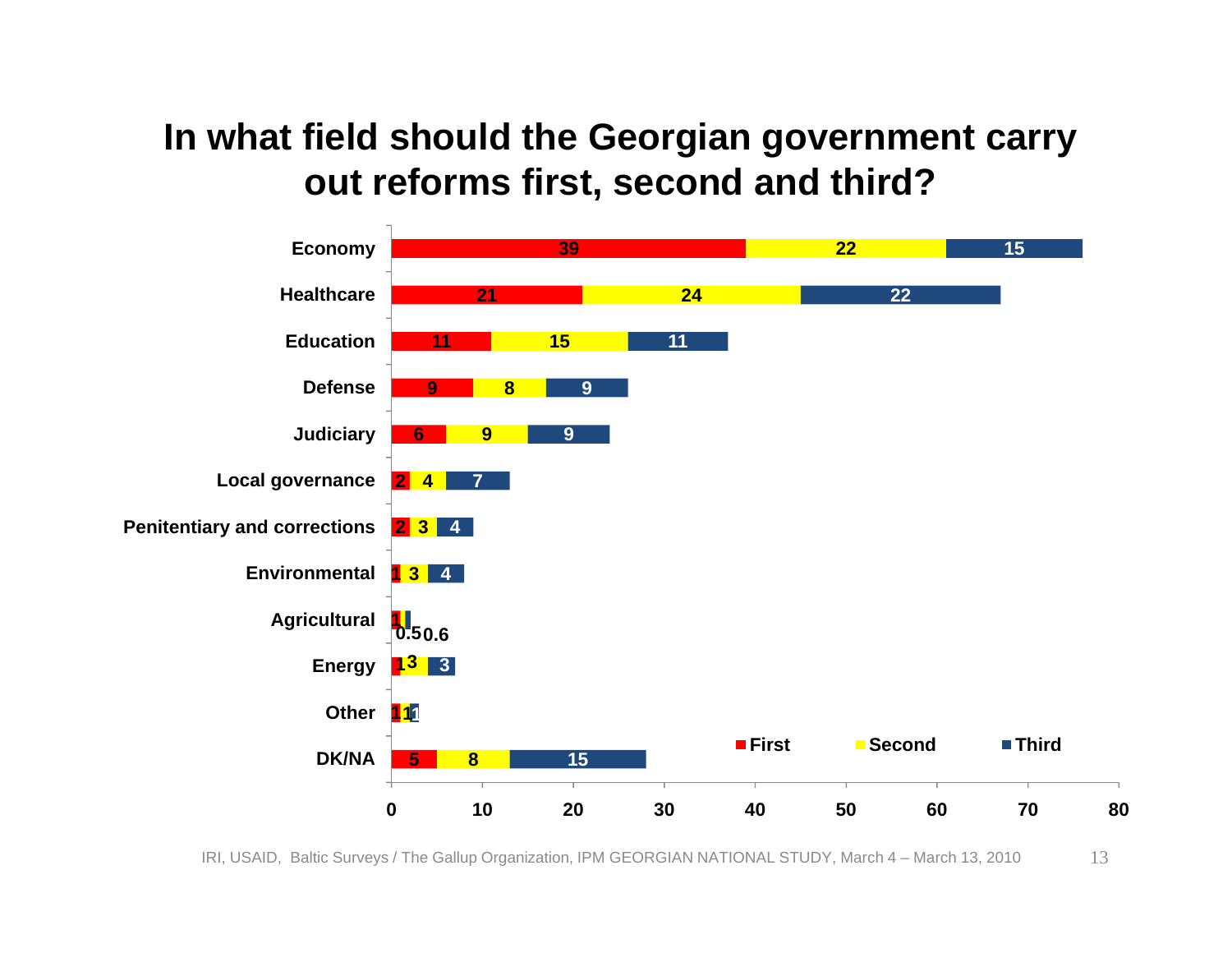#### **In what field should the Georgian government carry out reforms first, second and third?**

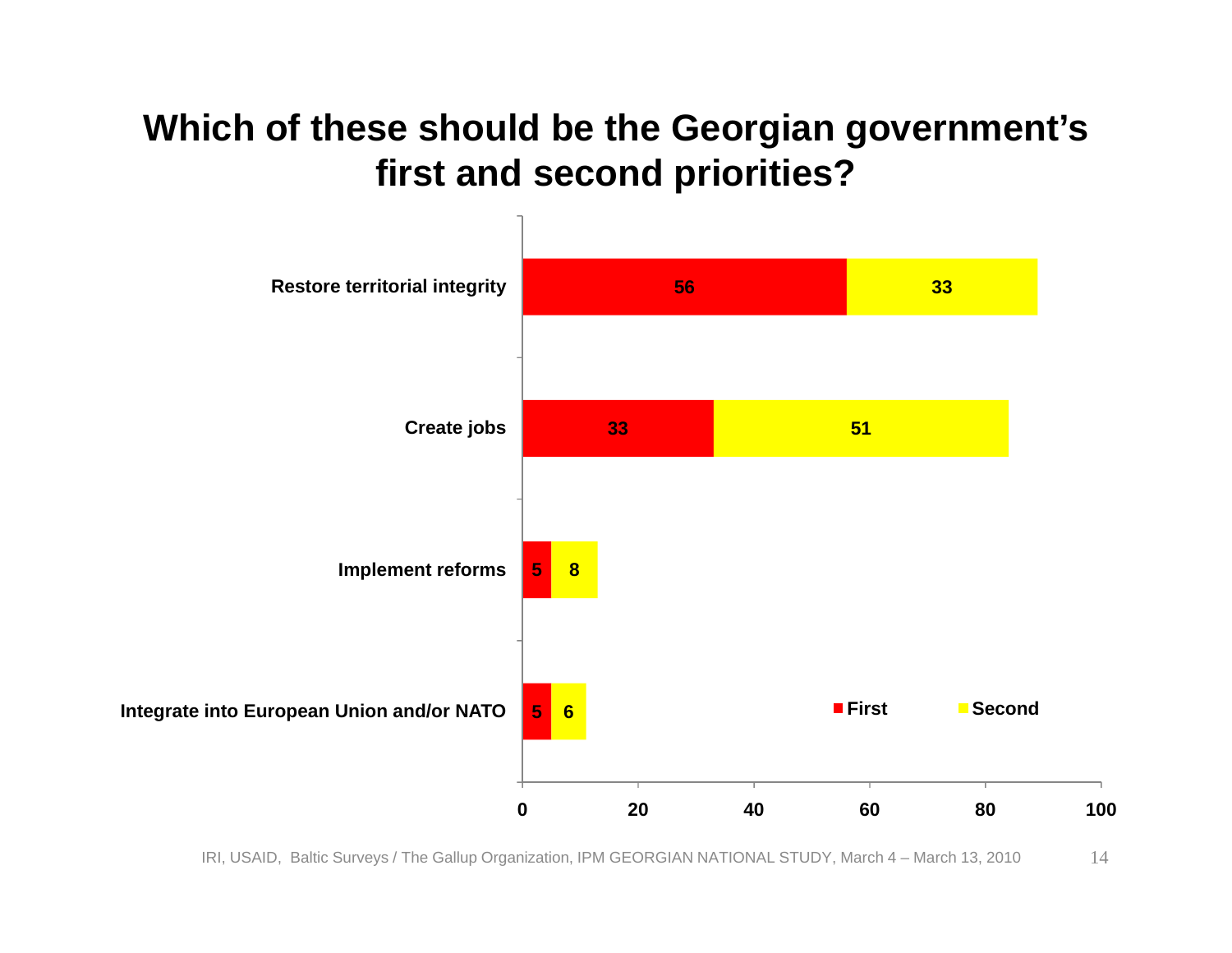#### **Which of these should be the Georgian government's first and second priorities?**

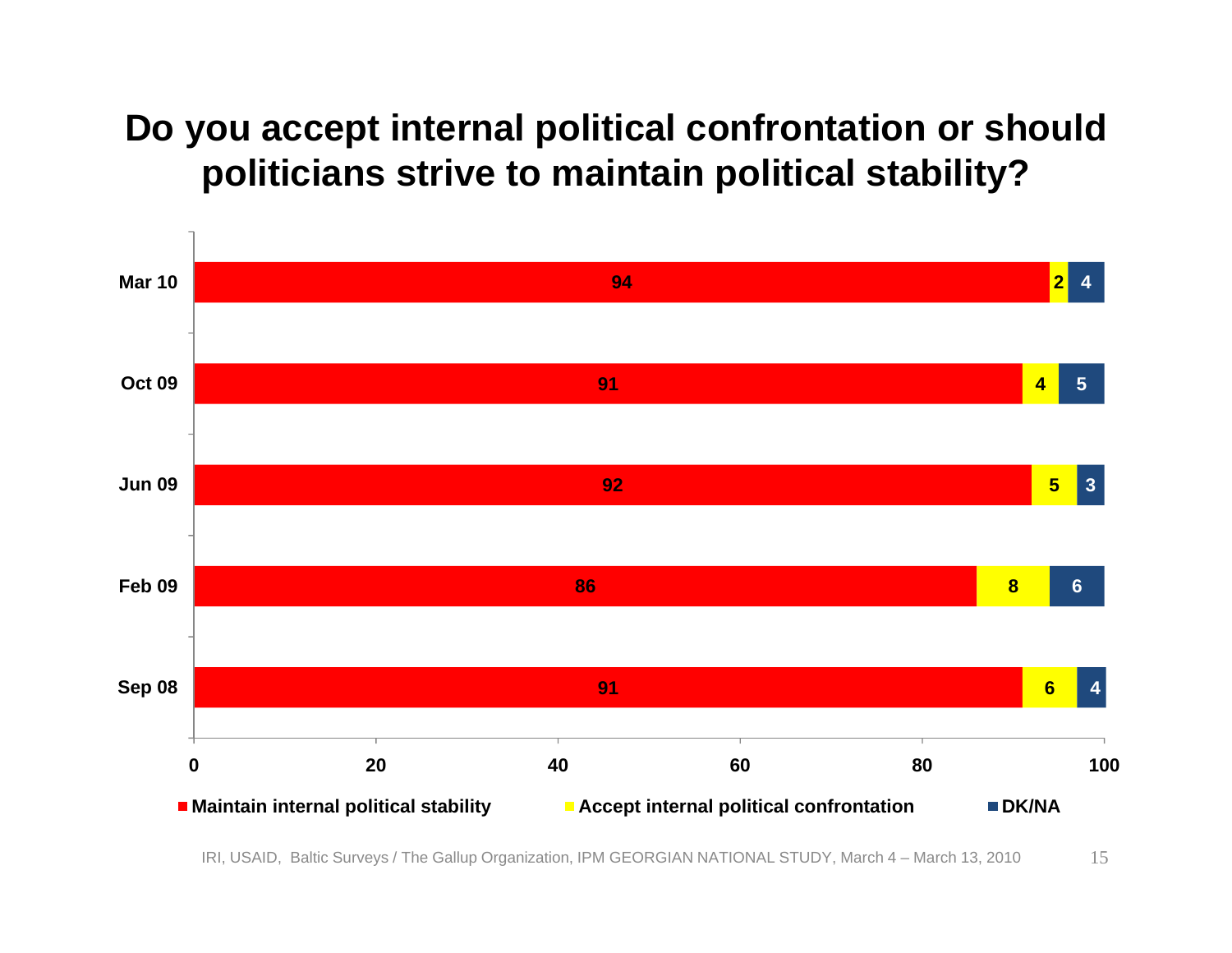#### **Do you accept internal political confrontation or should politicians strive to maintain political stability?**

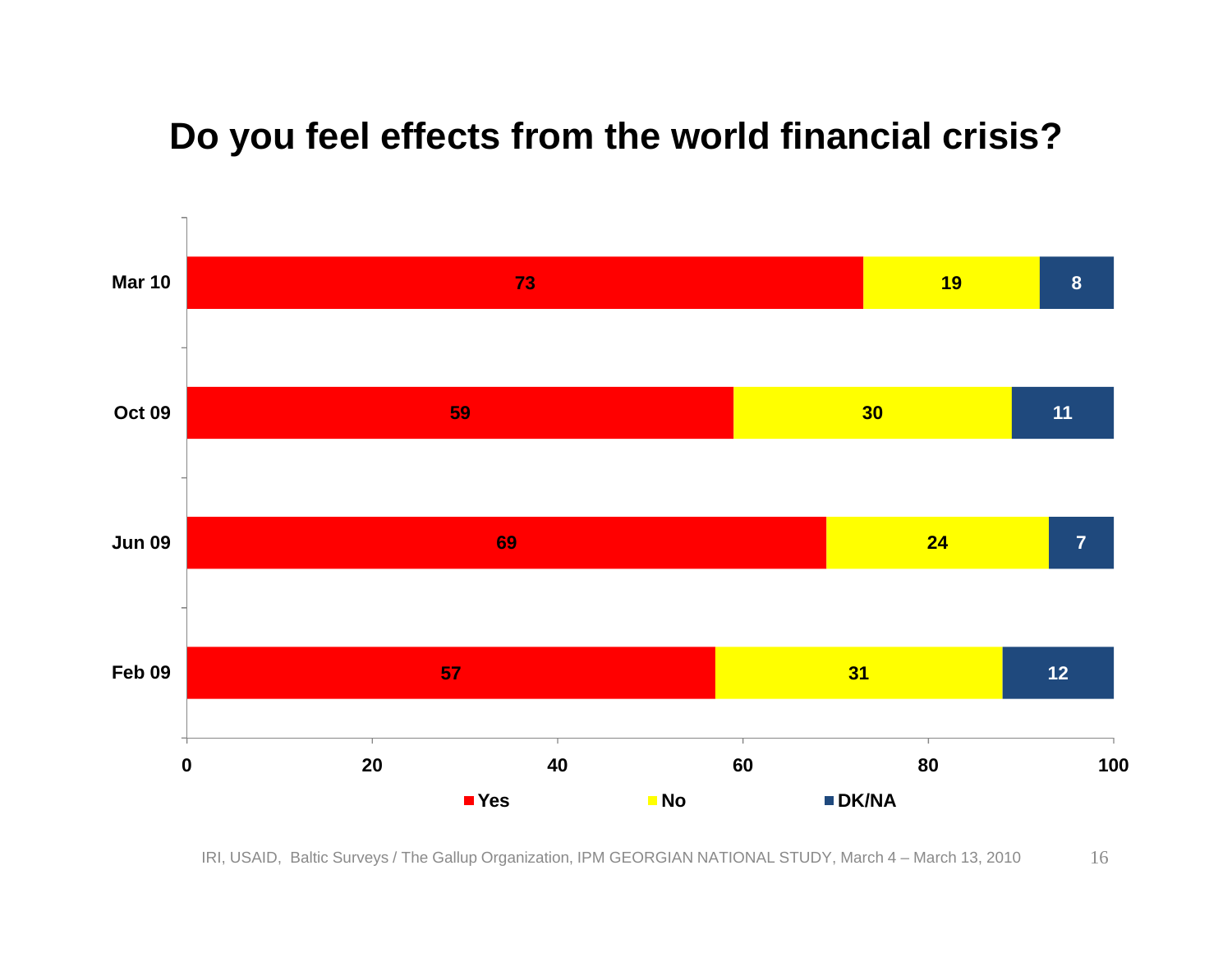#### **Do you feel effects from the world financial crisis?**

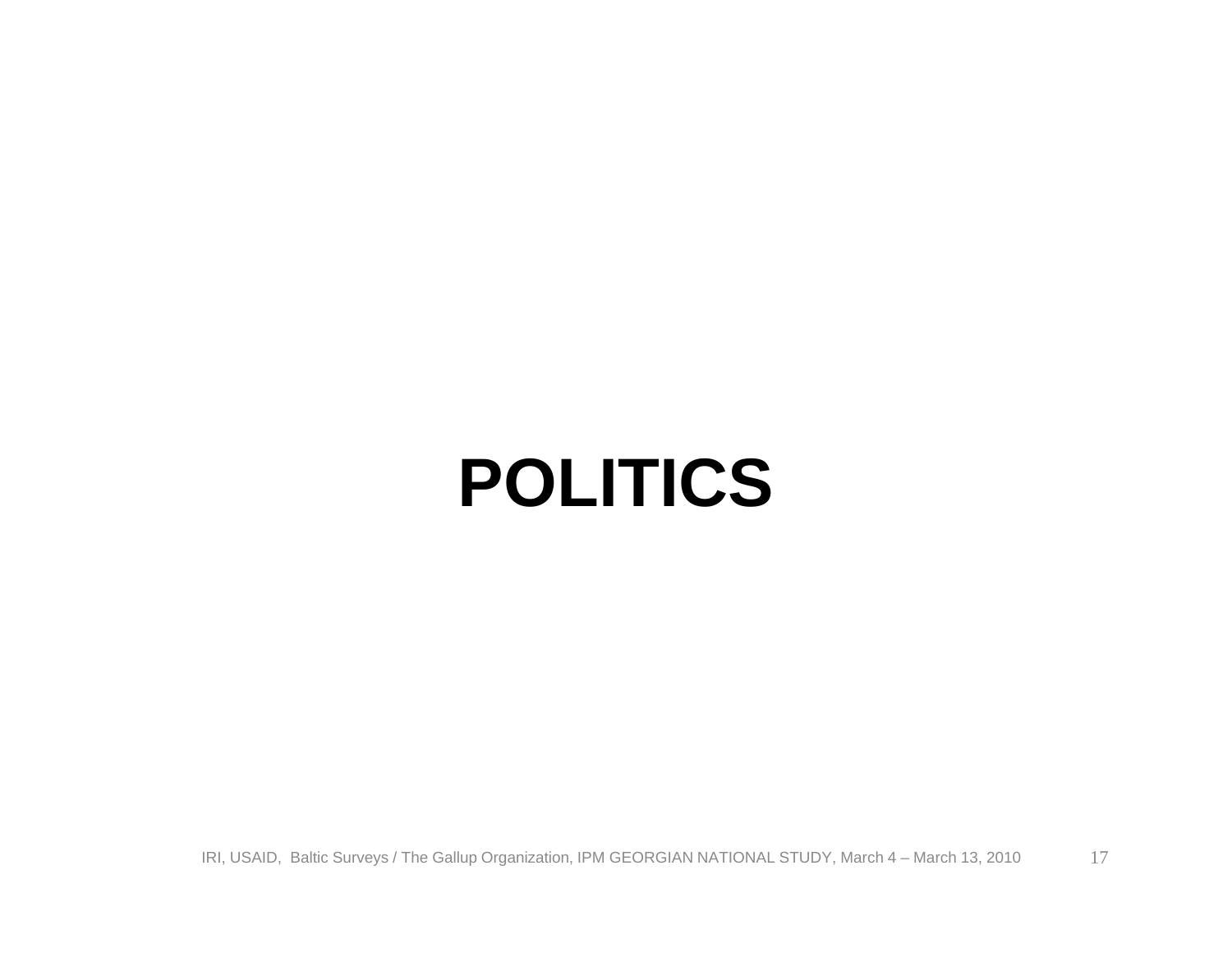### **POLITICS**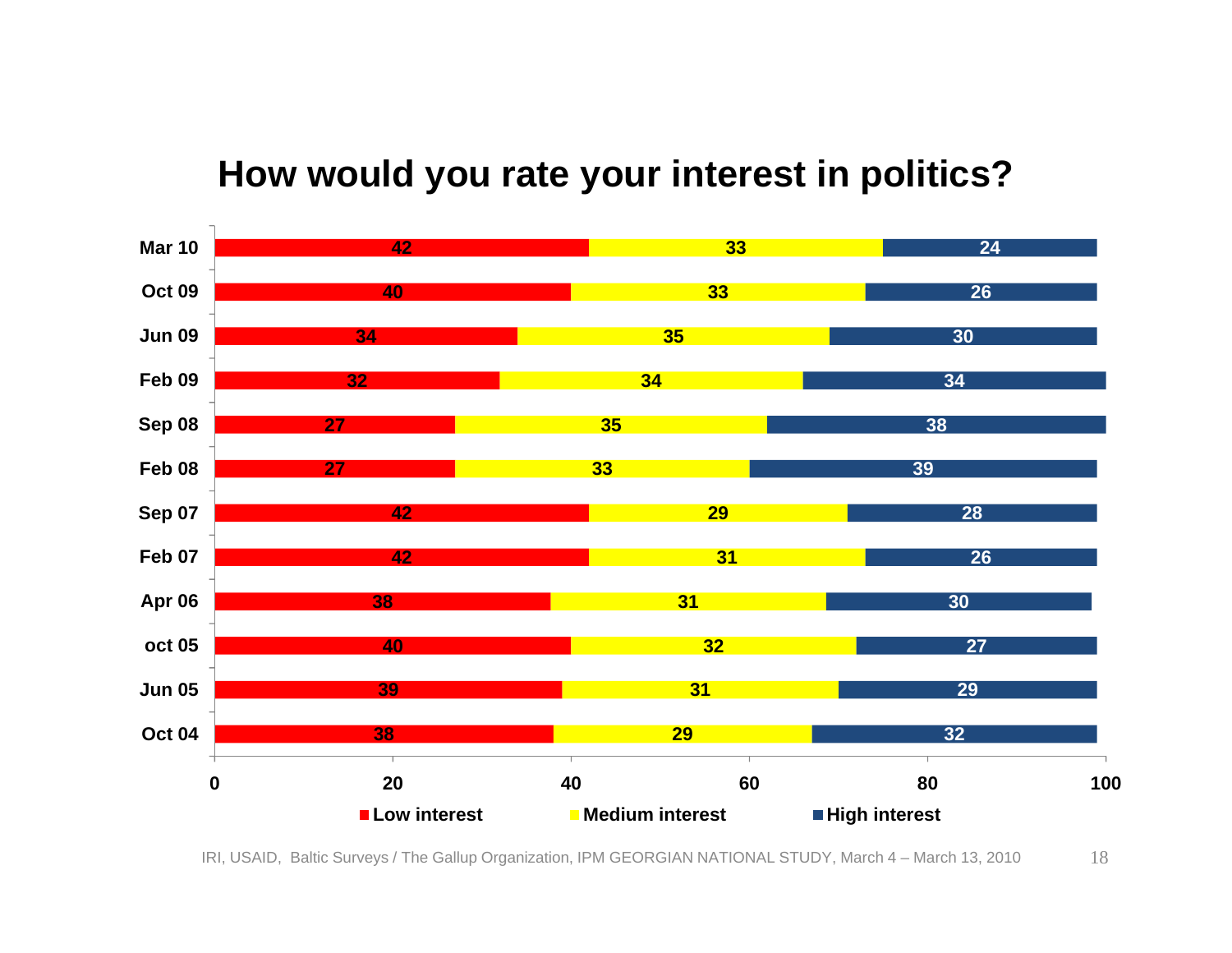#### **How would you rate your interest in politics?**

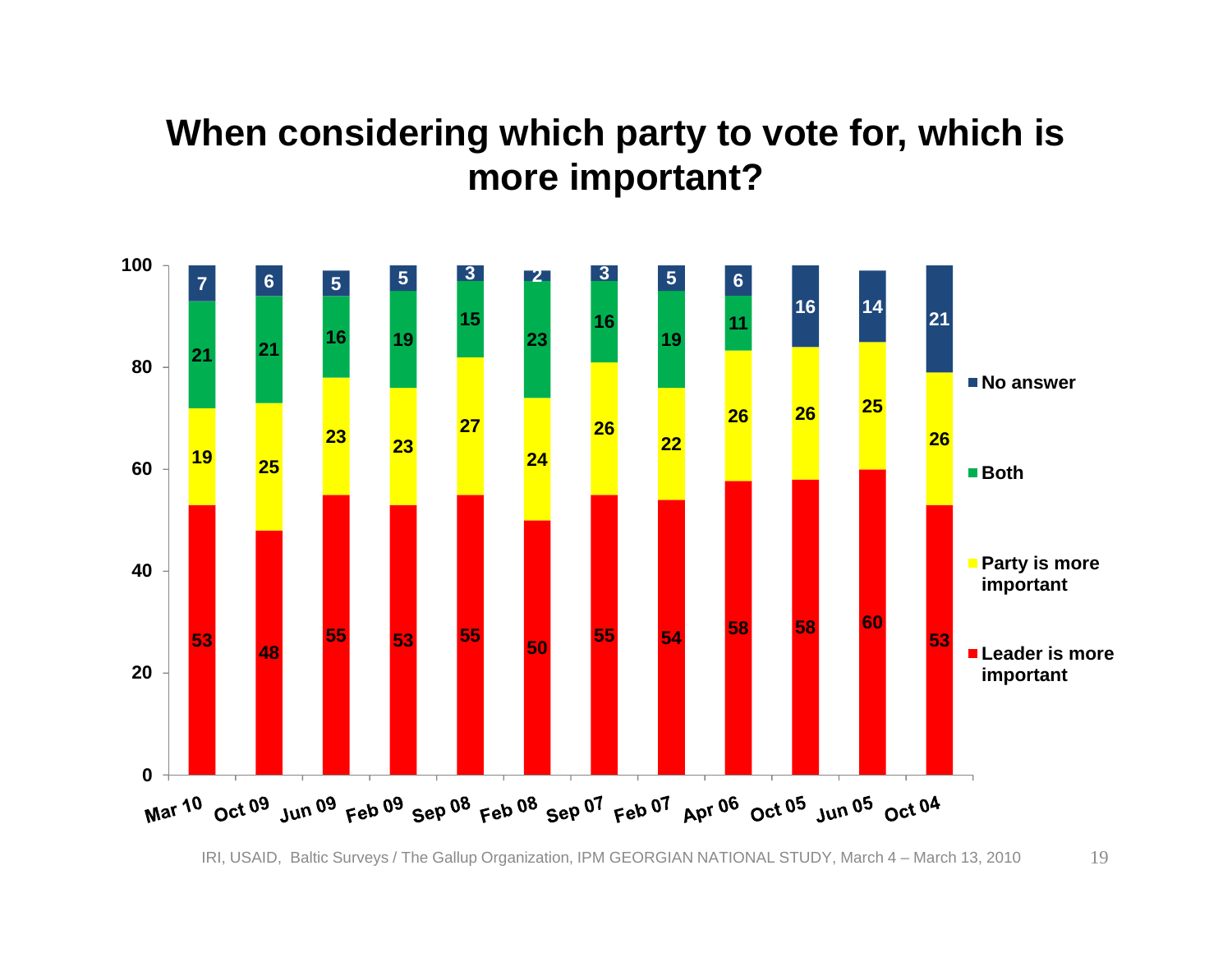#### **When considering which party to vote for, which is more important?**

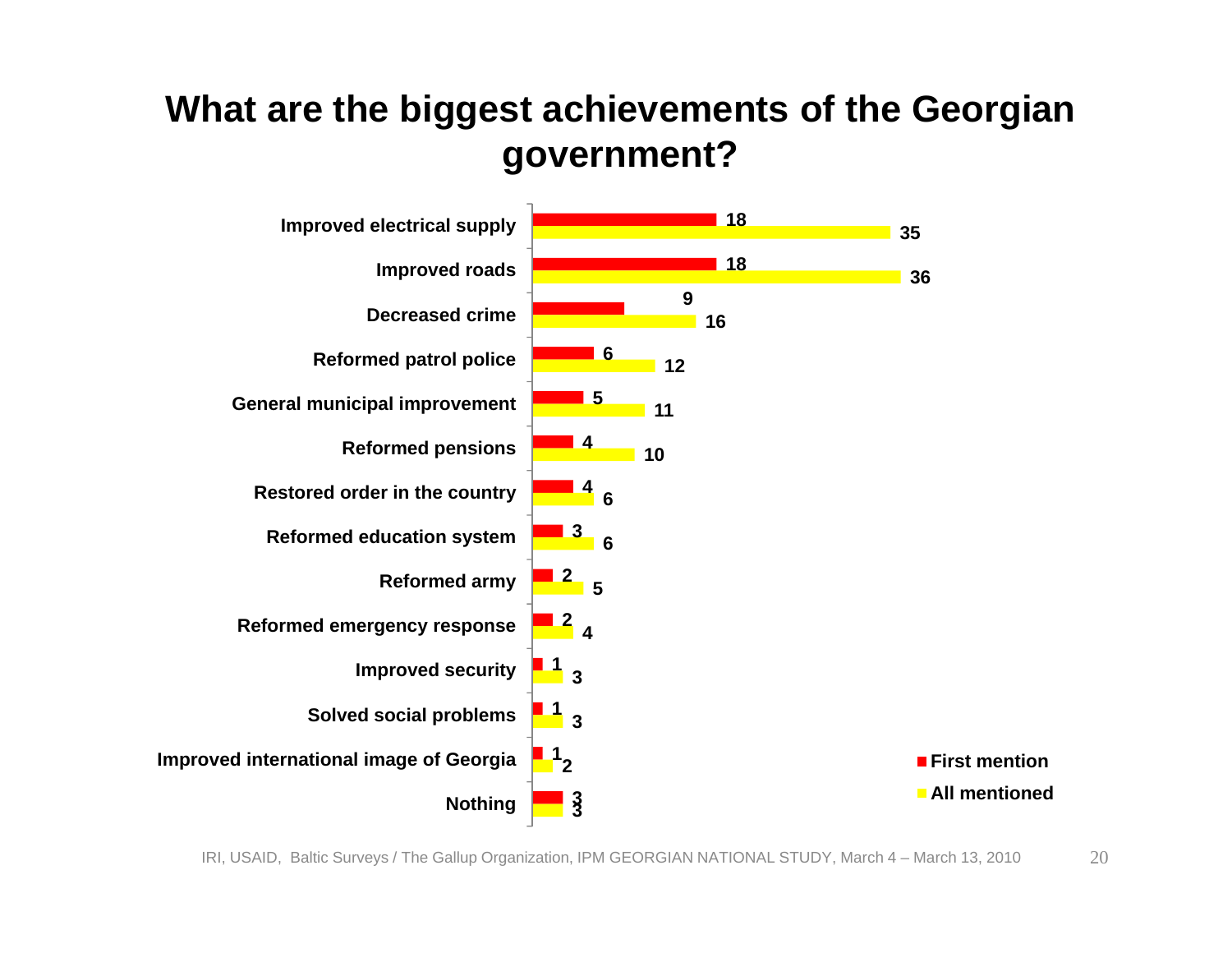#### **What are the biggest achievements of the Georgian government?**

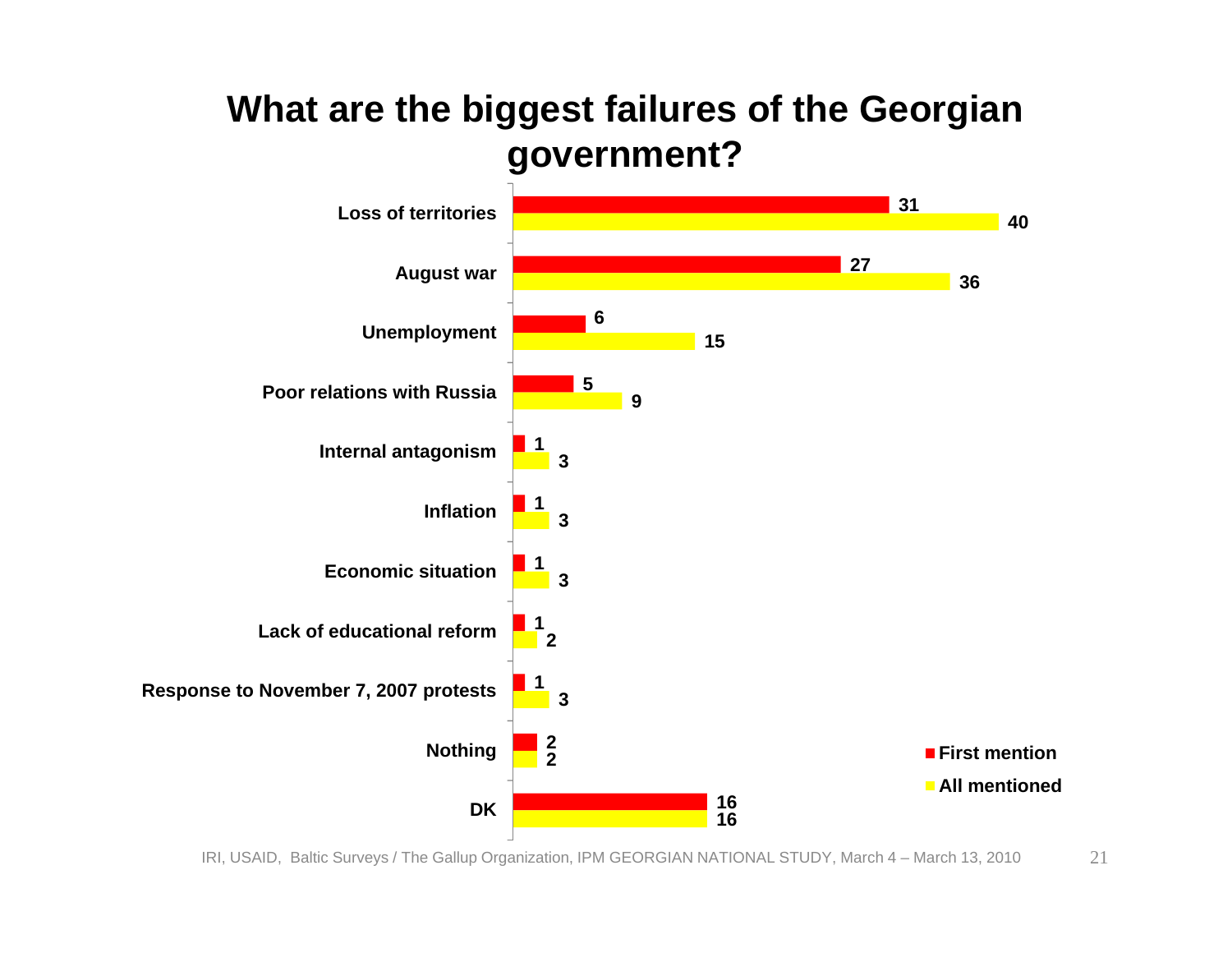#### **What are the biggest failures of the Georgian government?**

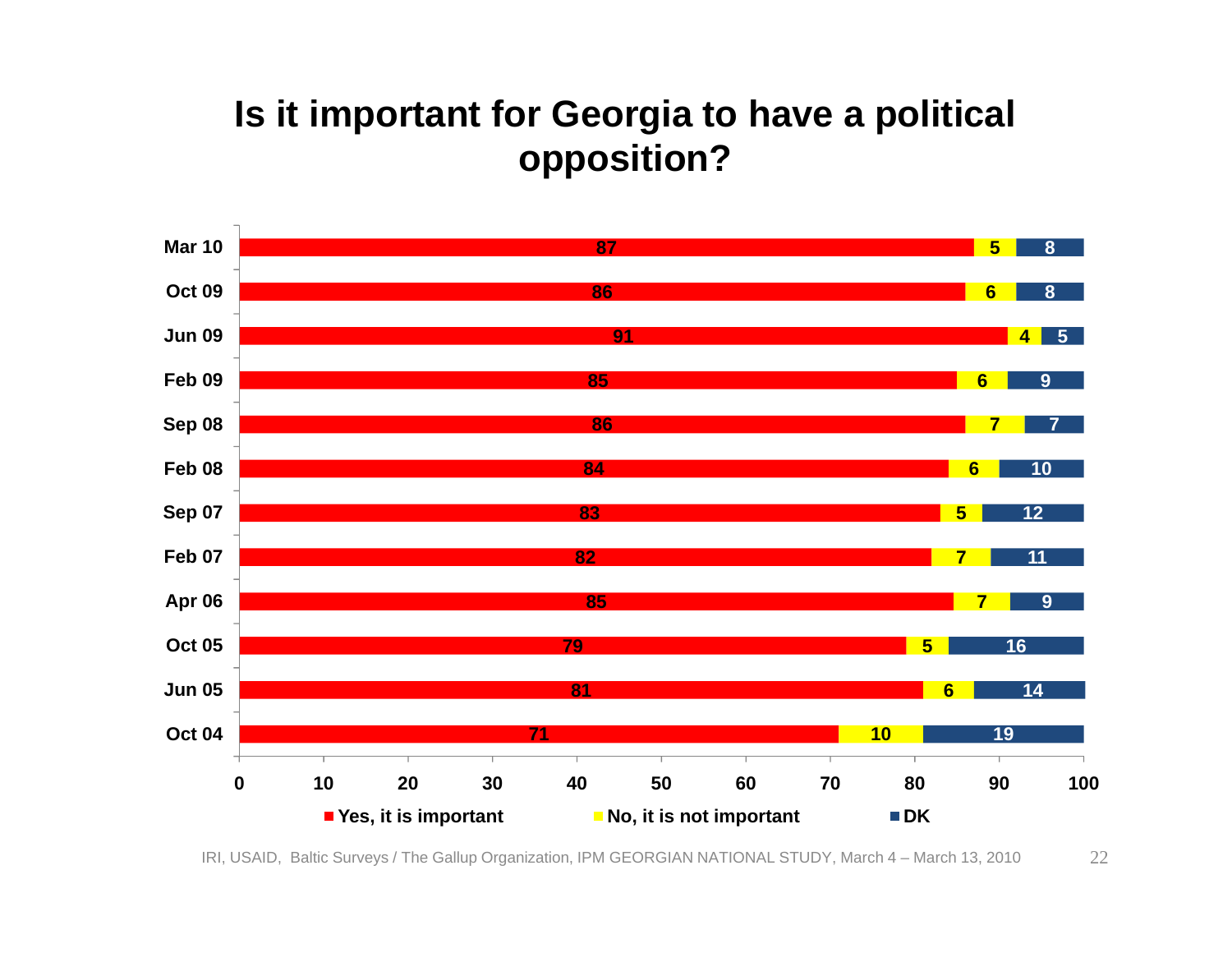#### **Is it important for Georgia to have a political opposition?**



IRI, USAID, Baltic Surveys / The Gallup Organization, IPM GEORGIAN NATIONAL STUDY, March 4 – March 13, 2010 22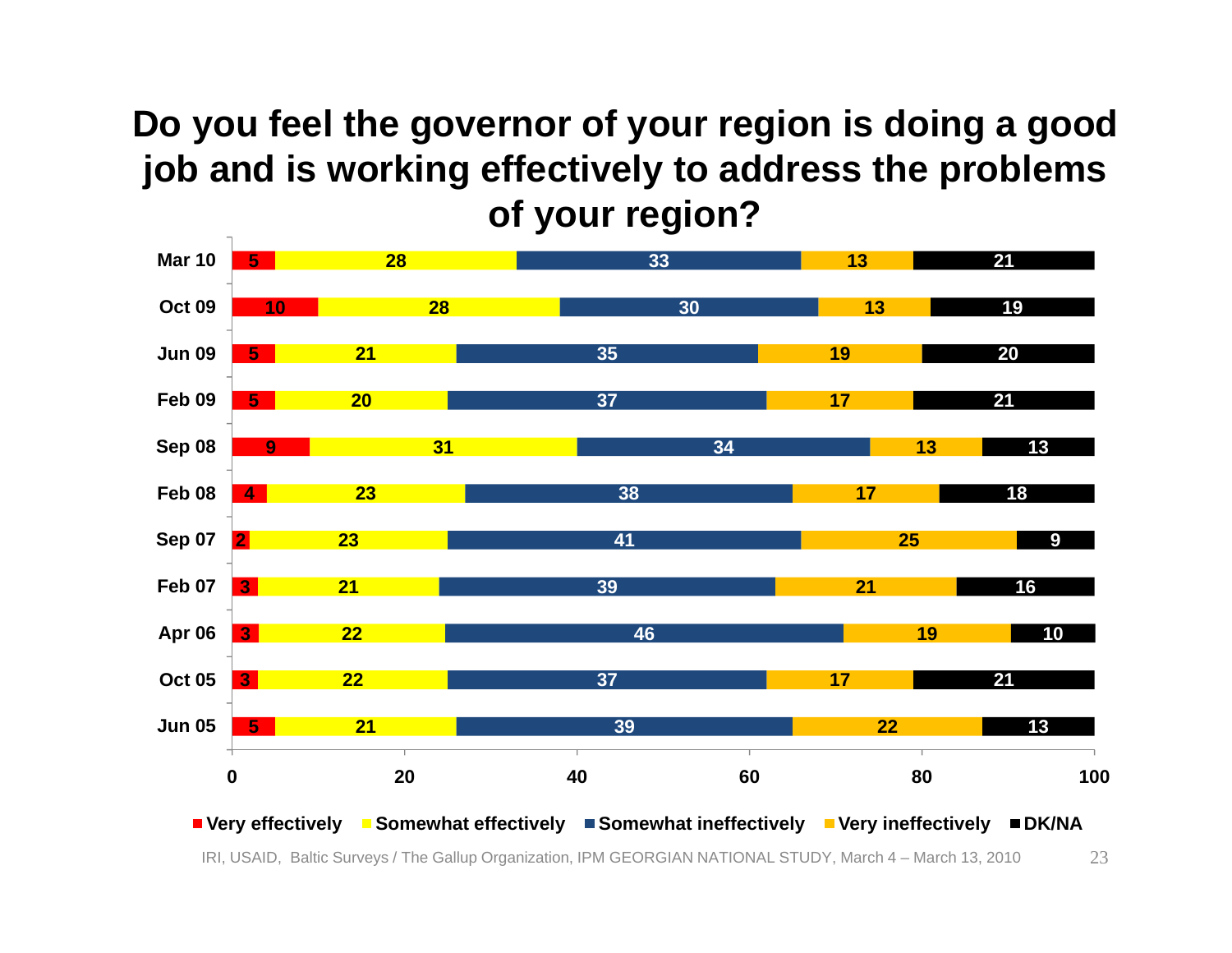#### **Do you feel the governor of your region is doing a good job and is working effectively to address the problems of your region?**

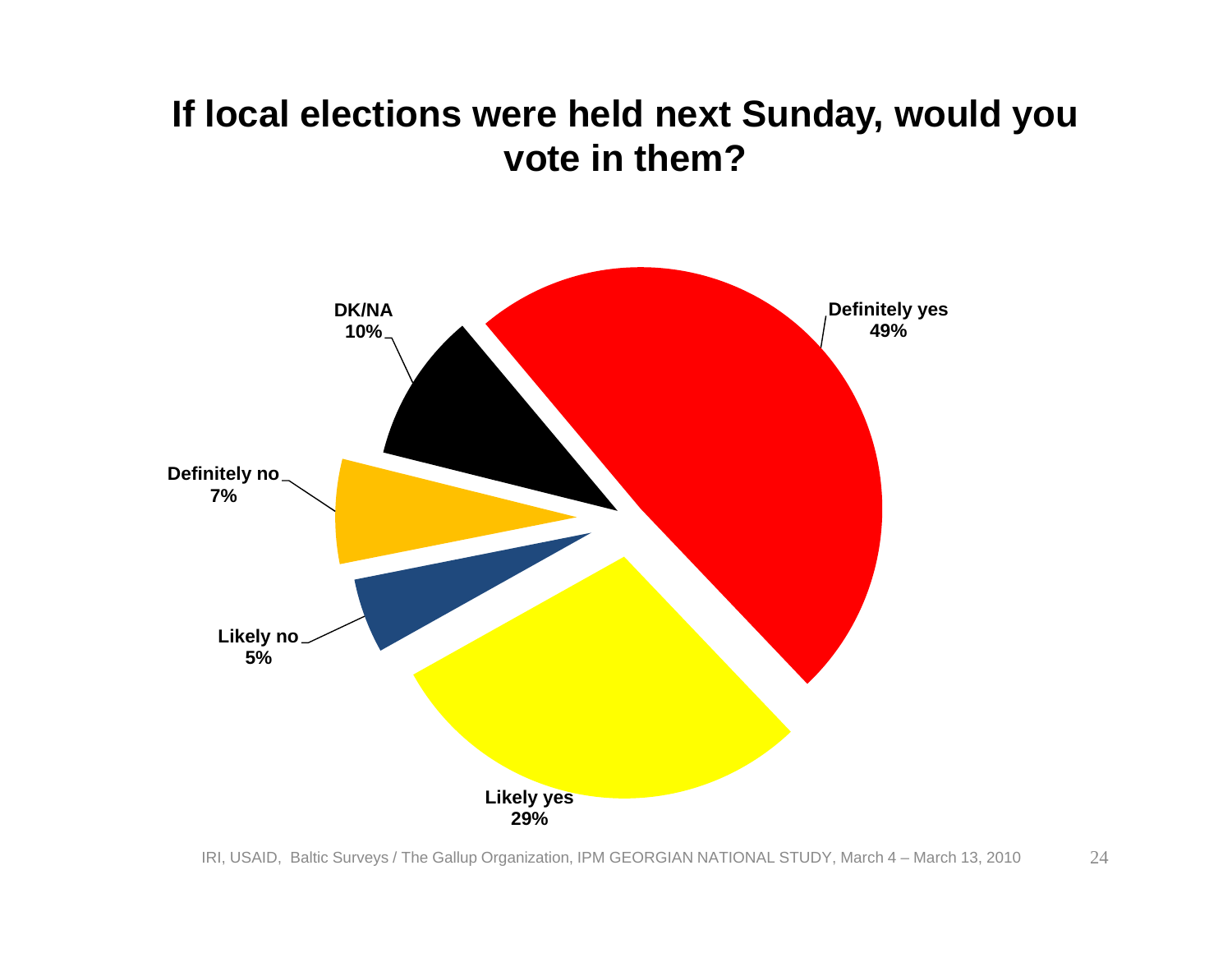#### **If local elections were held next Sunday, would you vote in them?**

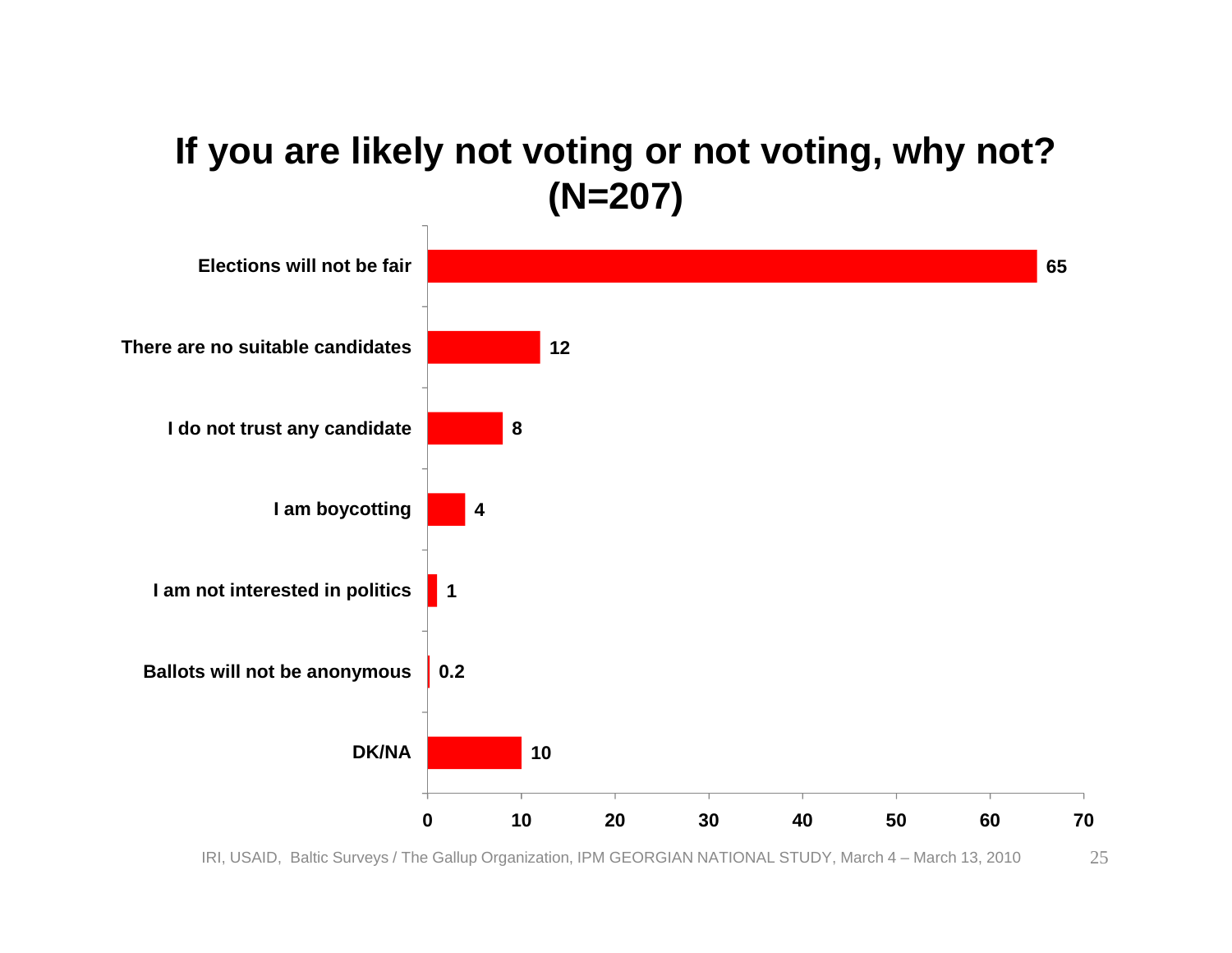#### **If you are likely not voting or not voting, why not? (N=207)**



IRI, USAID, Baltic Surveys / The Gallup Organization, IPM GEORGIAN NATIONAL STUDY, March 4 – March 13, 2010 25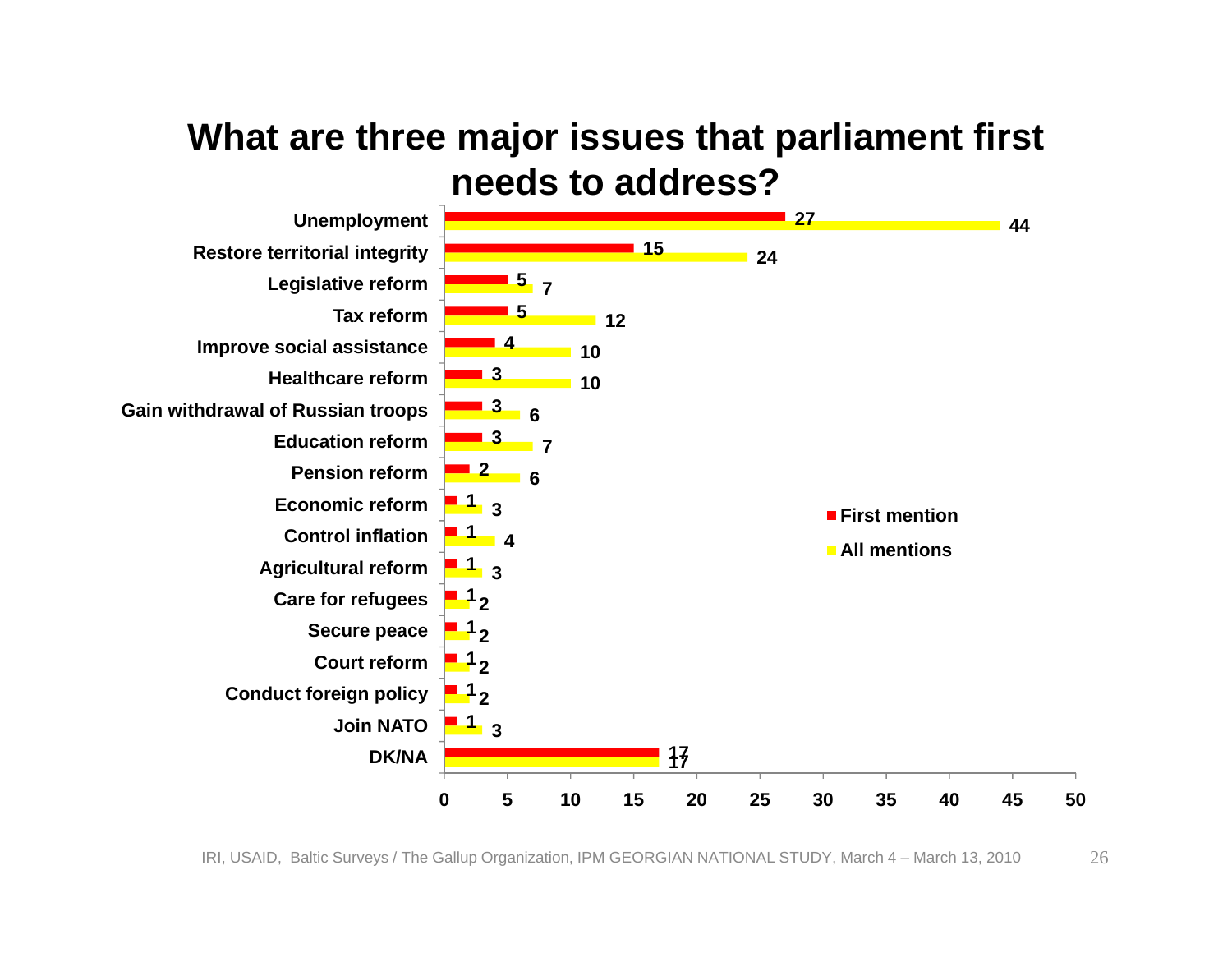#### **What are three major issues that parliament first needs to address?**

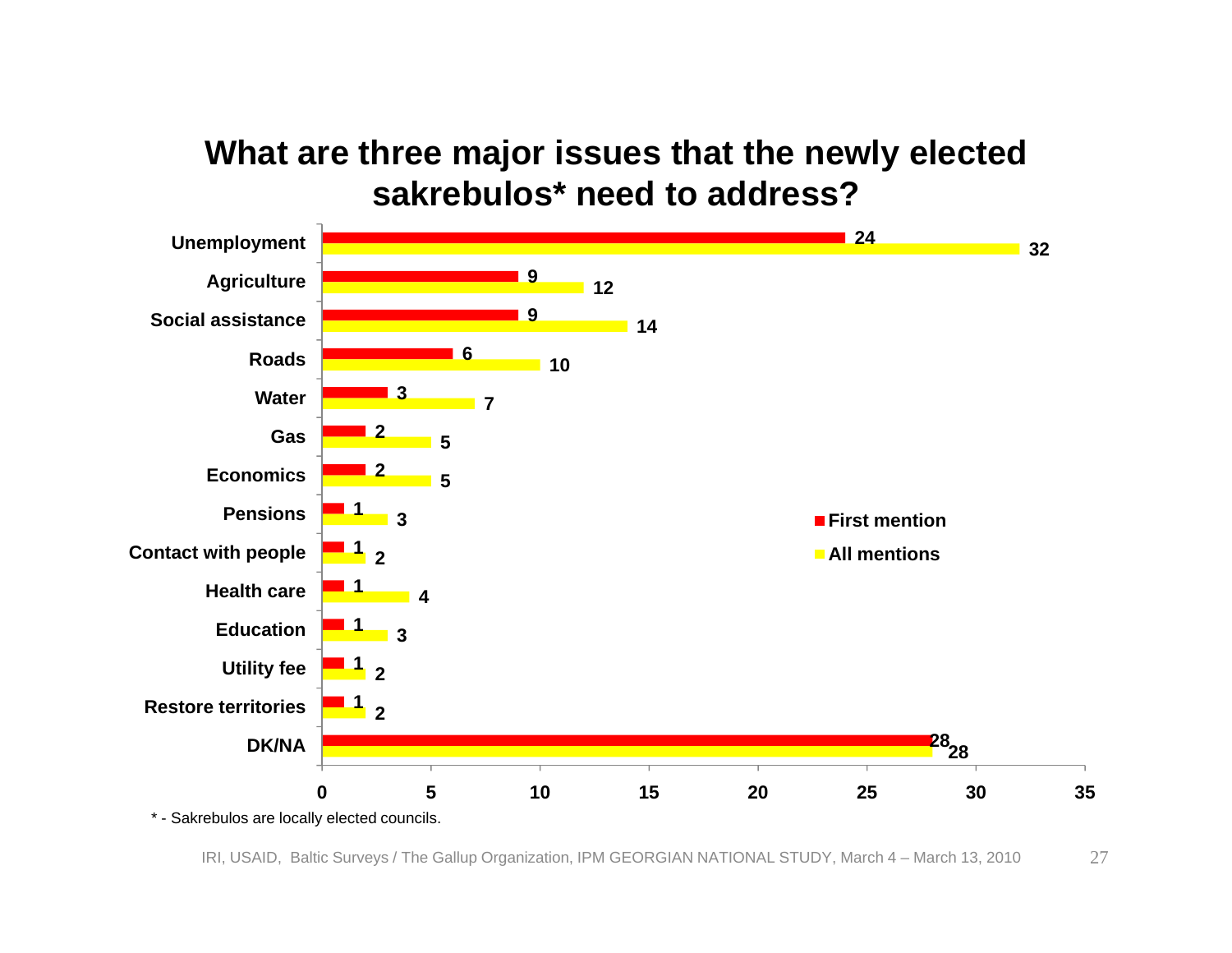#### **What are three major issues that the newly elected sakrebulos\* need to address?**

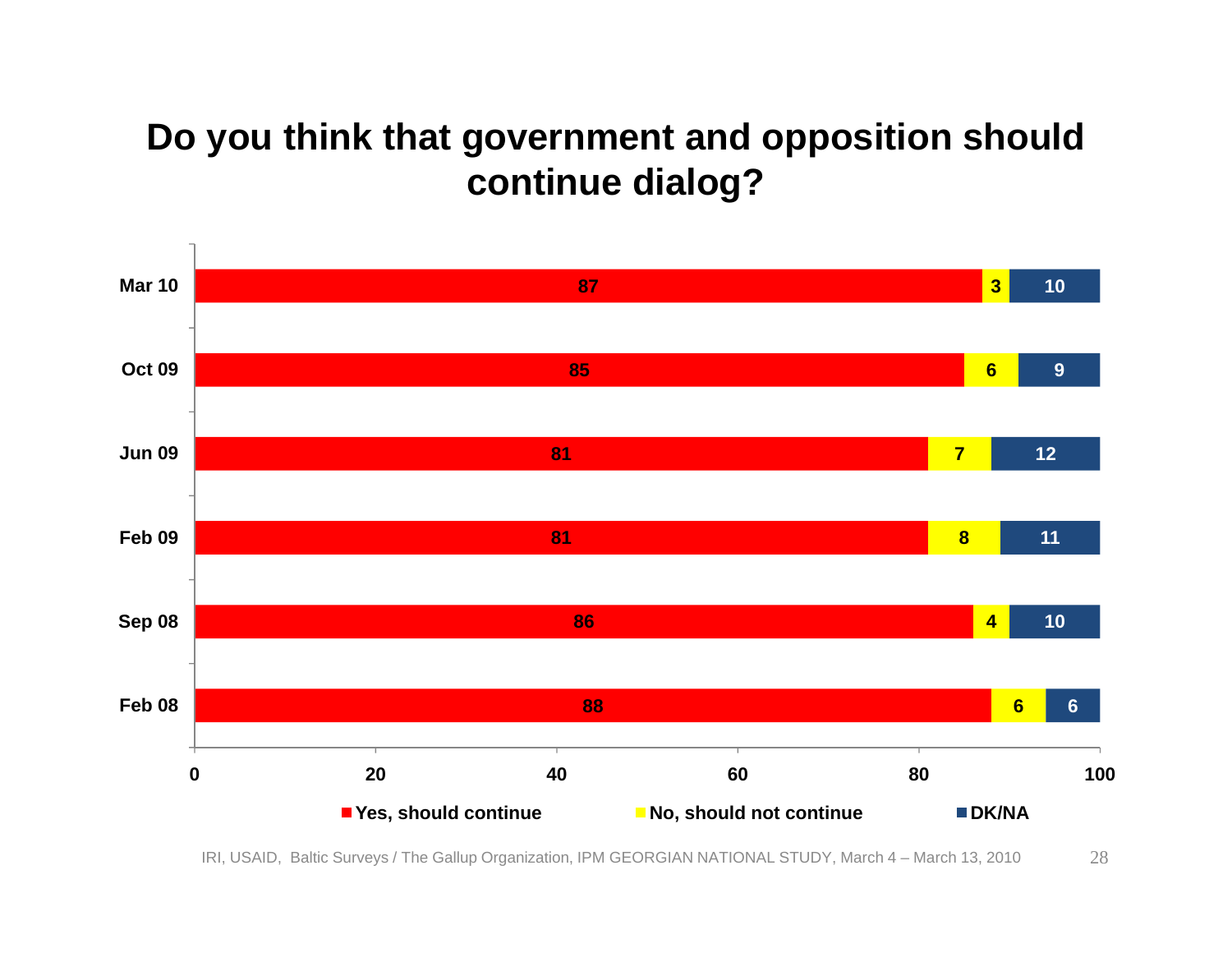#### **Do you think that government and opposition should continue dialog?**

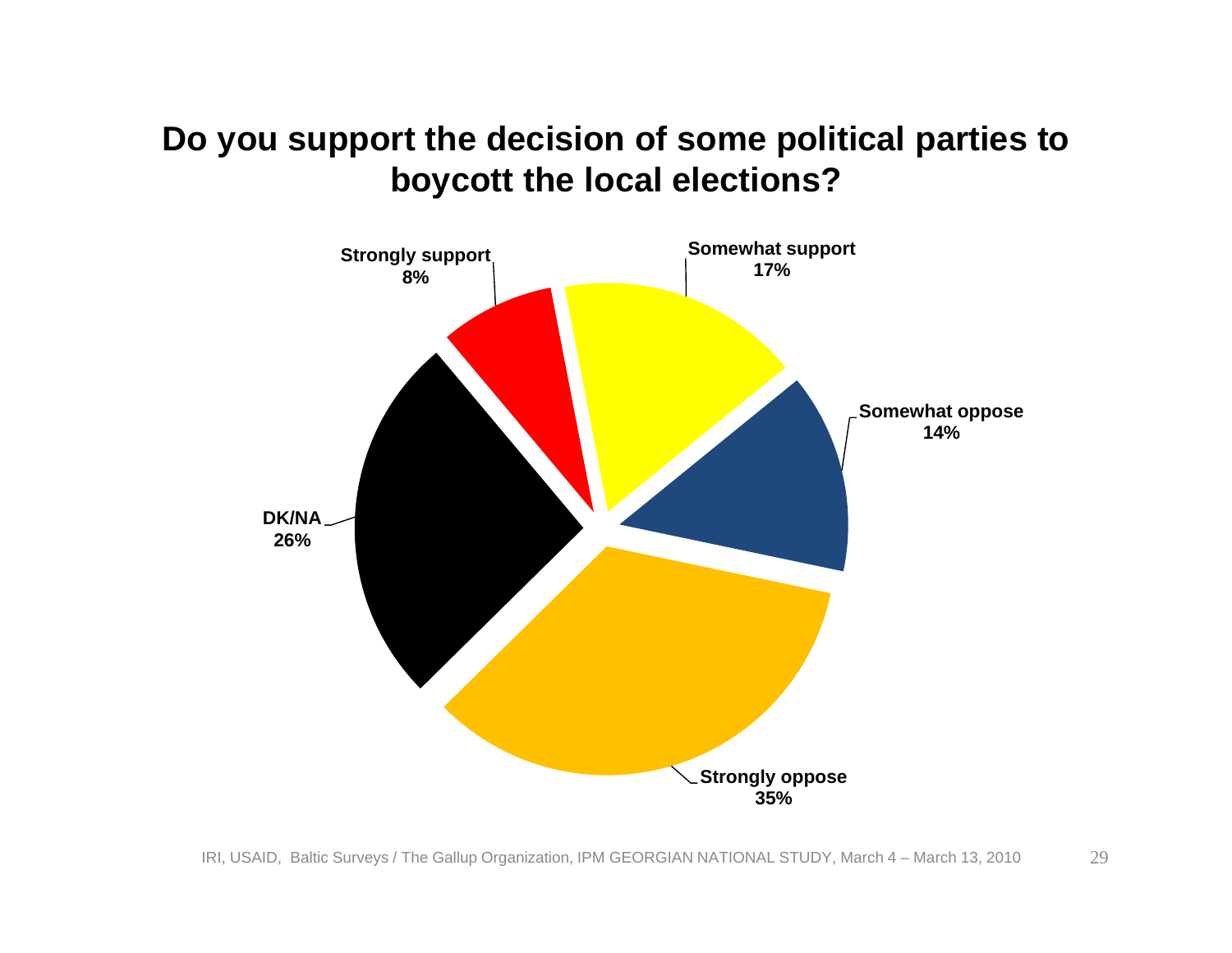#### **Do you support the decision of some political parties to boycott the local elections?**

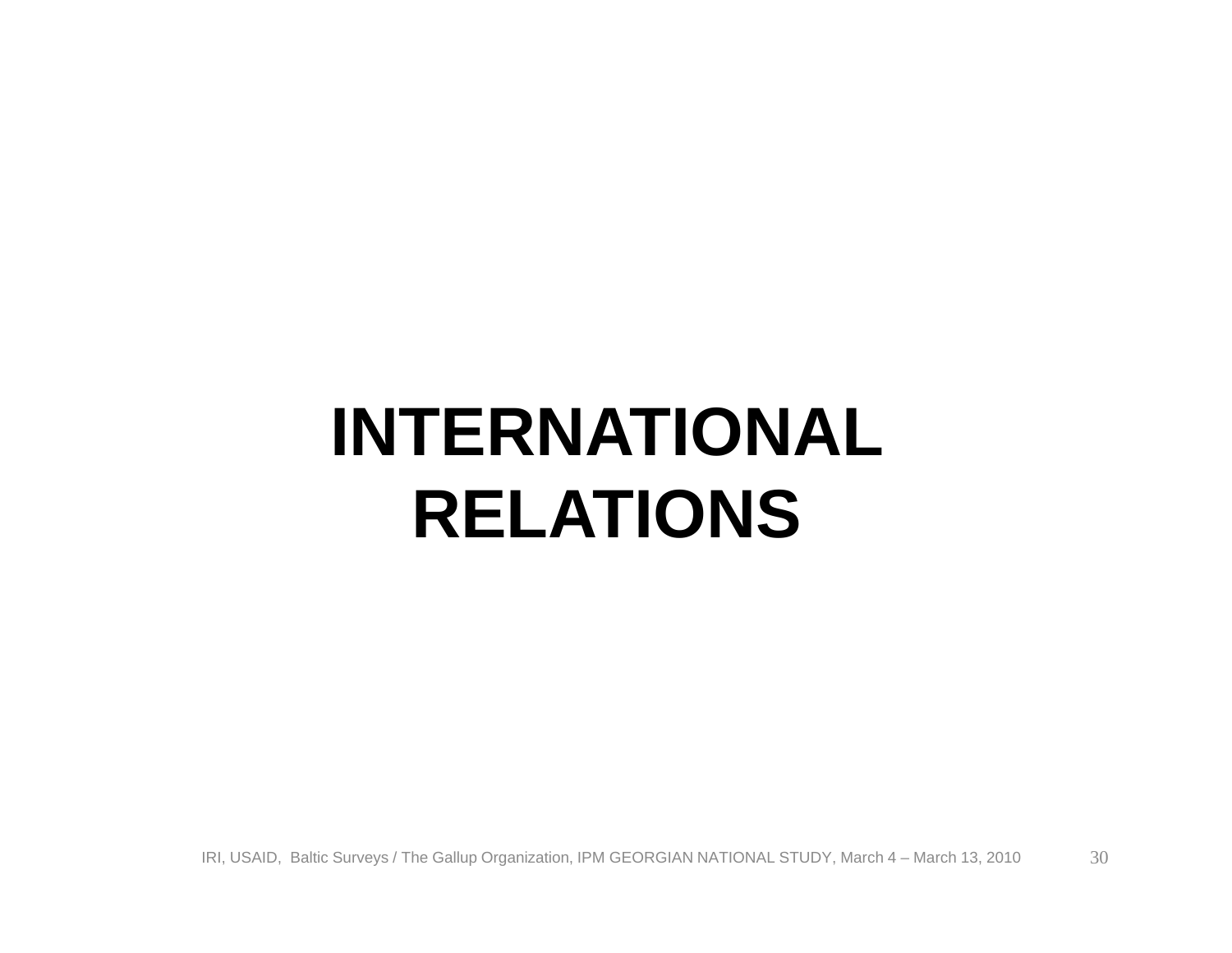## **INTERNATIONAL RELATIONS**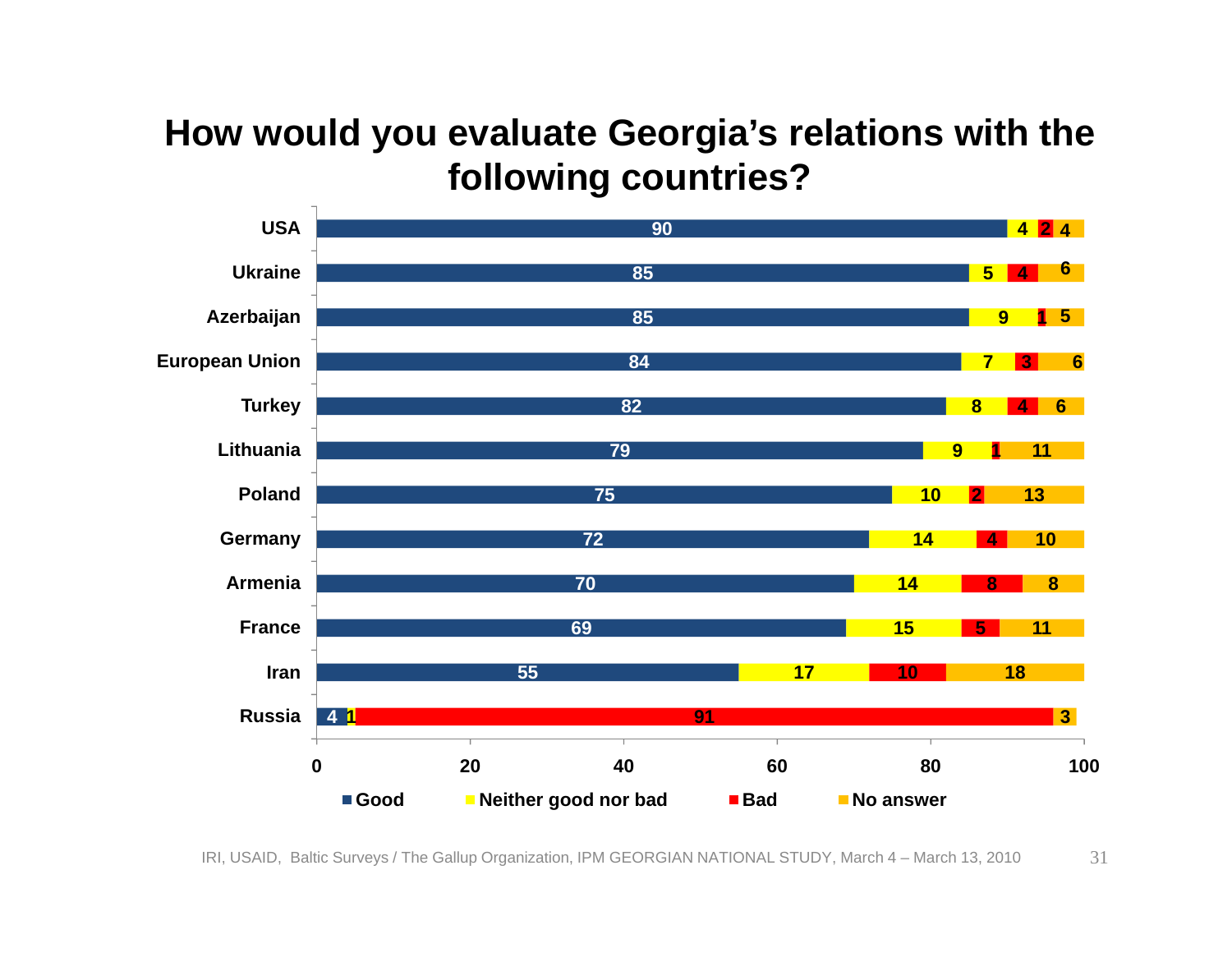#### **How would you evaluate Georgia's relations with the following countries?**

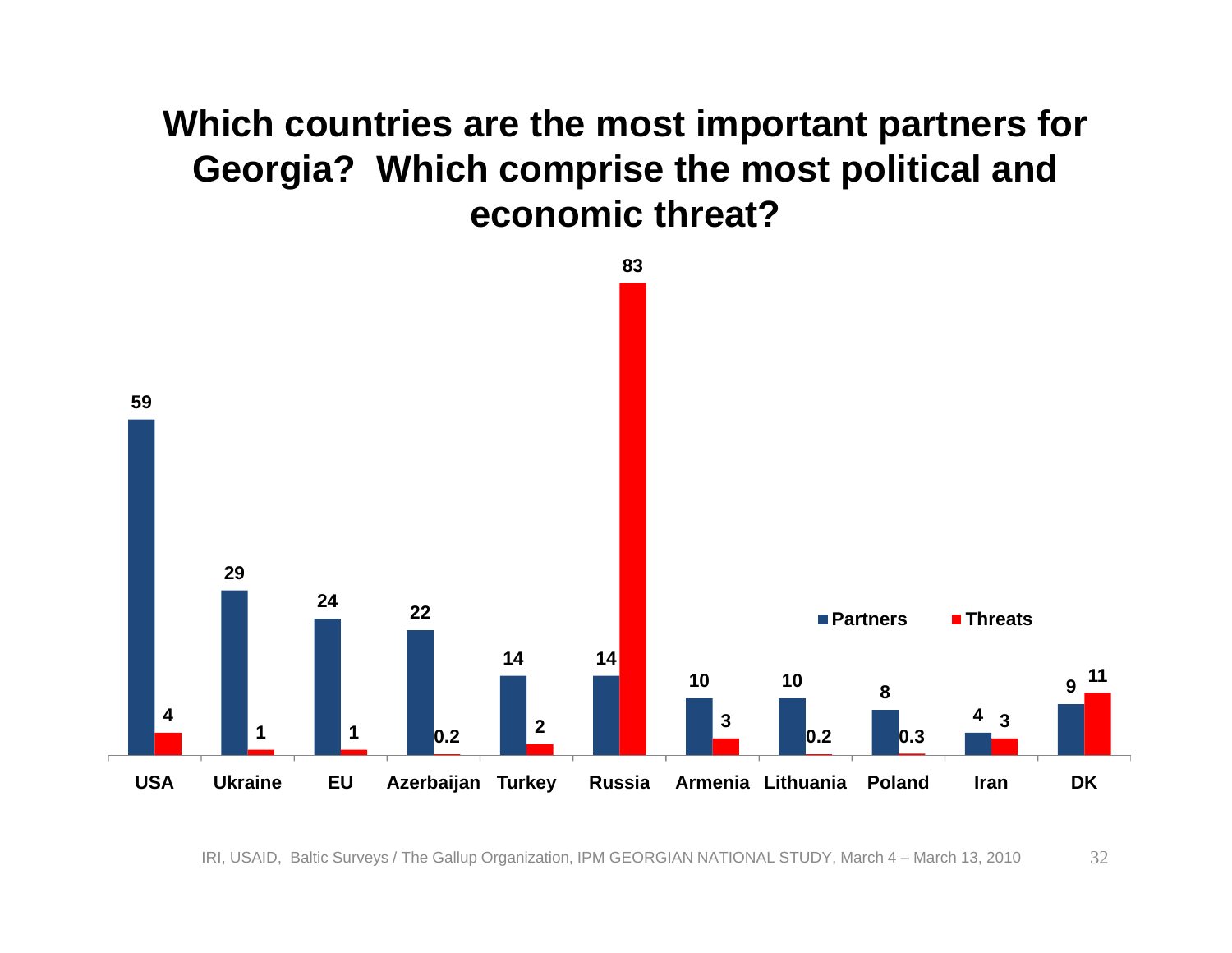#### **Which countries are the most important partners for Georgia? Which comprise the most political and economic threat?**

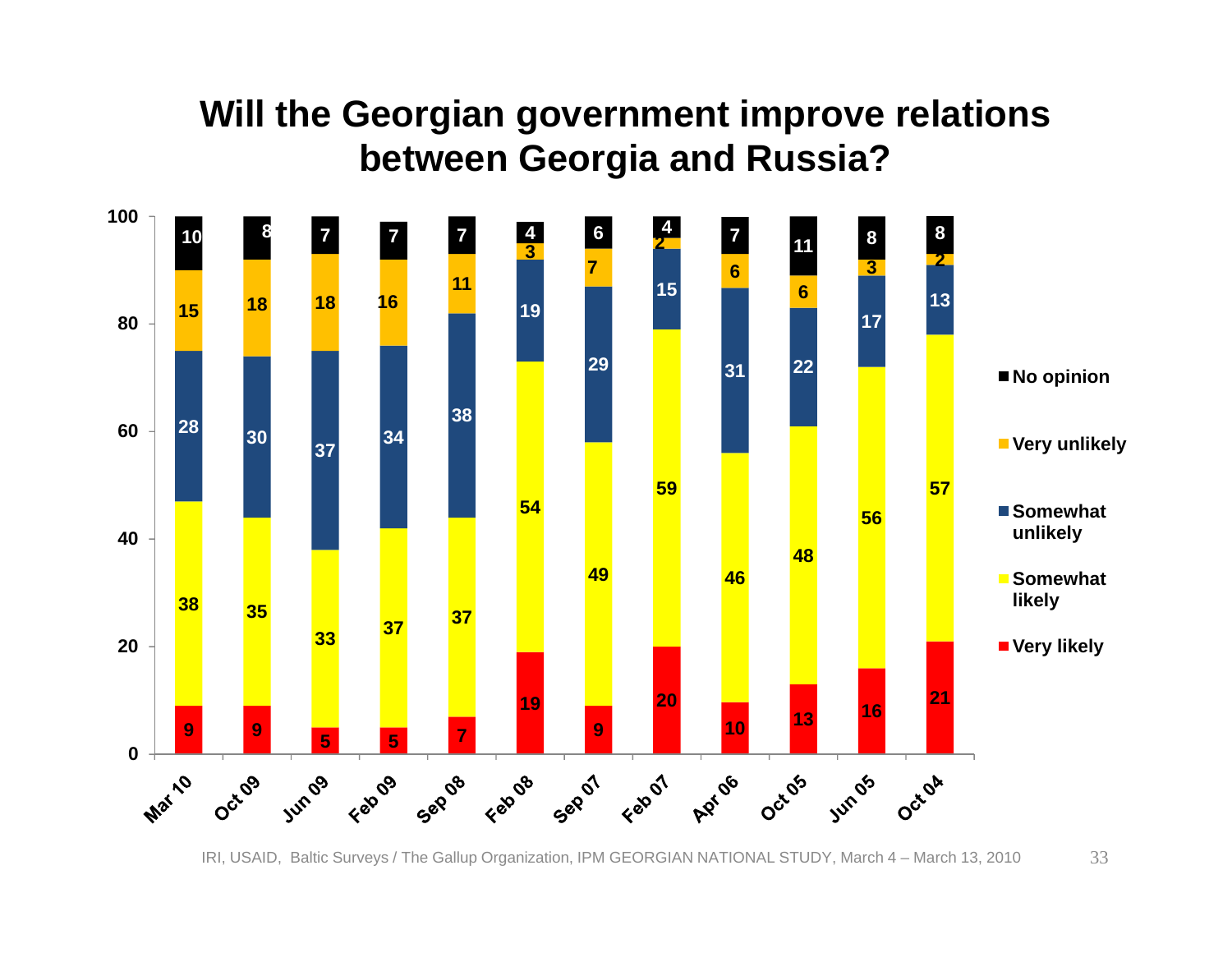#### **Will the Georgian government improve relations between Georgia and Russia?**

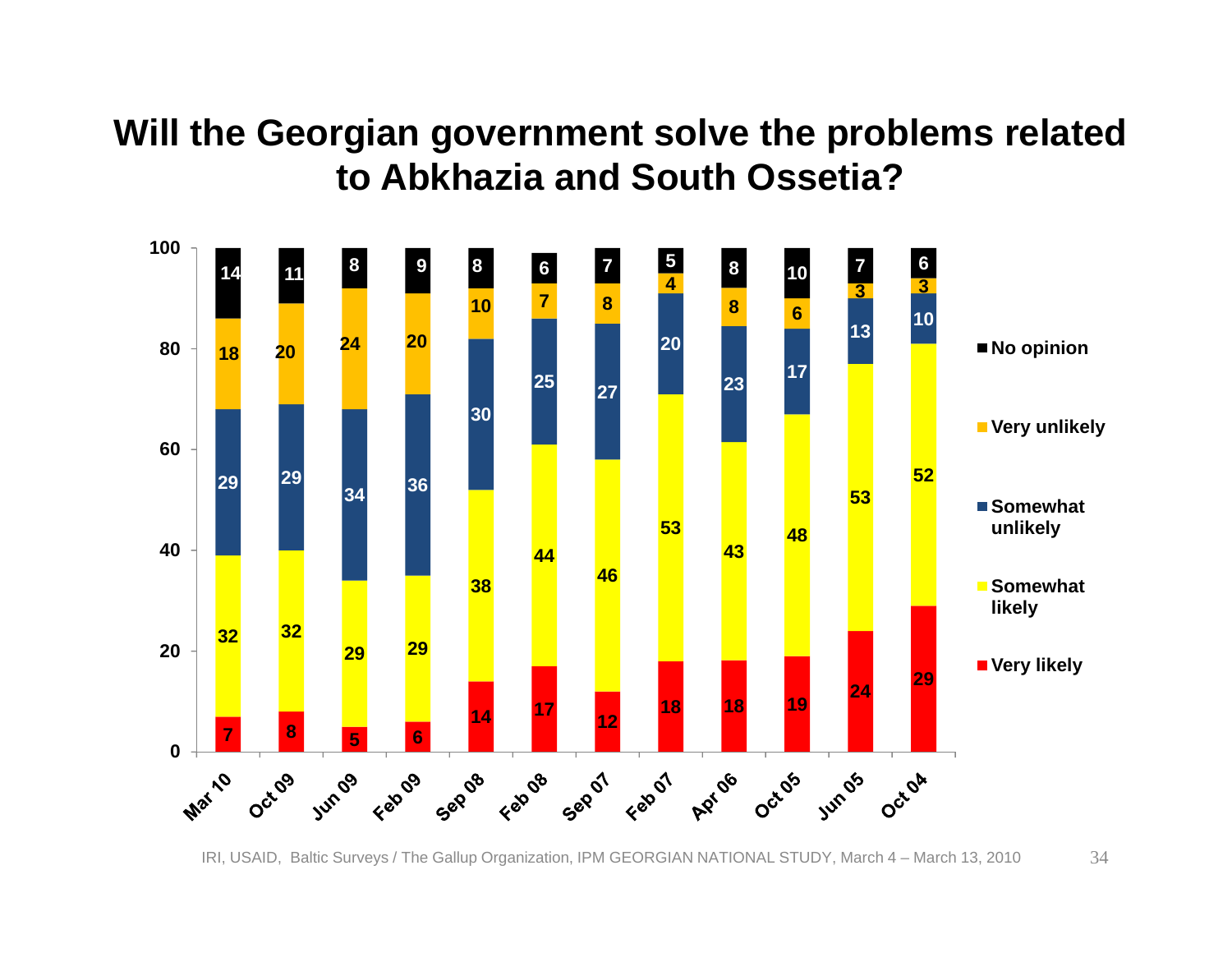#### **Will the Georgian government solve the problems related to Abkhazia and South Ossetia?**

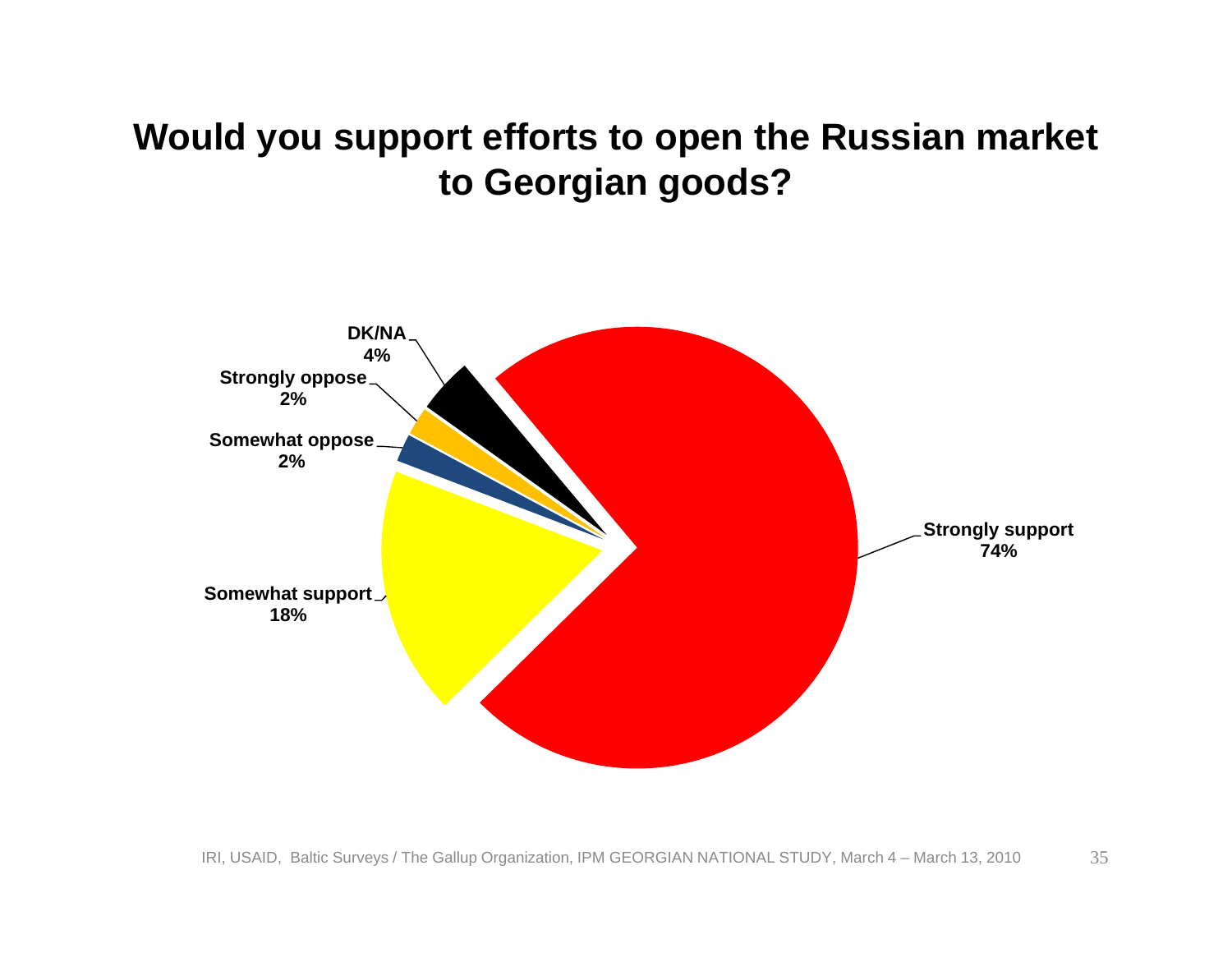#### **Would you support efforts to open the Russian market to Georgian goods?**

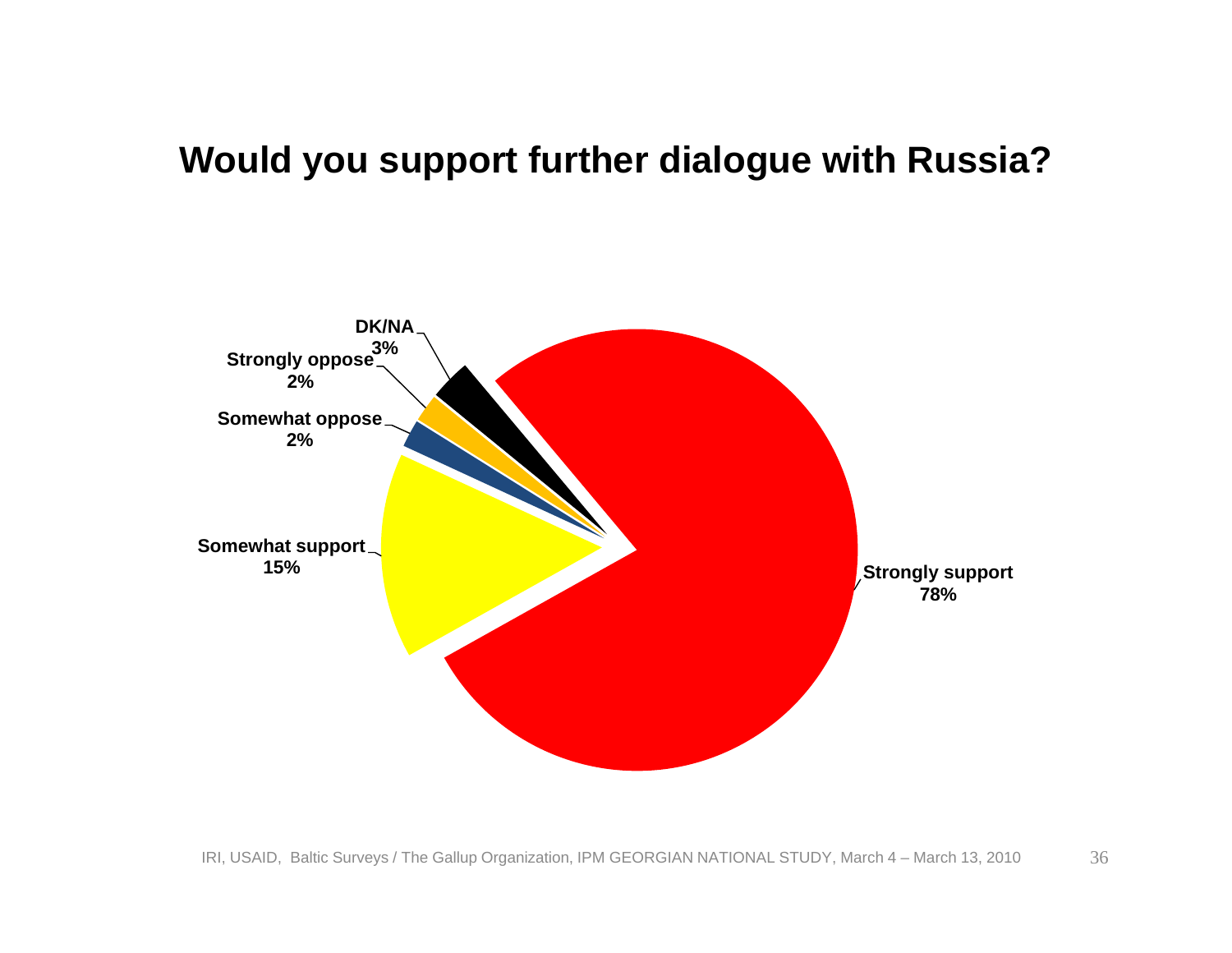#### **Would you support further dialogue with Russia?**

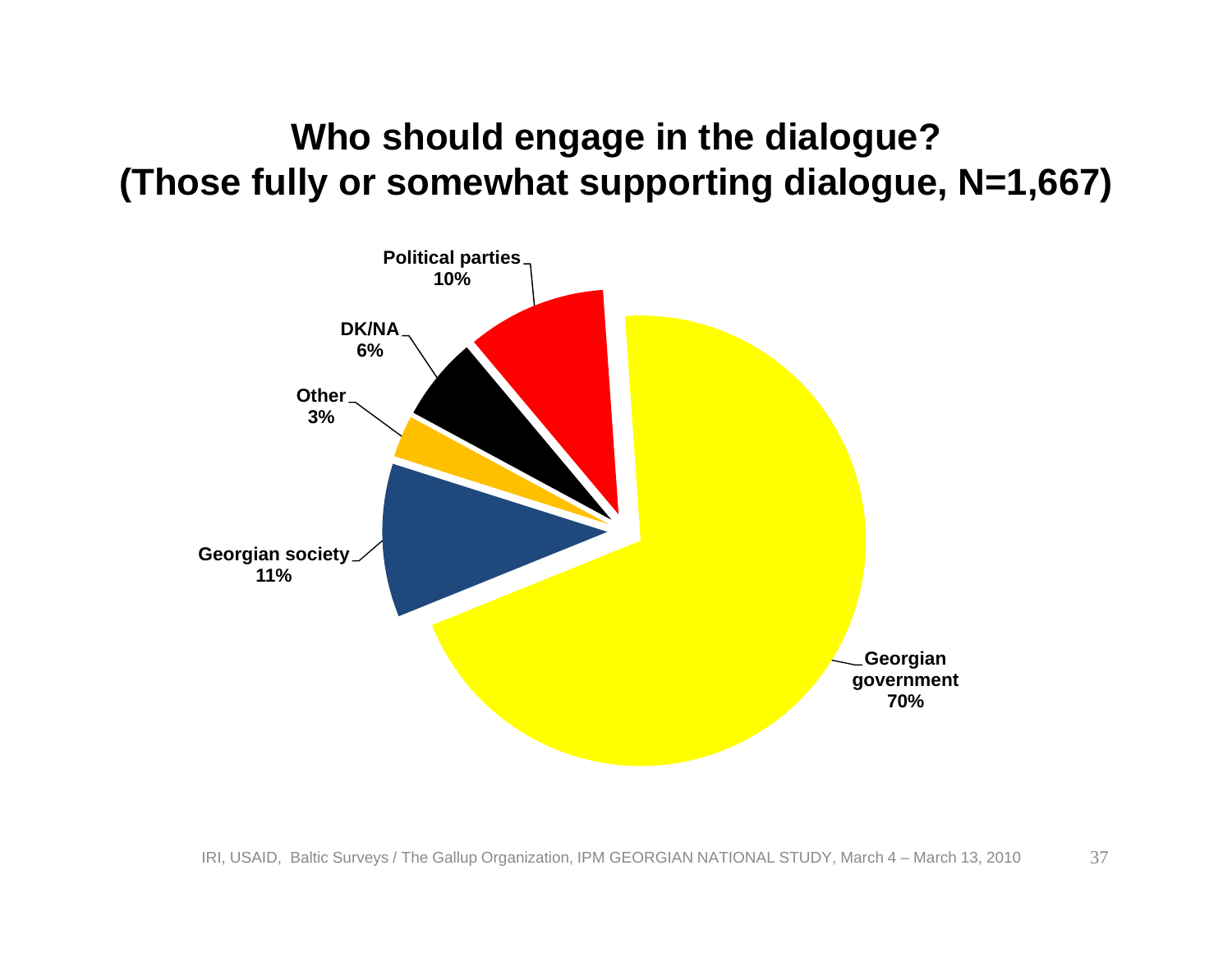#### **Who should engage in the dialogue? (Those fully or somewhat supporting dialogue, N=1,667)**

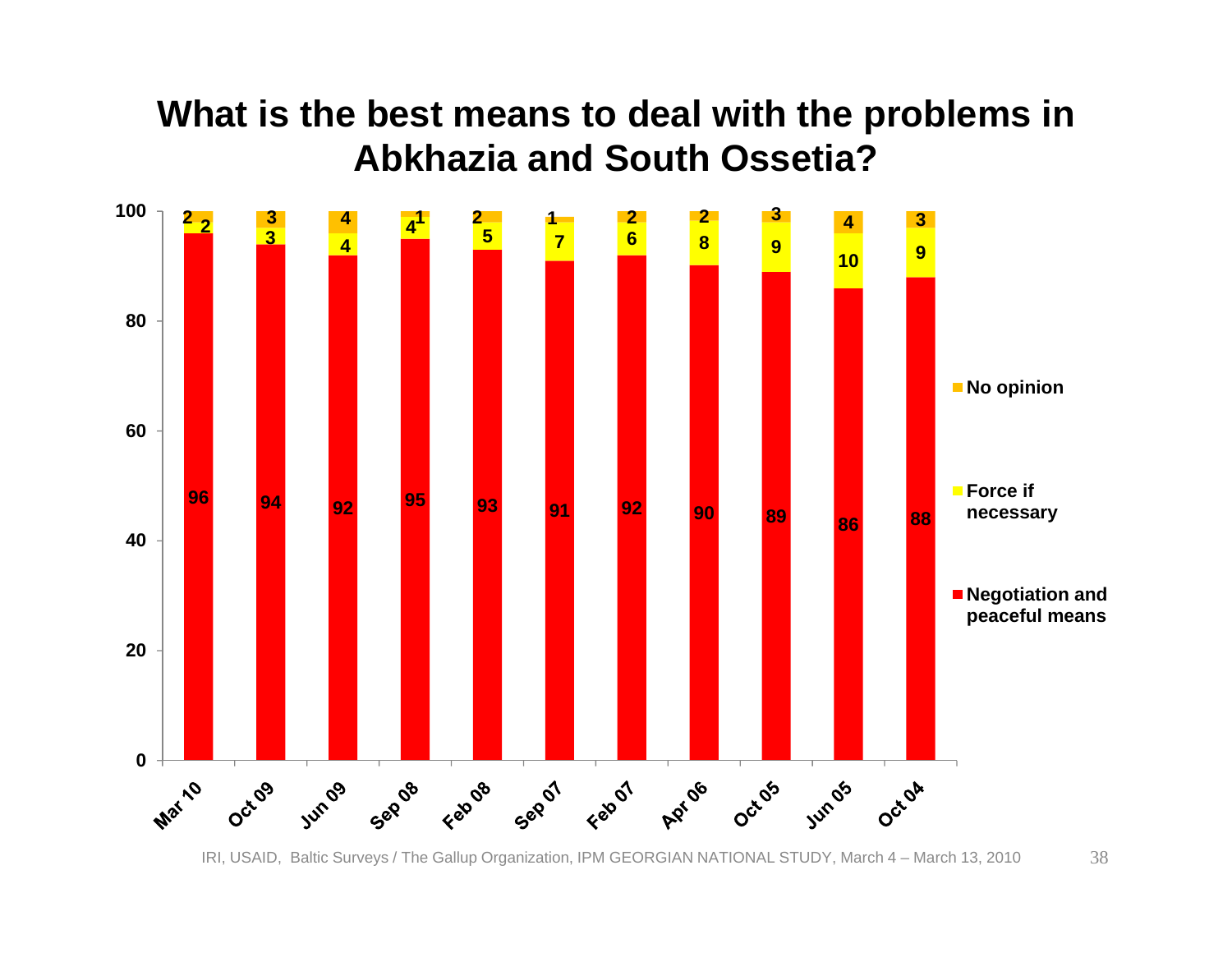#### **What is the best means to deal with the problems in Abkhazia and South Ossetia?**

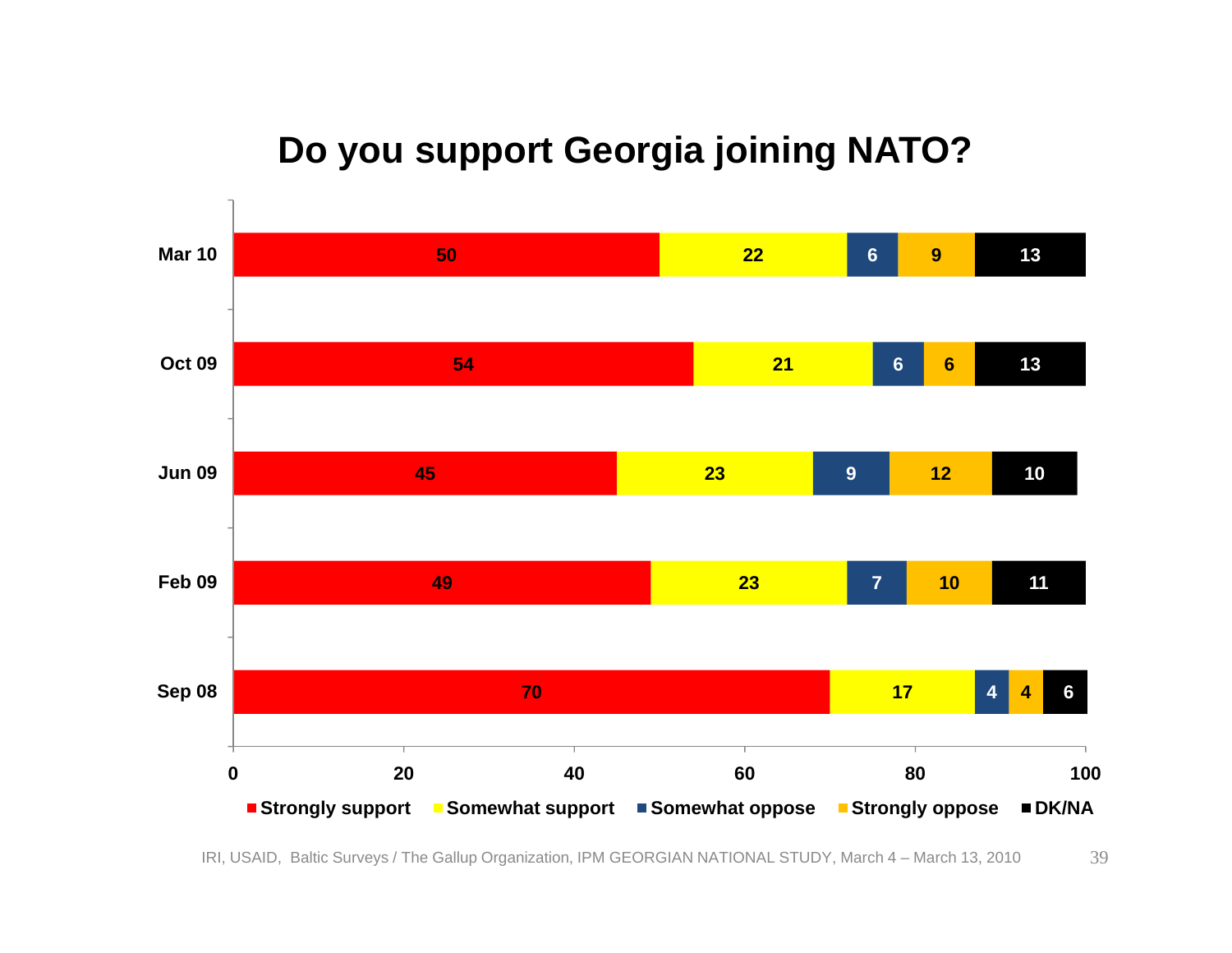#### **Do you support Georgia joining NATO?**

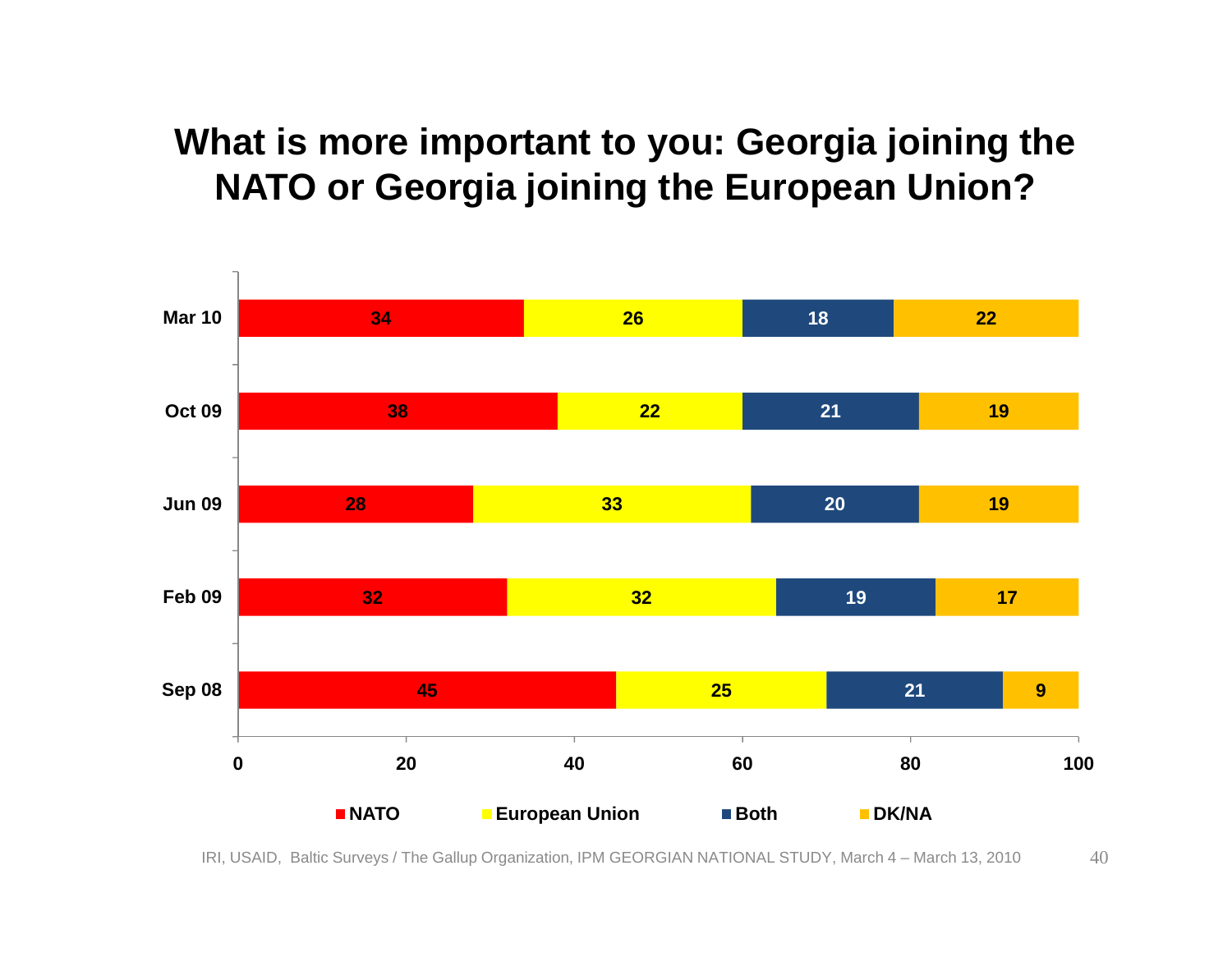#### **What is more important to you: Georgia joining the NATO or Georgia joining the European Union?**

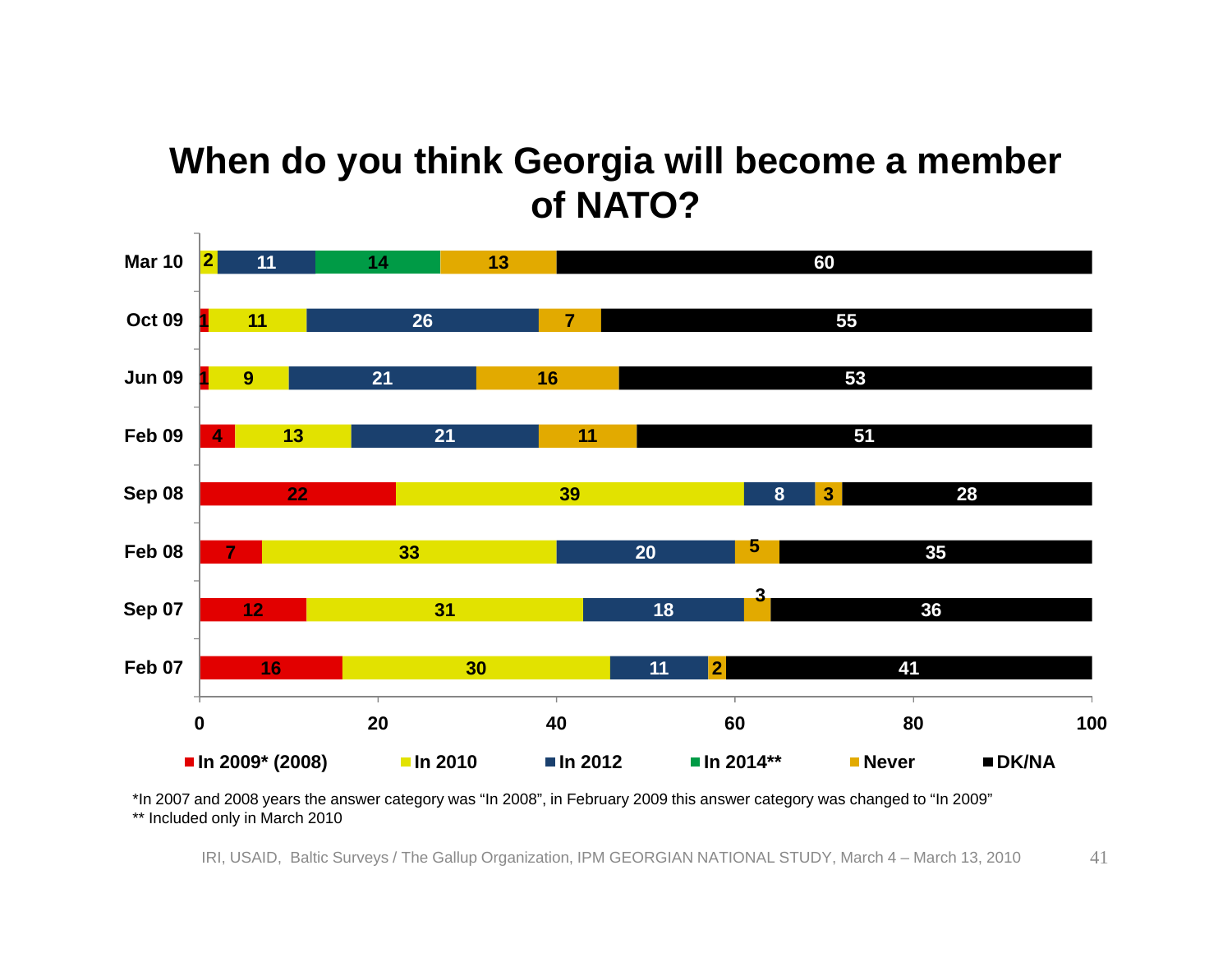#### **When do you think Georgia will become a member of NATO?**



\*In 2007 and 2008 years the answer category was "In 2008", in February 2009 this answer category was changed to "In 2009" \*\* Included only in March 2010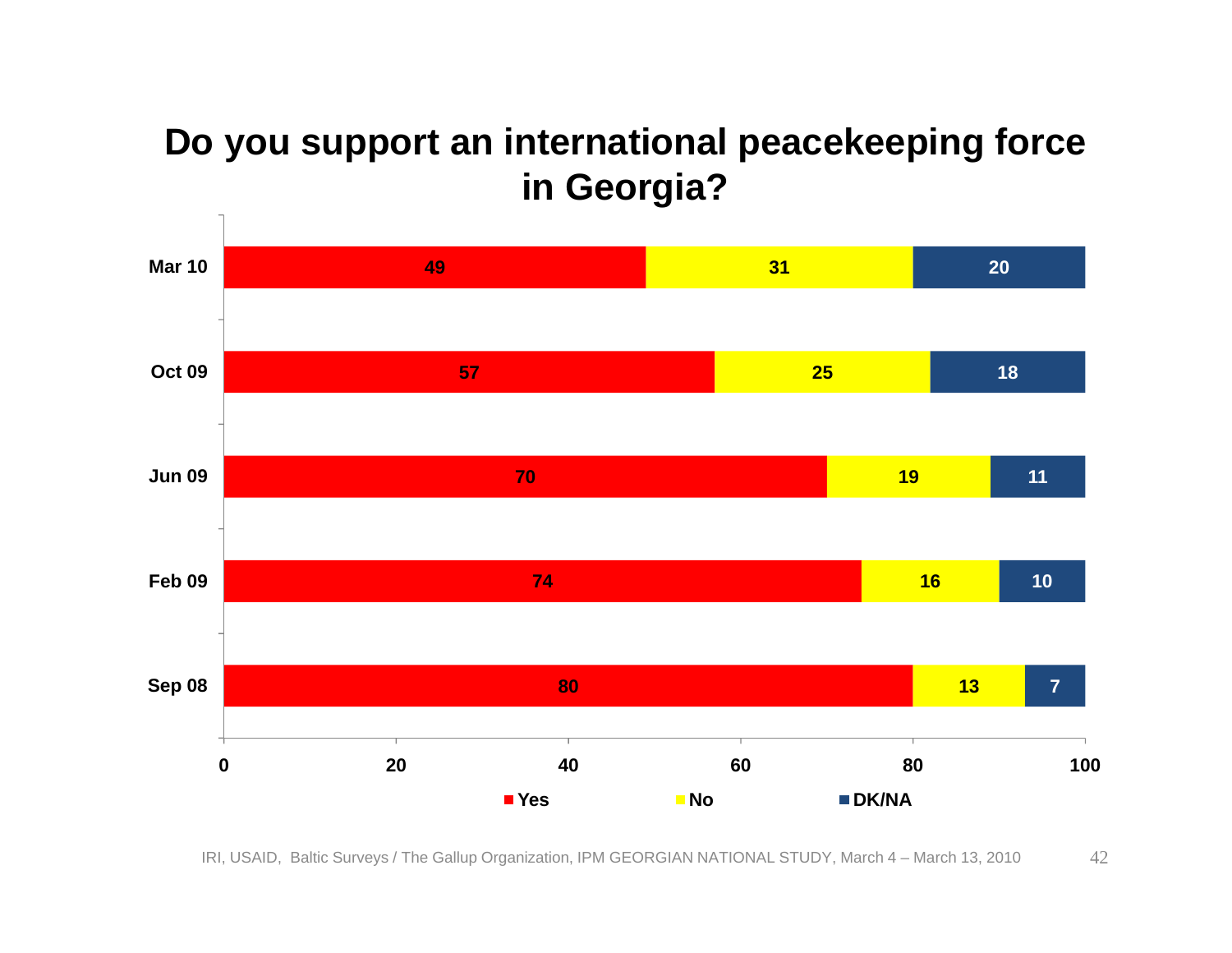#### **Do you support an international peacekeeping force in Georgia?**

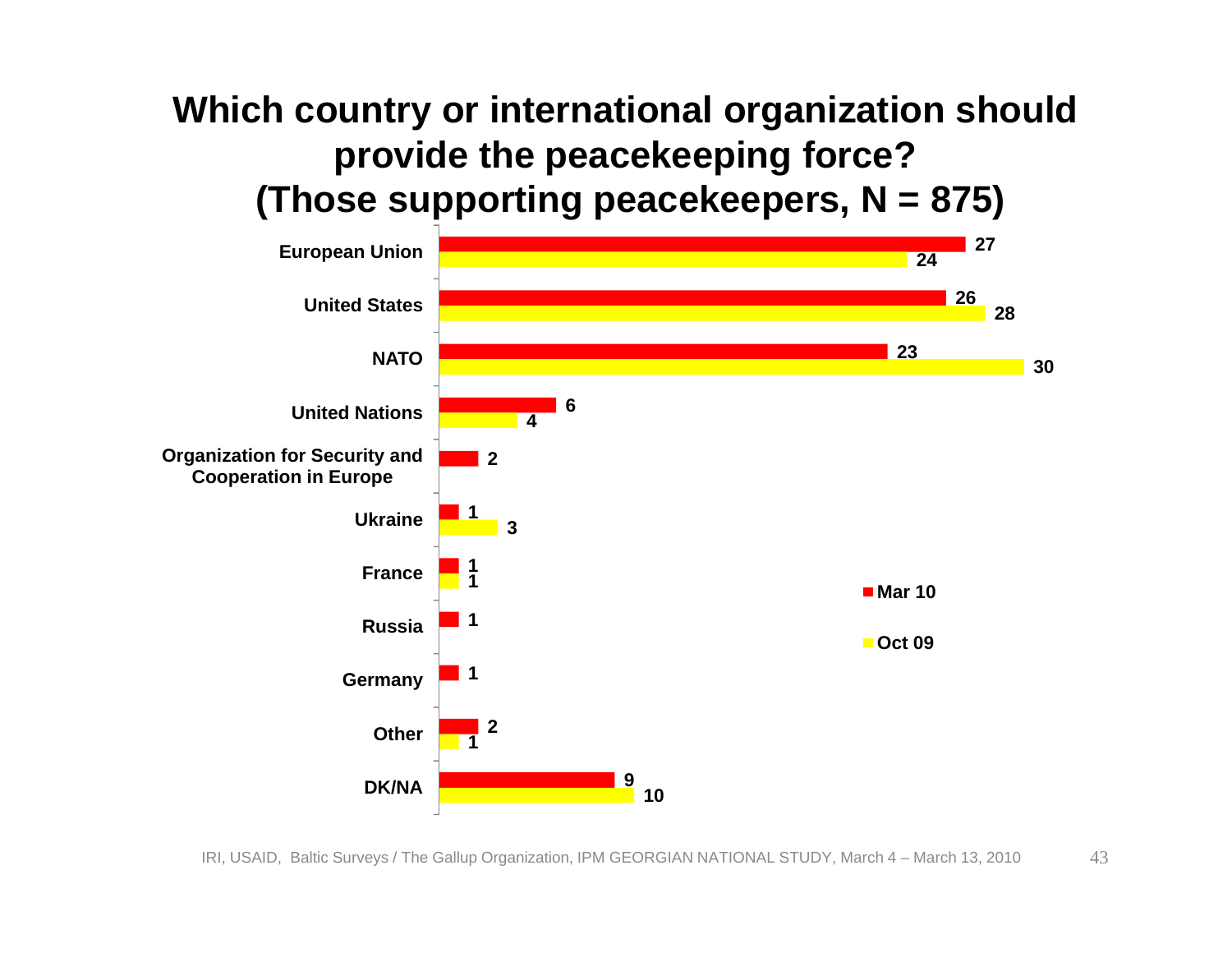#### **Which country or international organization should provide the peacekeeping force? (Those supporting peacekeepers, N = 875)**

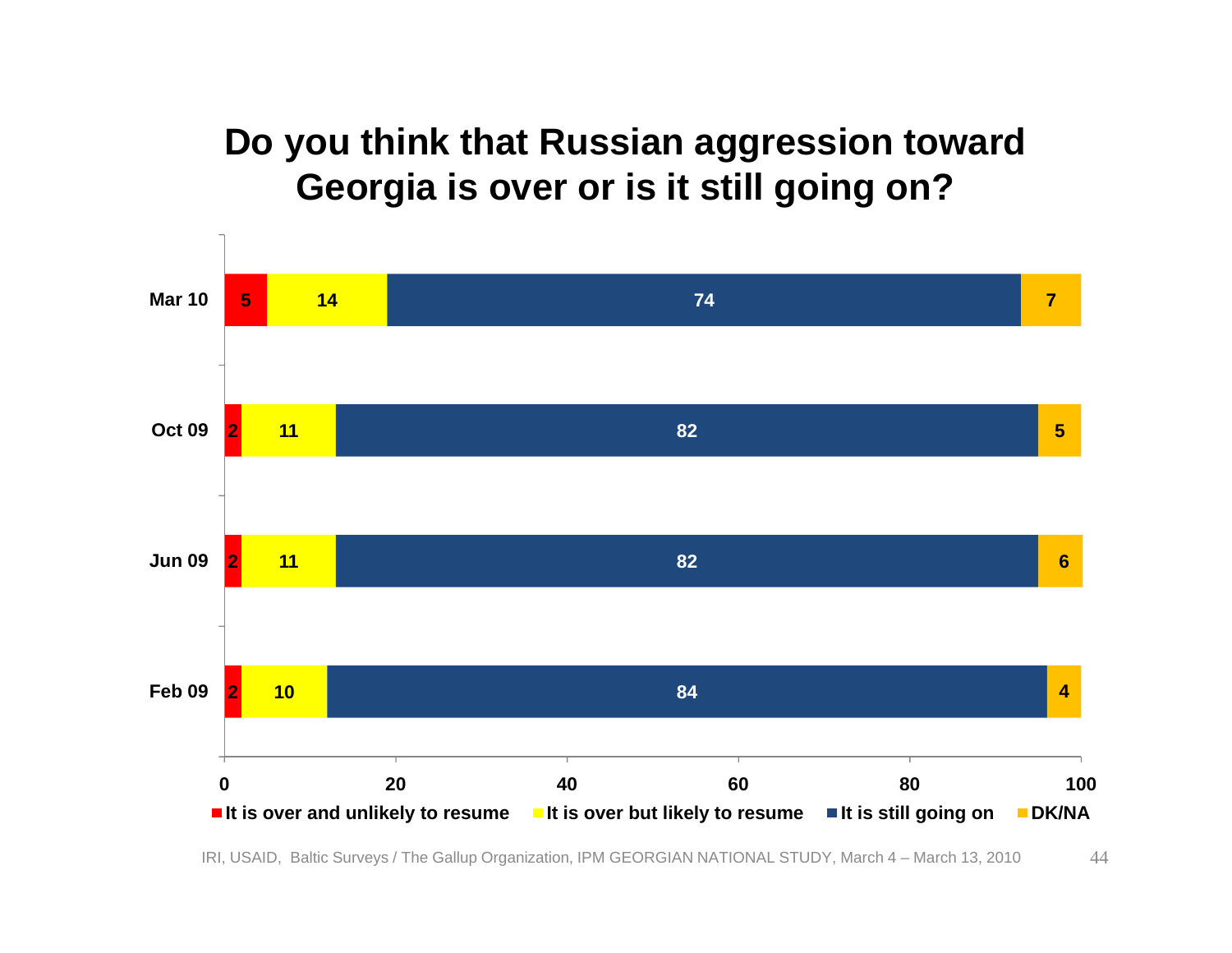#### **Do you think that Russian aggression toward Georgia is over or is it still going on?**

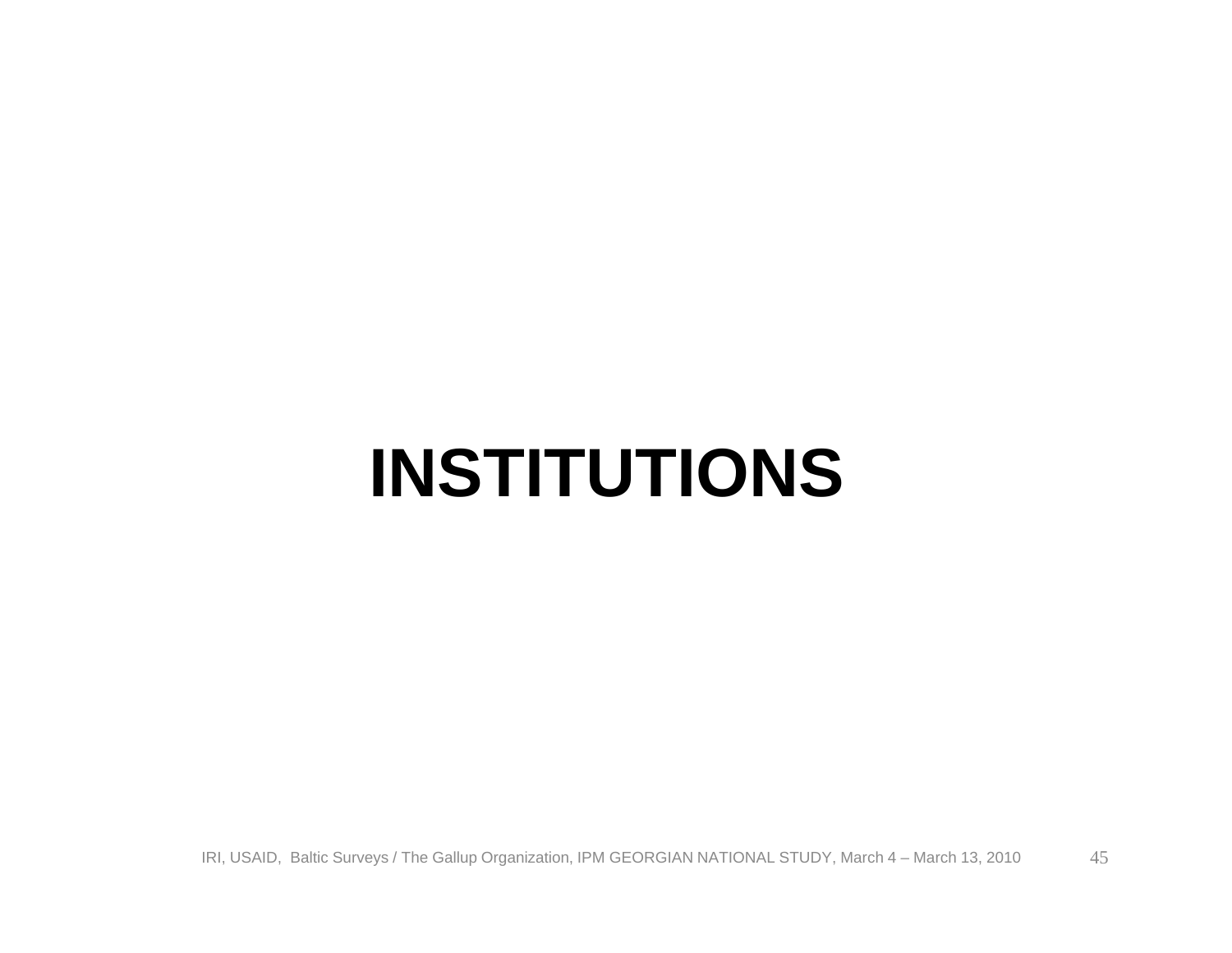### **INSTITUTIONS**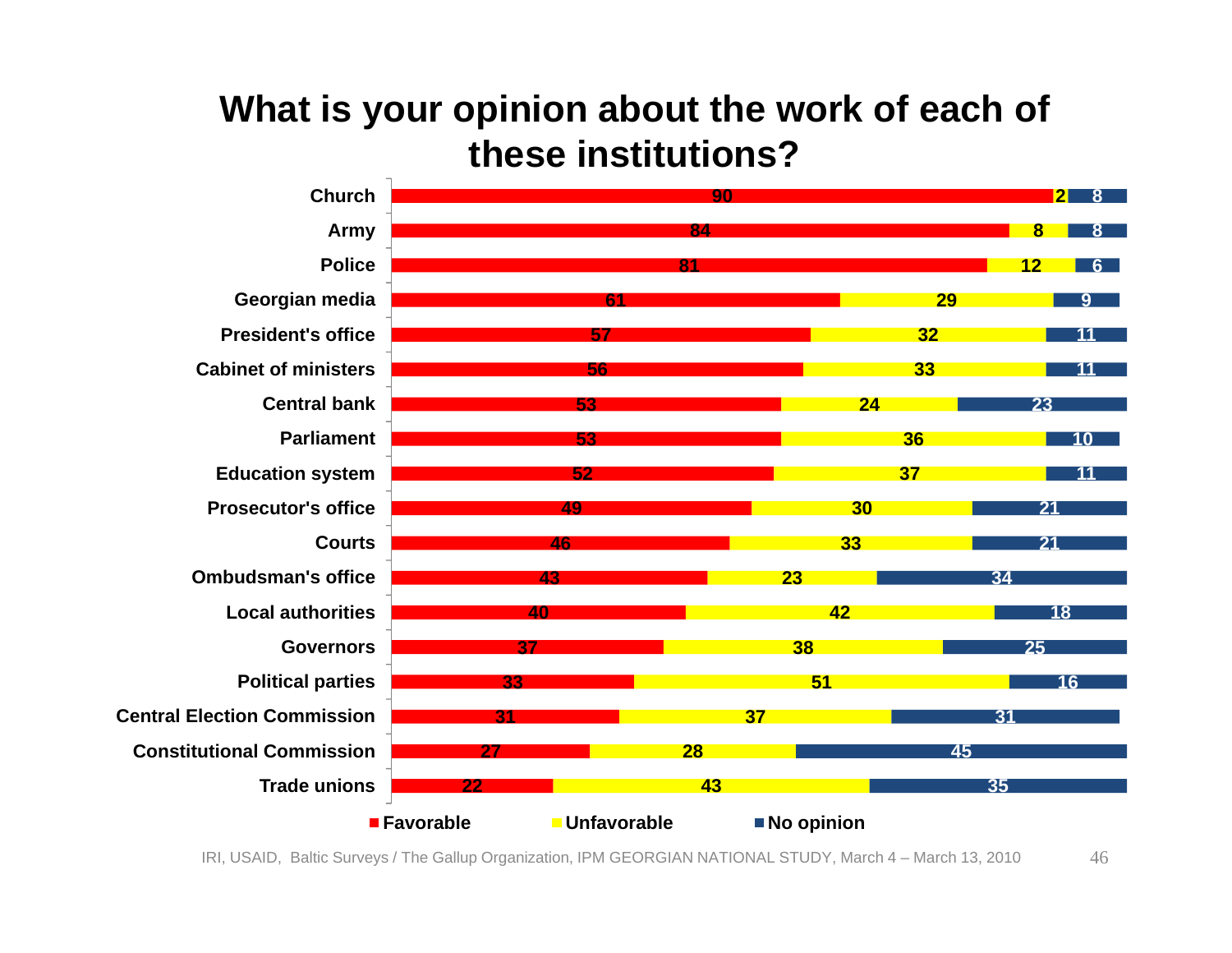#### **What is your opinion about the work of each of these institutions?**

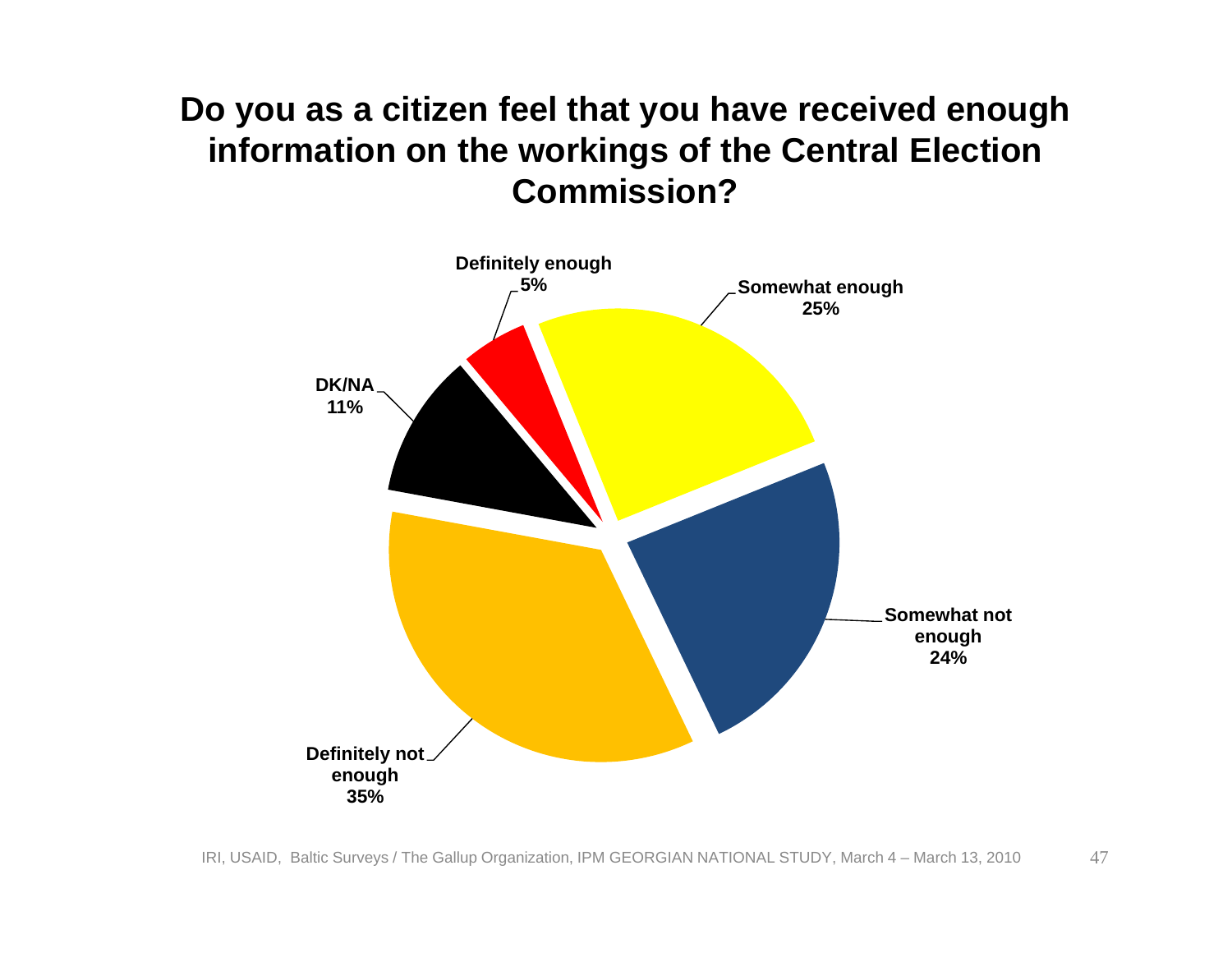#### **Do you as a citizen feel that you have received enough information on the workings of the Central Election Commission?**

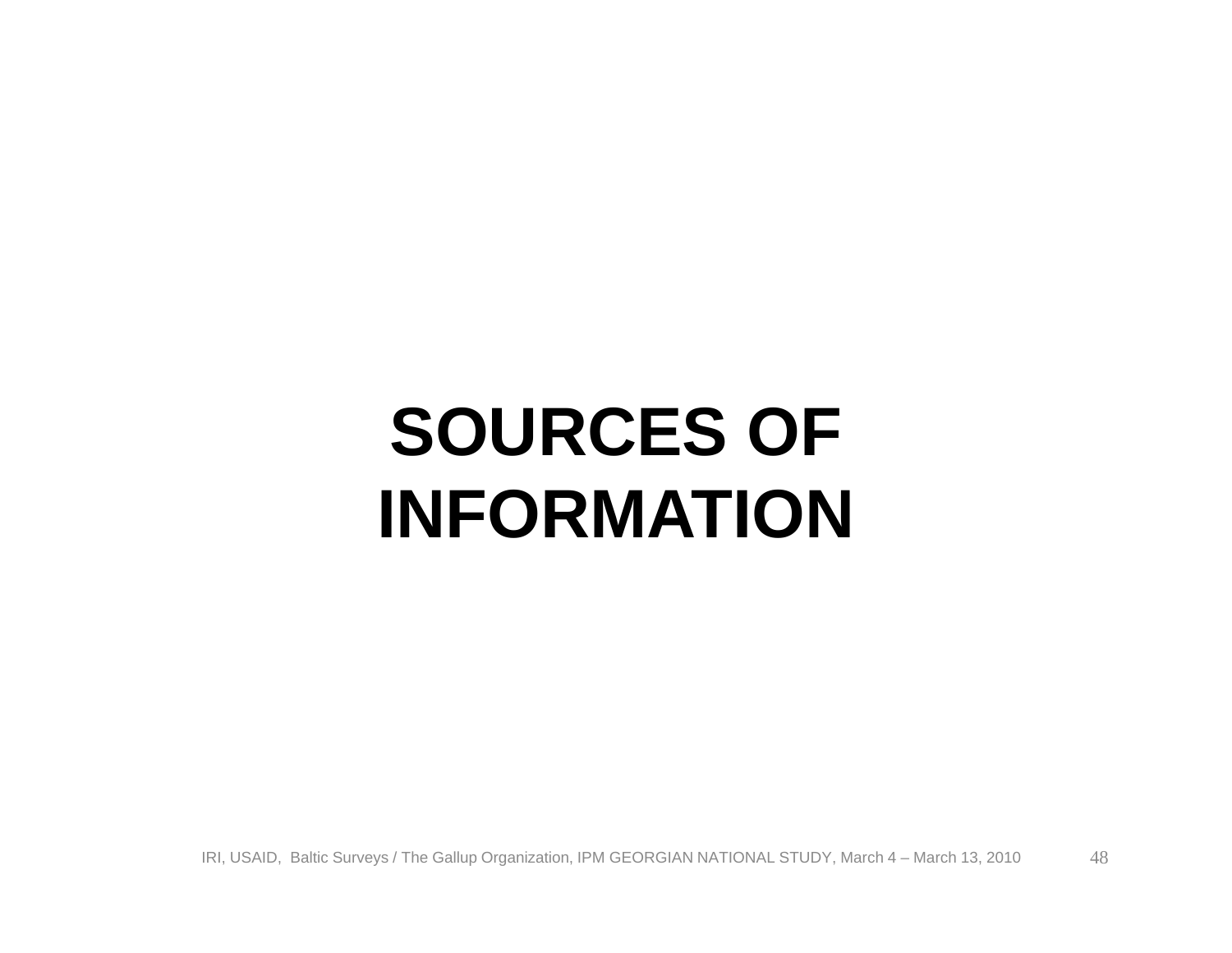# **SOURCES OF INFORMATION**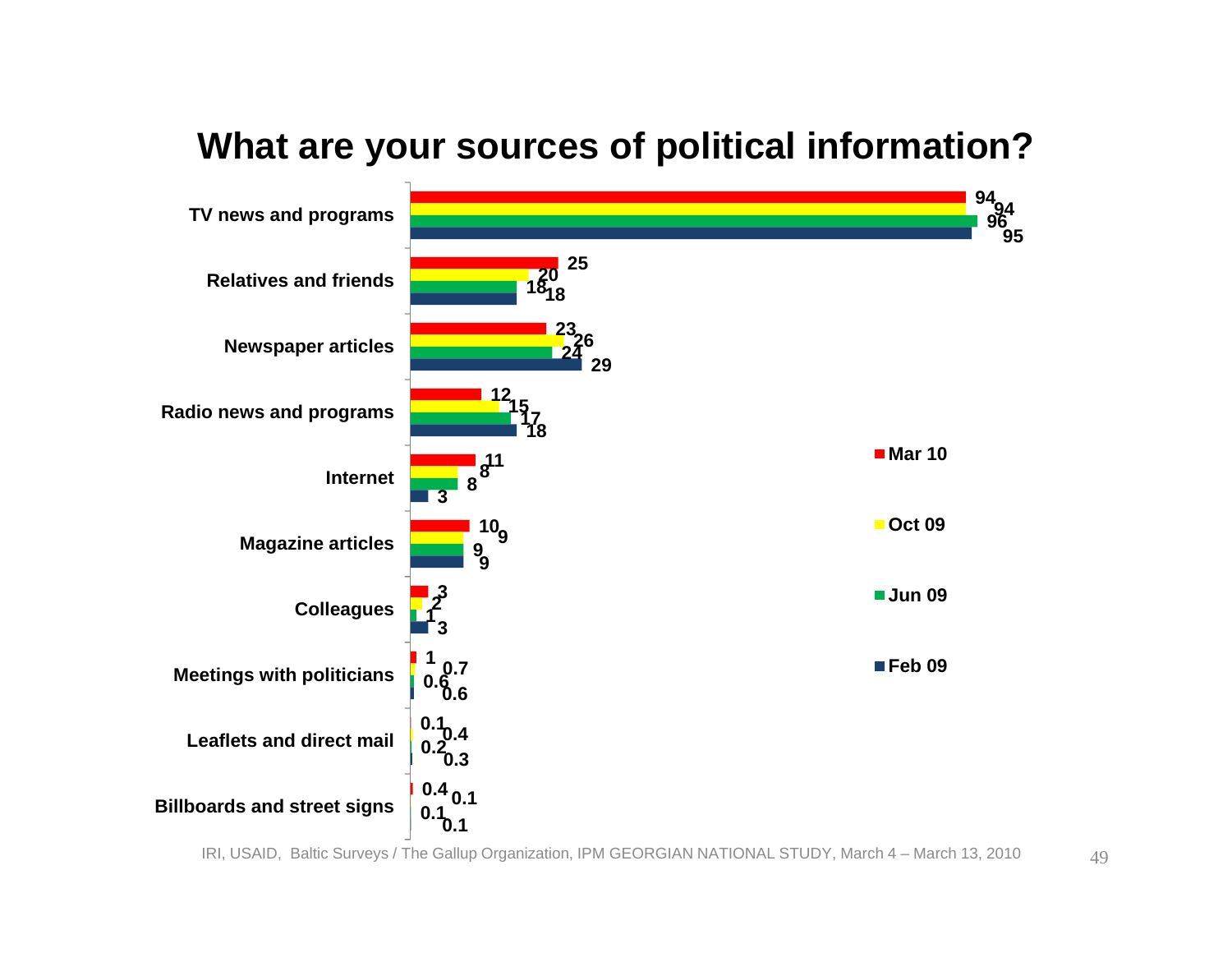

#### **What are your sources of political information?**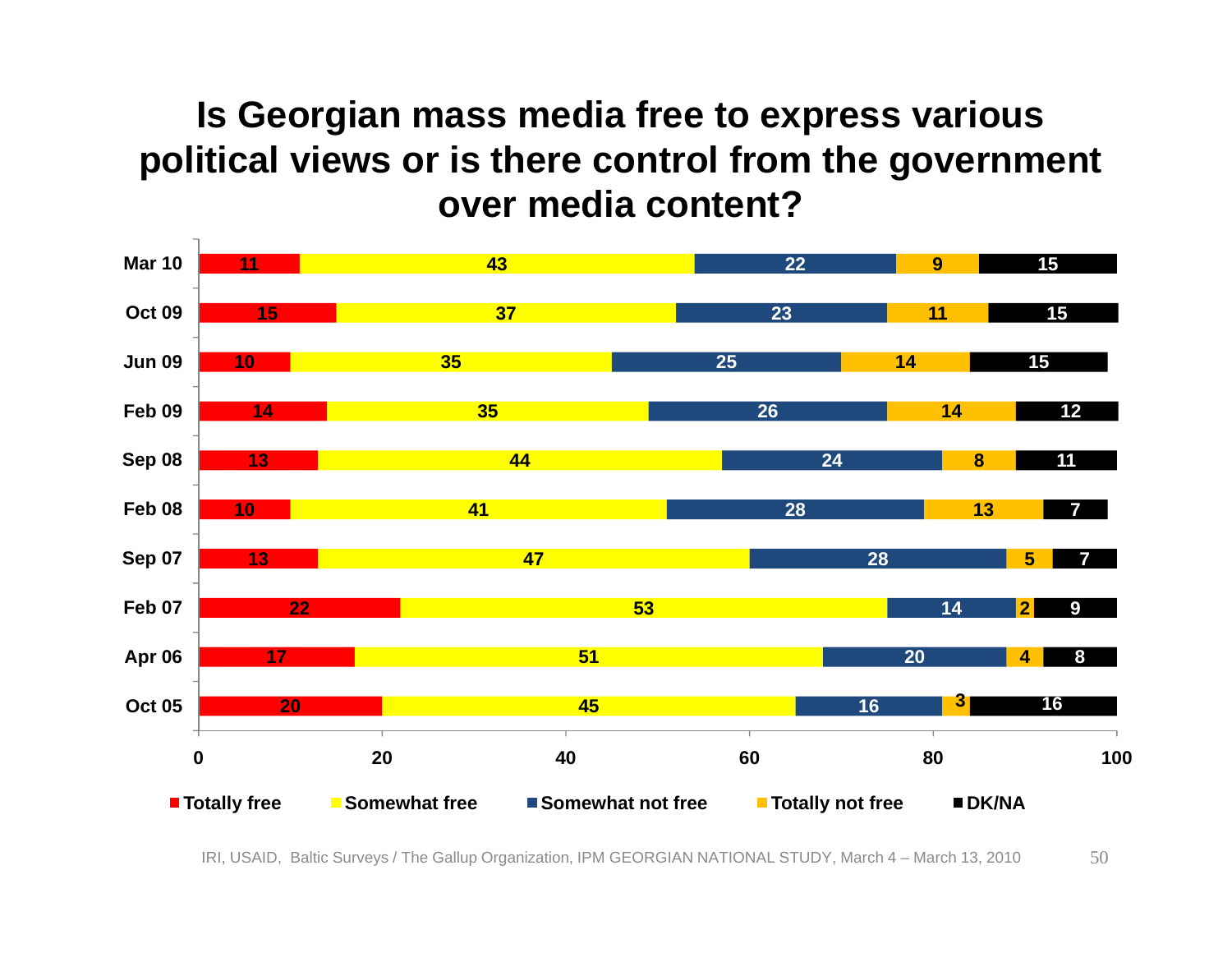#### **Is Georgian mass media free to express various political views or is there control from the government over media content?**

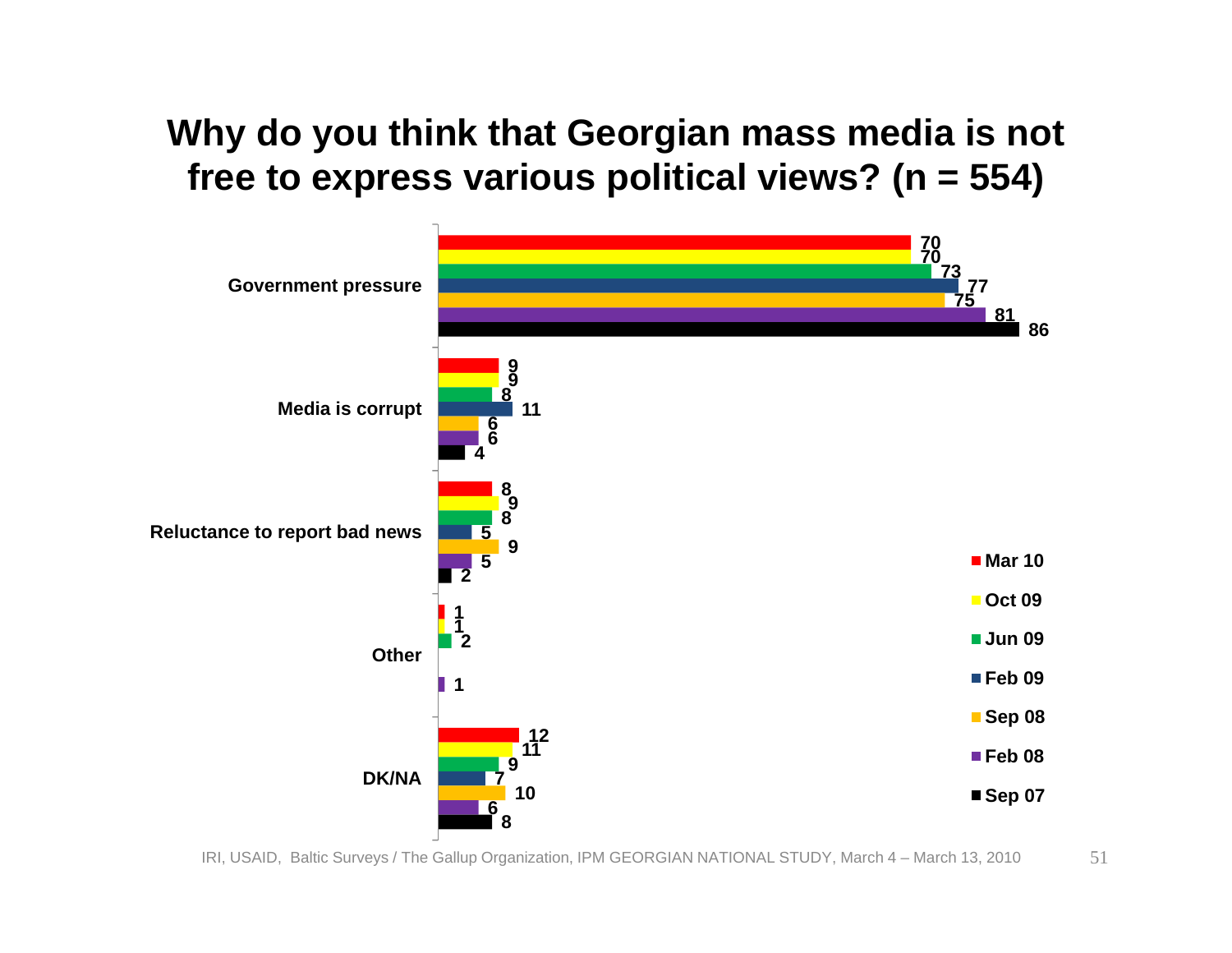#### **Why do you think that Georgian mass media is not free to express various political views? (n = 554)**

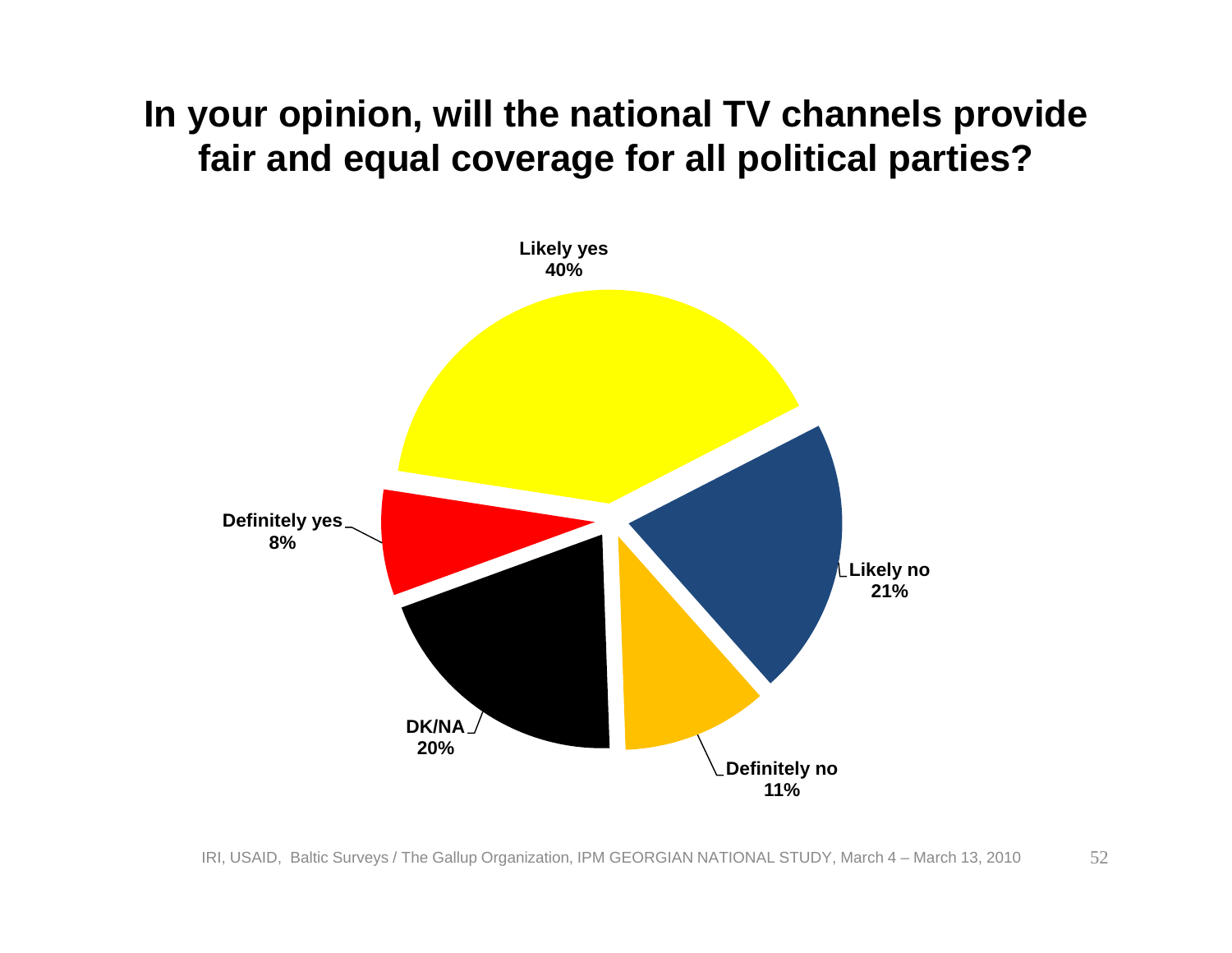#### **In your opinion, will the national TV channels provide fair and equal coverage for all political parties?**

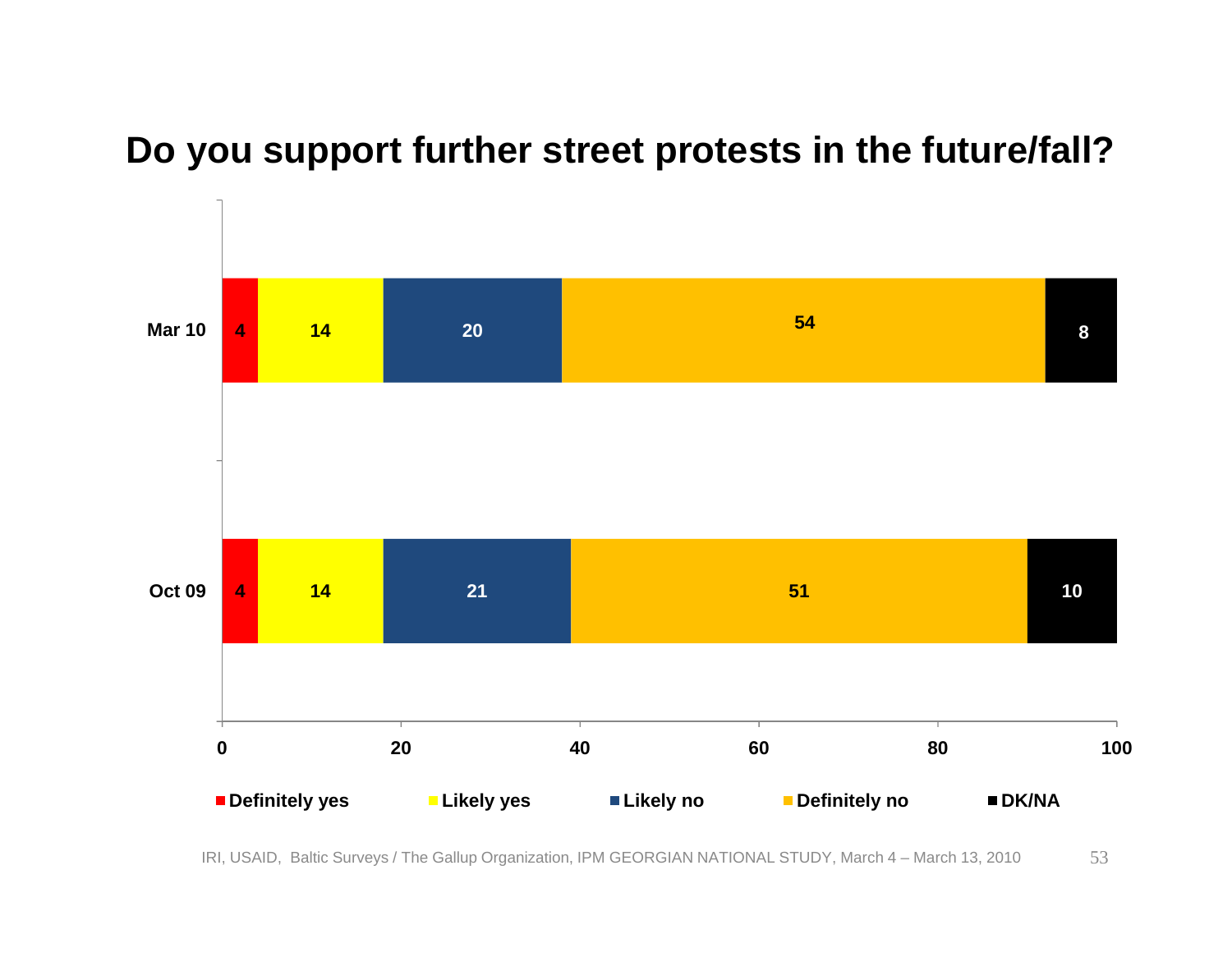#### **Do you support further street protests in the future/fall?**

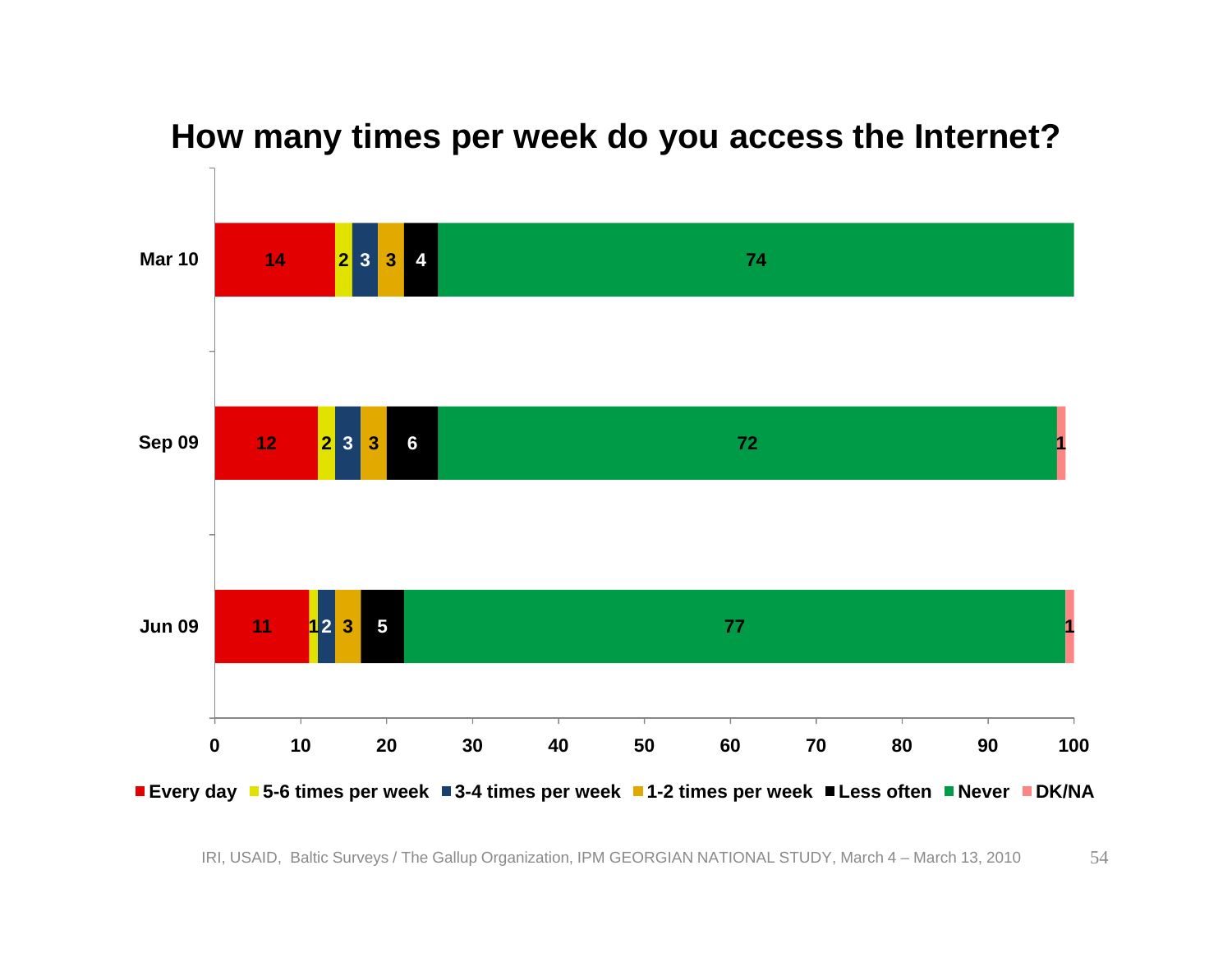

#### **How many times per week do you access the Internet?**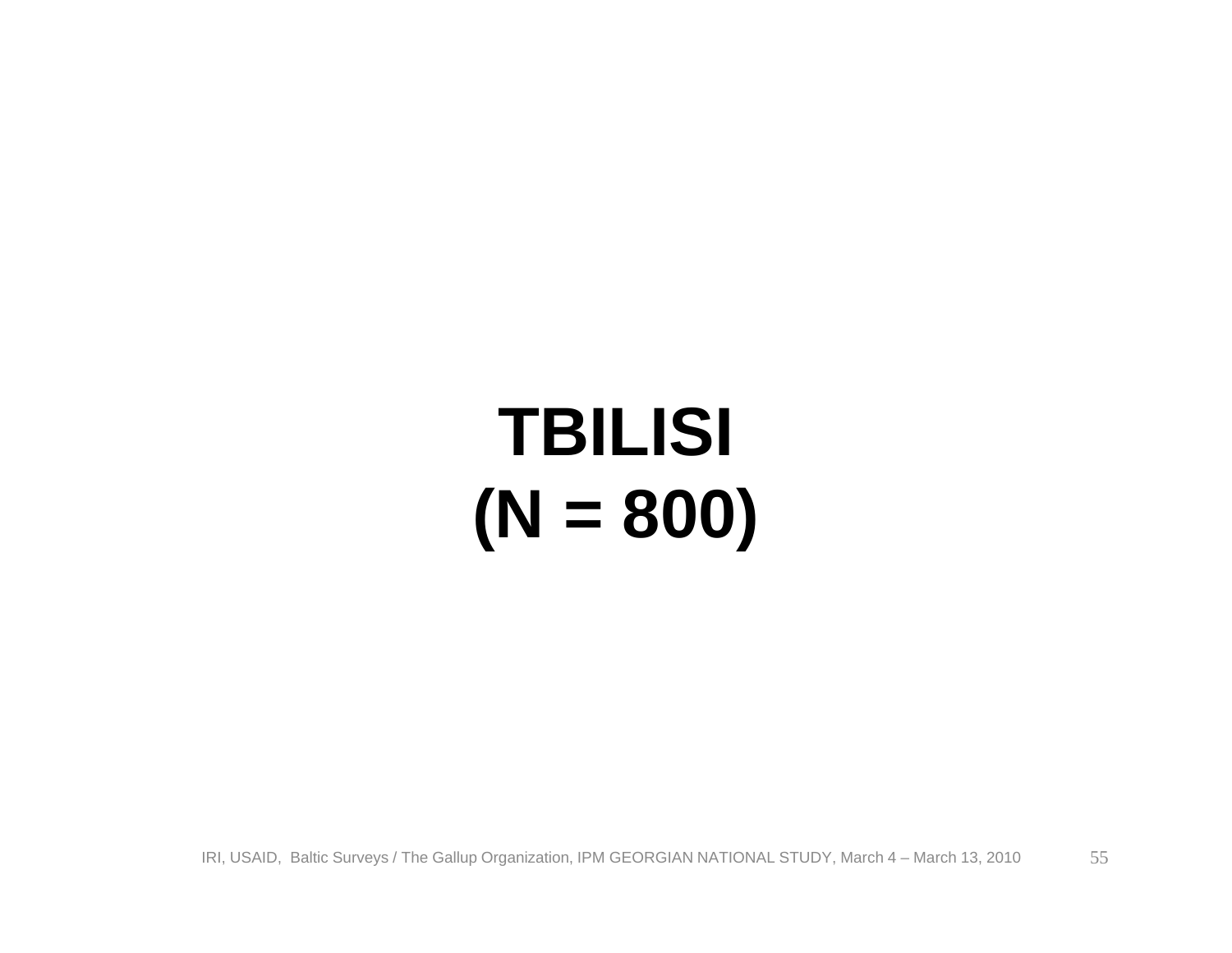# **TBILISI (N = 800)**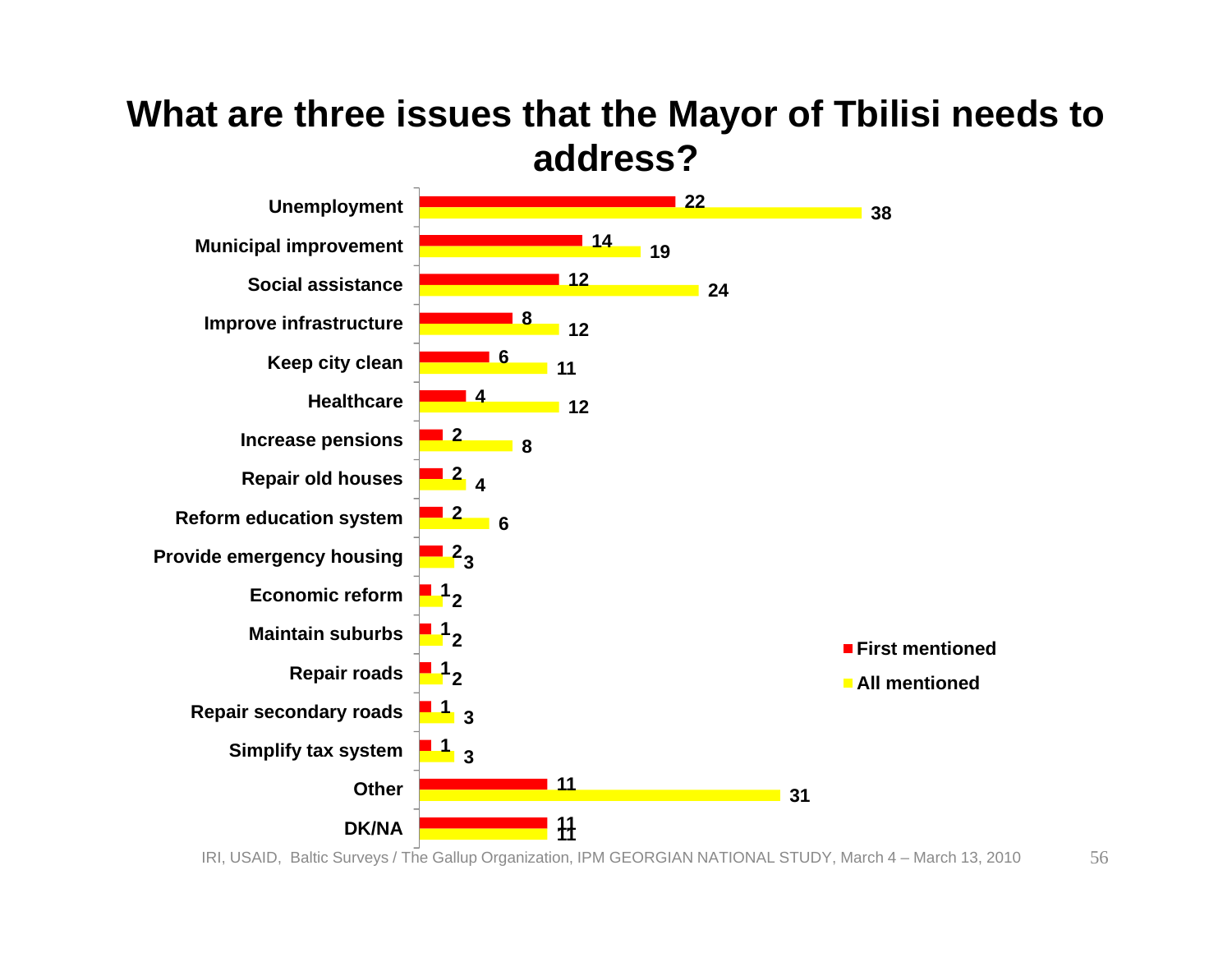#### **What are three issues that the Mayor of Tbilisi needs to address?**

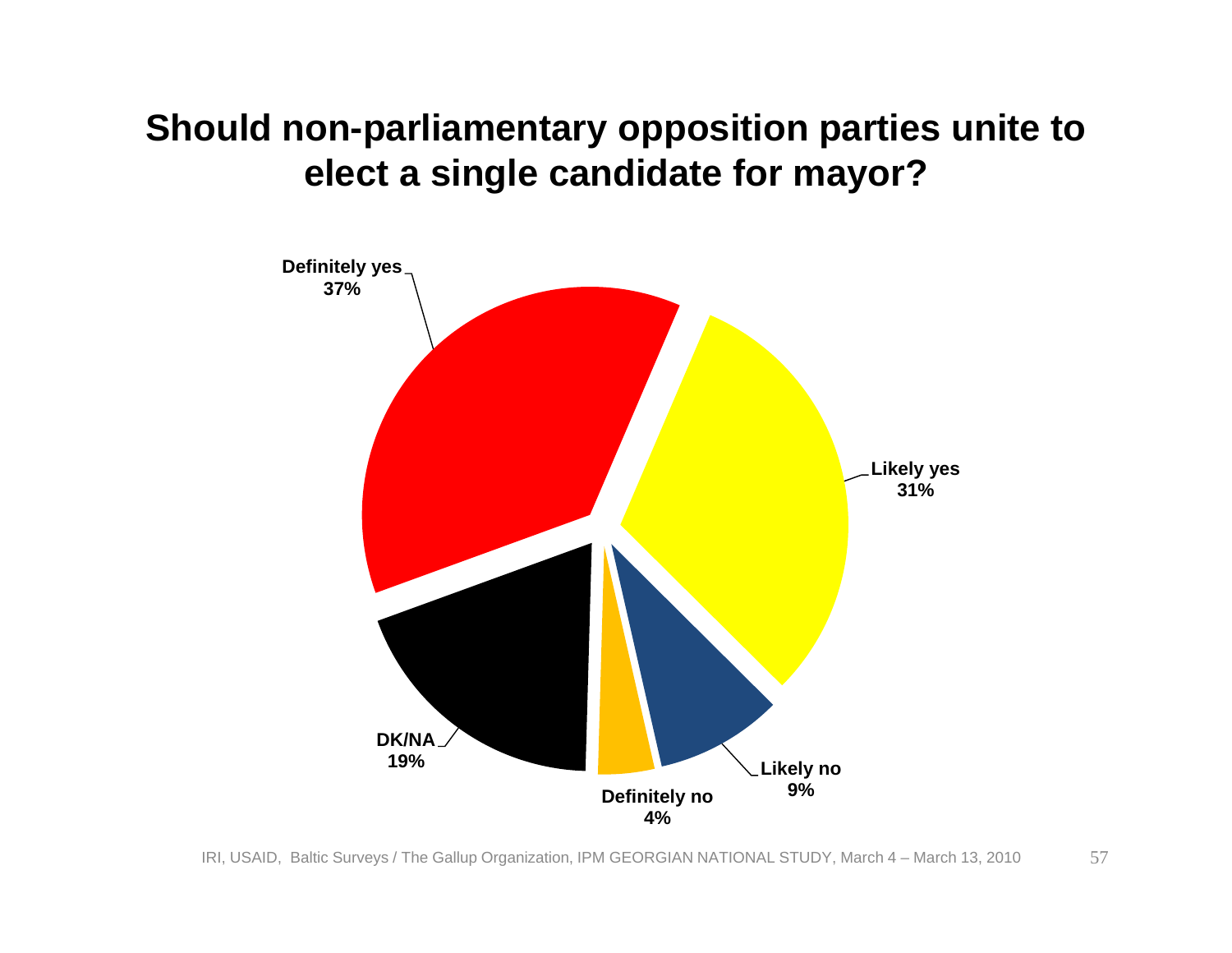#### **Should non-parliamentary opposition parties unite to elect a single candidate for mayor?**

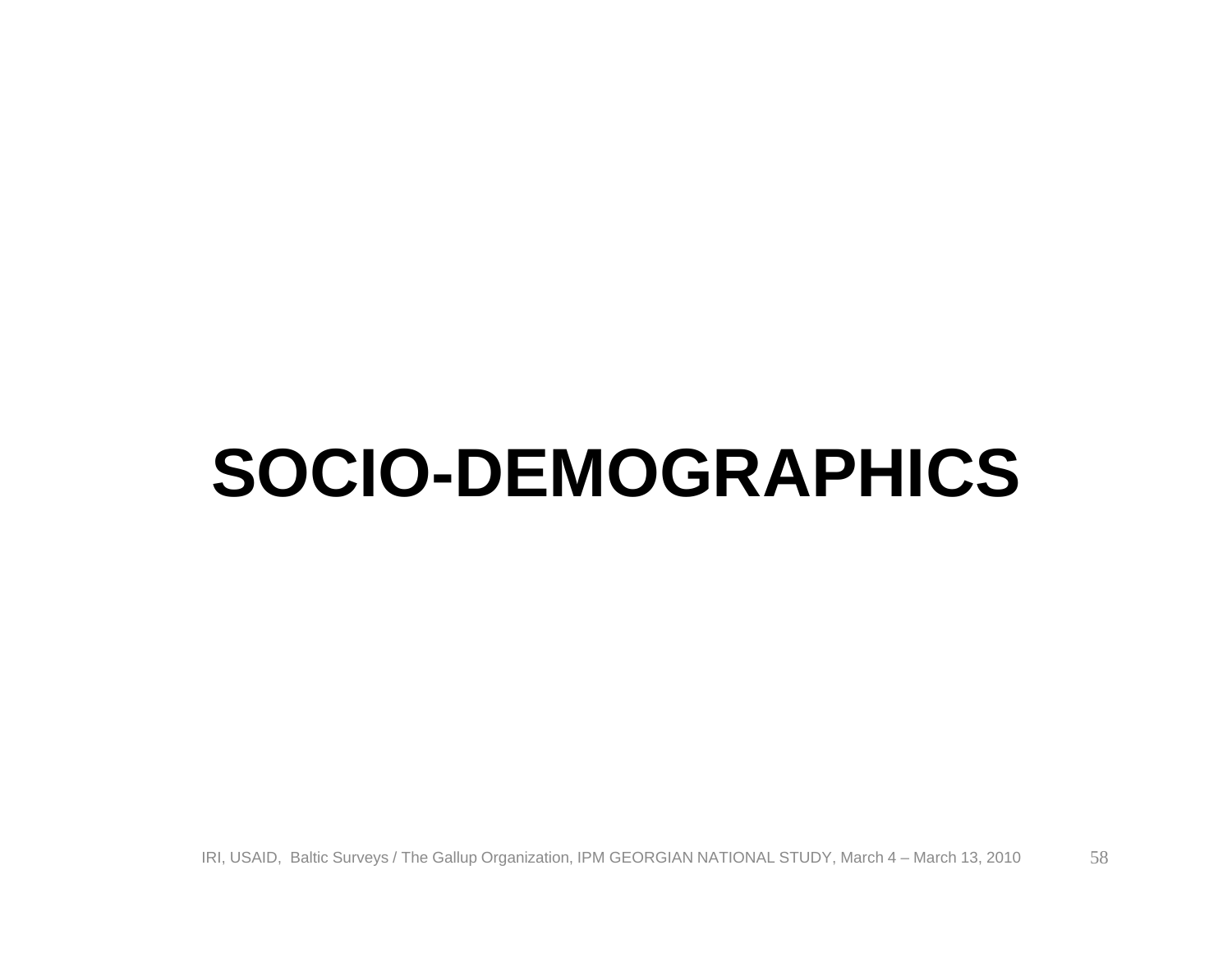### **SOCIO-DEMOGRAPHICS**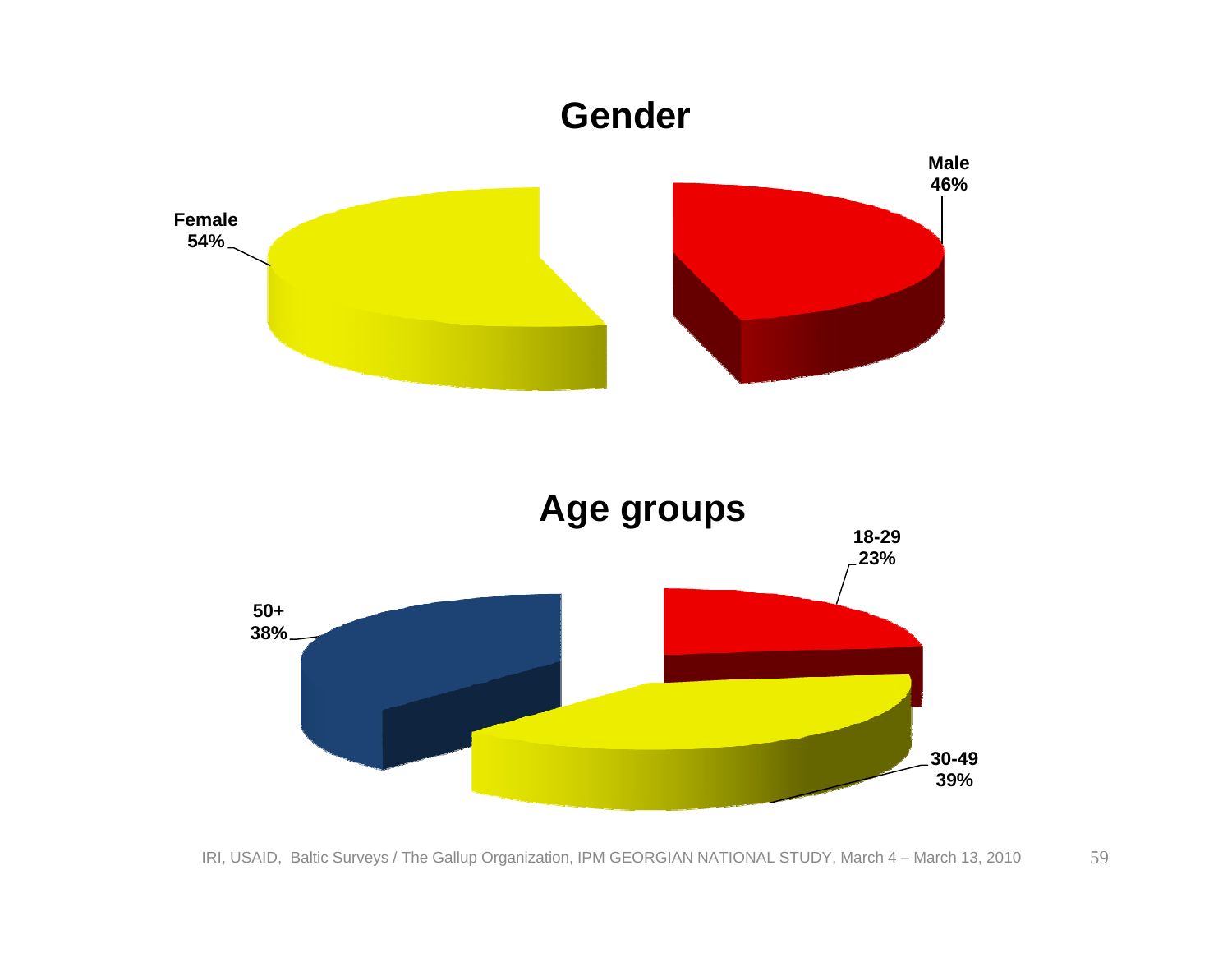#### **Gender**



**30-49 39%**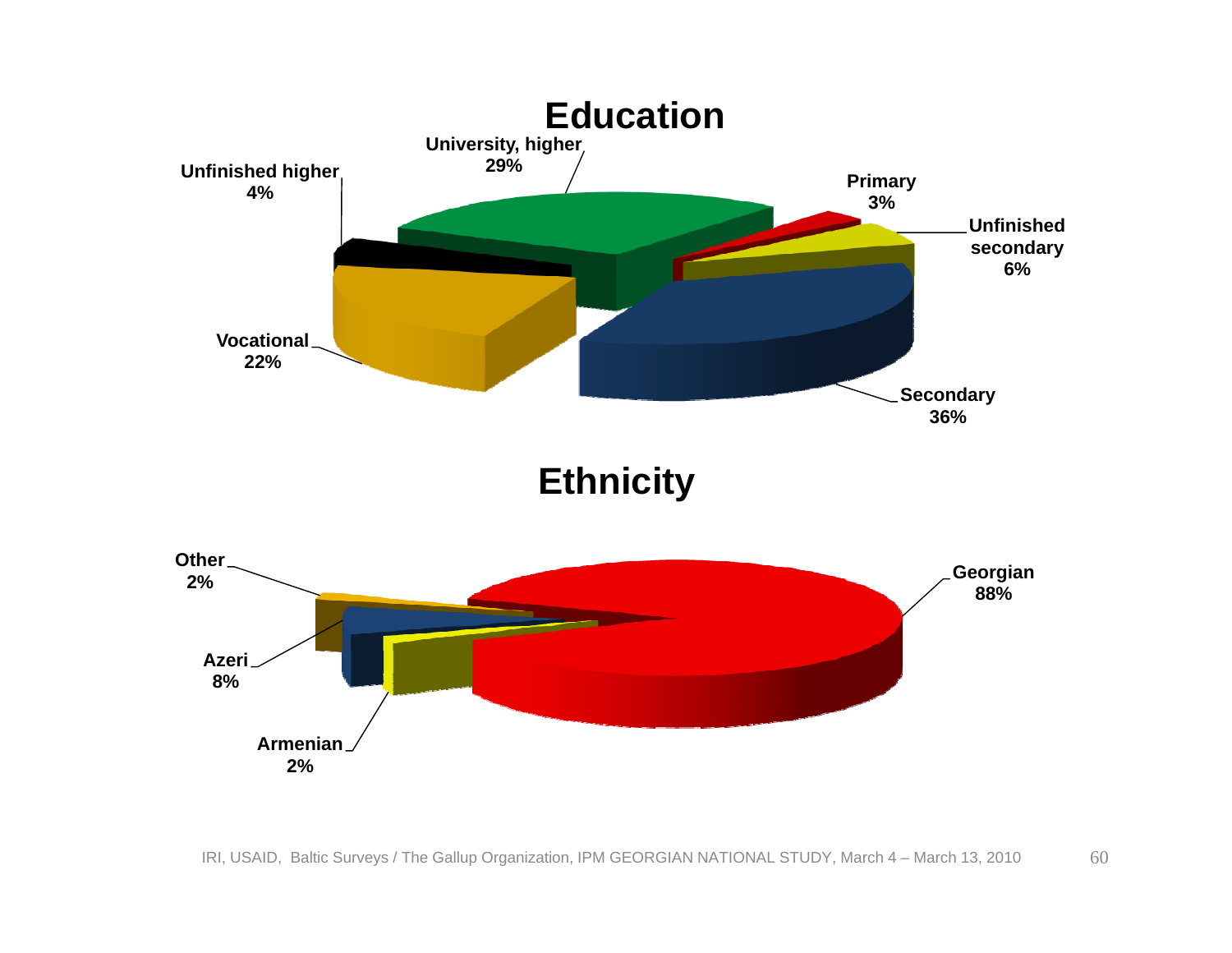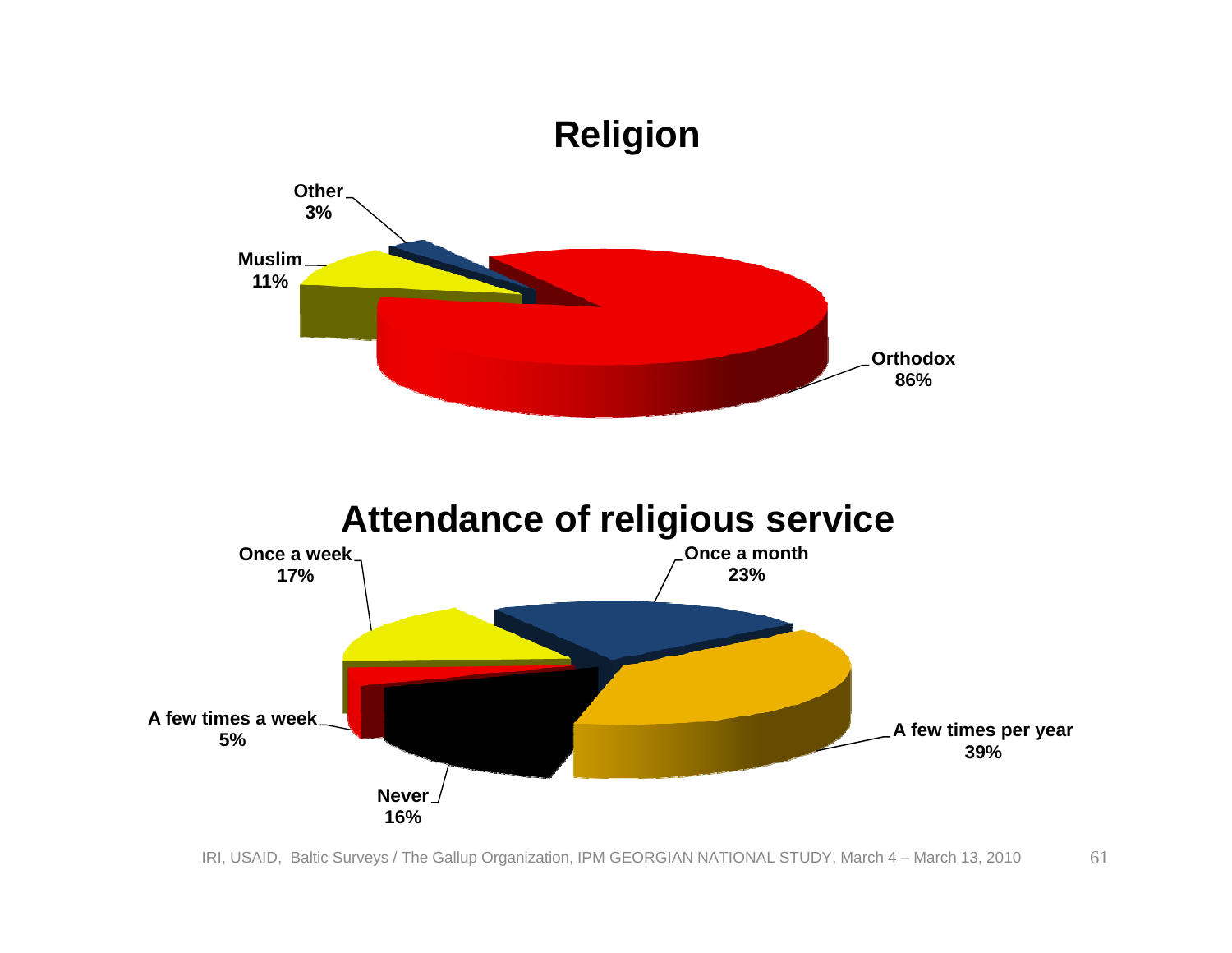